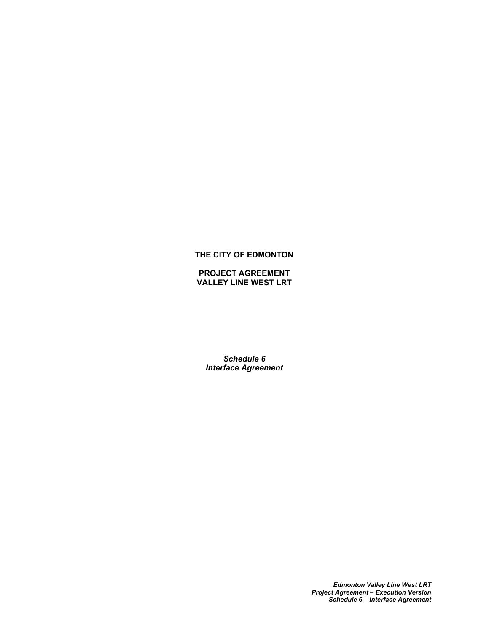## **THE CITY OF EDMONTON**

**PROJECT AGREEMENT VALLEY LINE WEST LRT**

*Schedule 6 Interface Agreement*

> *Edmonton Valley Line West LRT Project Agreement – Execution Version Schedule 6 – Interface Agreement*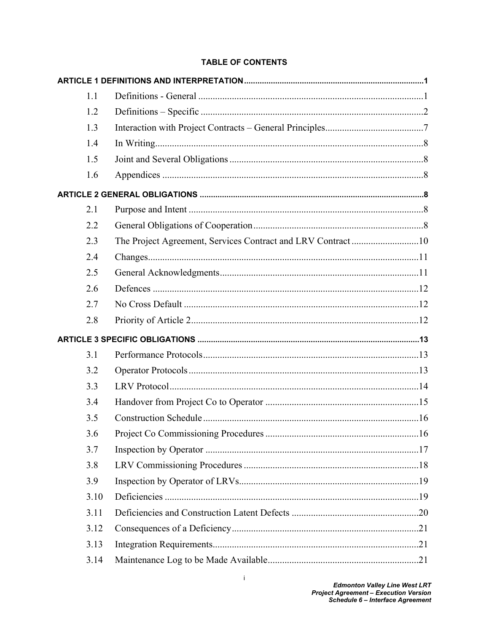# **TABLE OF CONTENTS**

| 1.1  |                                                              |  |
|------|--------------------------------------------------------------|--|
| 1.2  |                                                              |  |
| 1.3  |                                                              |  |
| 1.4  |                                                              |  |
| 1.5  |                                                              |  |
| 1.6  |                                                              |  |
|      |                                                              |  |
| 2.1  |                                                              |  |
| 2.2  |                                                              |  |
| 2.3  | The Project Agreement, Services Contract and LRV Contract 10 |  |
| 2.4  |                                                              |  |
| 2.5  |                                                              |  |
| 2.6  |                                                              |  |
| 2.7  |                                                              |  |
| 2.8  |                                                              |  |
|      |                                                              |  |
| 3.1  |                                                              |  |
| 3.2  |                                                              |  |
| 3.3  |                                                              |  |
| 3.4  |                                                              |  |
| 3.5  |                                                              |  |
| 3.6  |                                                              |  |
| 3.7  |                                                              |  |
| 3.8  |                                                              |  |
| 3.9  |                                                              |  |
| 3.10 |                                                              |  |
| 3.11 |                                                              |  |
| 3.12 |                                                              |  |
| 3.13 |                                                              |  |
|      |                                                              |  |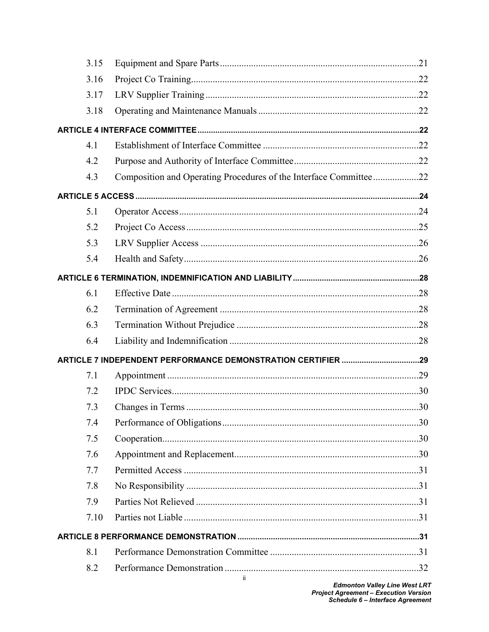|     | 3.15                                                              |  |
|-----|-------------------------------------------------------------------|--|
|     | 3.16                                                              |  |
|     | 3.17                                                              |  |
|     | 3.18                                                              |  |
|     |                                                                   |  |
| 4.1 |                                                                   |  |
|     | 4.2                                                               |  |
| 4.3 | Composition and Operating Procedures of the Interface Committee22 |  |
|     |                                                                   |  |
| 5.1 |                                                                   |  |
|     | 5.2                                                               |  |
|     | 5.3                                                               |  |
|     | 5.4                                                               |  |
|     |                                                                   |  |
| 6.1 |                                                                   |  |
|     | 6.2                                                               |  |
|     | 6.3                                                               |  |
|     | 6.4                                                               |  |
|     | ARTICLE 7 INDEPENDENT PERFORMANCE DEMONSTRATION CERTIFIER 29      |  |
| 7.1 |                                                                   |  |
|     | 7.2                                                               |  |
|     | 7.3                                                               |  |
|     | 7.4                                                               |  |
|     | 7.5                                                               |  |
|     | 7.6                                                               |  |
|     | 7.7                                                               |  |
|     | 7.8                                                               |  |
|     | 7.9                                                               |  |
|     | 7.10                                                              |  |
|     |                                                                   |  |
| 8.1 |                                                                   |  |
|     | 8.2                                                               |  |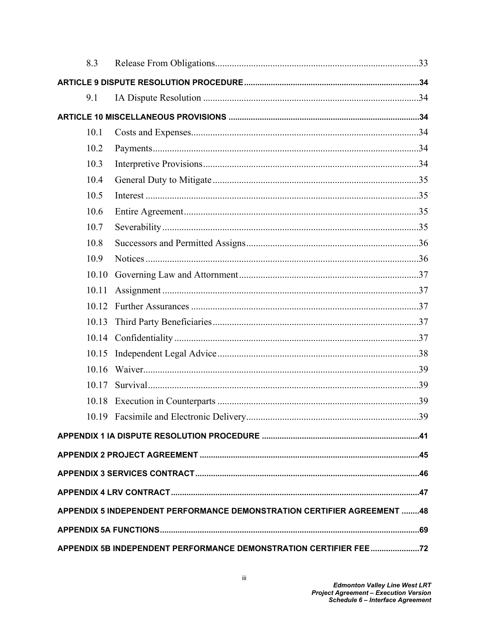|                                                                         | 8.3   |  |  |  |
|-------------------------------------------------------------------------|-------|--|--|--|
|                                                                         |       |  |  |  |
|                                                                         | 9.1   |  |  |  |
|                                                                         |       |  |  |  |
|                                                                         | 10.1  |  |  |  |
|                                                                         | 10.2  |  |  |  |
|                                                                         | 10.3  |  |  |  |
|                                                                         | 10.4  |  |  |  |
|                                                                         | 10.5  |  |  |  |
|                                                                         | 10.6  |  |  |  |
|                                                                         | 10.7  |  |  |  |
|                                                                         | 10.8  |  |  |  |
|                                                                         | 10.9  |  |  |  |
|                                                                         | 10.10 |  |  |  |
|                                                                         | 10.11 |  |  |  |
|                                                                         | 10.12 |  |  |  |
|                                                                         | 10.13 |  |  |  |
|                                                                         | 10.14 |  |  |  |
|                                                                         | 10.15 |  |  |  |
|                                                                         | 10.16 |  |  |  |
|                                                                         | 10.17 |  |  |  |
|                                                                         |       |  |  |  |
|                                                                         |       |  |  |  |
|                                                                         |       |  |  |  |
|                                                                         |       |  |  |  |
|                                                                         |       |  |  |  |
|                                                                         |       |  |  |  |
| APPENDIX 5 INDEPENDENT PERFORMANCE DEMONSTRATION CERTIFIER AGREEMENT 48 |       |  |  |  |
|                                                                         |       |  |  |  |
| APPENDIX 5B INDEPENDENT PERFORMANCE DEMONSTRATION CERTIFIER FEE 22      |       |  |  |  |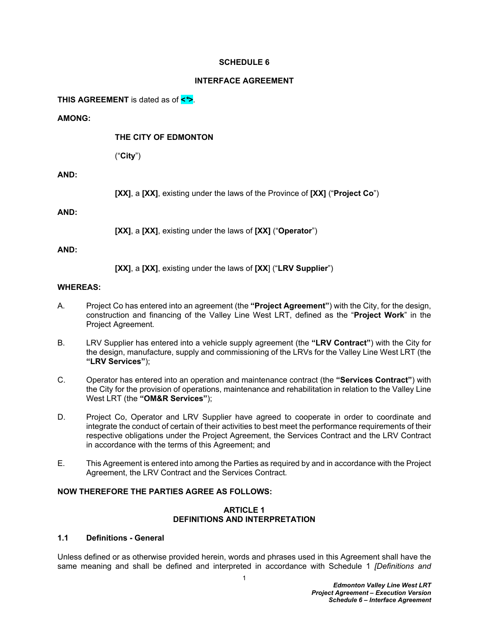#### **SCHEDULE 6**

#### **INTERFACE AGREEMENT**

**THIS AGREEMENT** is dated as of **<***\****>***.*

#### **AMONG:**

#### **THE CITY OF EDMONTON**

("**City**")

### **AND:**

**[XX]**, a **[XX]**, existing under the laws of the Province of **[XX]** ("**Project Co**")

#### **AND:**

**[XX]**, a **[XX]**, existing under the laws of **[XX]** ("**Operator**")

#### **AND:**

**[XX]**, a **[XX]**, existing under the laws of **[XX**] ("**LRV Supplier**")

#### **WHEREAS:**

- <span id="page-4-4"></span>A. Project Co has entered into an agreement (the **"Project Agreement"**) with the City, for the design, construction and financing of the Valley Line West LRT, defined as the "**Project Work**" in the Project Agreement*.*
- <span id="page-4-2"></span>B. LRV Supplier has entered into a vehicle supply agreement (the **"LRV Contract"**) with the City for the design, manufacture, supply and commissioning of the LRVs for the Valley Line West LRT (the **"LRV Services"**);
- <span id="page-4-3"></span>C. Operator has entered into an operation and maintenance contract (the **"Services Contract"**) with the City for the provision of operations, maintenance and rehabilitation in relation to the Valley Line West LRT (the **"OM&R Services"**);
- D. Project Co, Operator and LRV Supplier have agreed to cooperate in order to coordinate and integrate the conduct of certain of their activities to best meet the performance requirements of their respective obligations under the Project Agreement, the Services Contract and the LRV Contract in accordance with the terms of this Agreement; and
- E. This Agreement is entered into among the Parties as required by and in accordance with the Project Agreement, the LRV Contract and the Services Contract*.*

## **NOW THEREFORE THE PARTIES AGREE AS FOLLOWS:**

#### <span id="page-4-0"></span>**ARTICLE 1 DEFINITIONS AND INTERPRETATION**

### <span id="page-4-1"></span>**1.1 Definitions - General**

Unless defined or as otherwise provided herein, words and phrases used in this Agreement shall have the same meaning and shall be defined and interpreted in accordance with Schedule 1 *[Definitions and*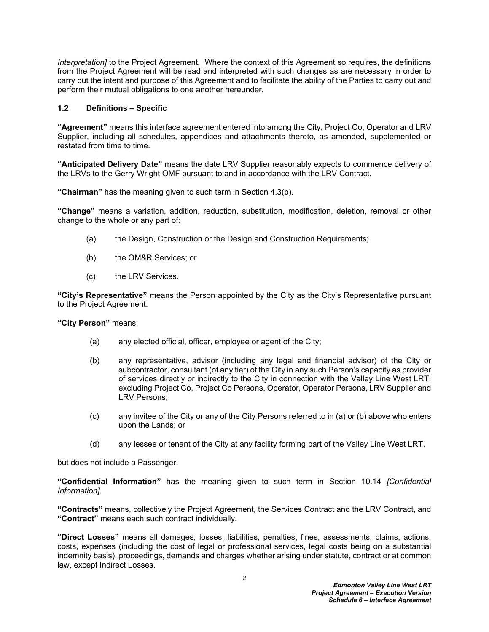*Interpretation]* to the Project Agreement*.* Where the context of this Agreement so requires, the definitions from the Project Agreement will be read and interpreted with such changes as are necessary in order to carry out the intent and purpose of this Agreement and to facilitate the ability of the Parties to carry out and perform their mutual obligations to one another hereunder*.*

#### <span id="page-5-0"></span>**1.2 Definitions – Specific**

**"Agreement"** means this interface agreement entered into among the City, Project Co, Operator and LRV Supplier, including all schedules, appendices and attachments thereto, as amended, supplemented or restated from time to time.

**"Anticipated Delivery Date"** means the date LRV Supplier reasonably expects to commence delivery of the LRVs to the Gerry Wright OMF pursuant to and in accordance with the LRV Contract.

**"Chairman"** has the meaning given to such term in Section [4.3\(b\)](#page-26-0)*.*

**"Change"** means a variation, addition, reduction, substitution, modification, deletion, removal or other change to the whole or any part of:

- (a) the Design, Construction or the Design and Construction Requirements;
- (b) the OM&R Services; or
- (c) the LRV Services.

**"City's Representative"** means the Person appointed by the City as the City's Representative pursuant to the Project Agreement.

**"City Person"** means:

- (a) any elected official, officer, employee or agent of the City;
- (b) any representative, advisor (including any legal and financial advisor) of the City or subcontractor, consultant (of any tier) of the City in any such Person's capacity as provider of services directly or indirectly to the City in connection with the Valley Line West LRT, excluding Project Co, Project Co Persons, Operator, Operator Persons, LRV Supplier and LRV Persons;
- (c) any invitee of the City or any of the City Persons referred to in (a) or (b) above who enters upon the Lands; or
- (d) any lessee or tenant of the City at any facility forming part of the Valley Line West LRT,

but does not include a Passenger.

**"Confidential Information"** has the meaning given to such term in Section [10.14](#page-40-4) *[Confidential Information].*

**"Contracts"** means, collectively the Project Agreement, the Services Contract and the LRV Contract, and **"Contract"** means each such contract individually*.*

**"Direct Losses"** means all damages, losses, liabilities, penalties, fines, assessments, claims, actions, costs, expenses (including the cost of legal or professional services, legal costs being on a substantial indemnity basis), proceedings, demands and charges whether arising under statute, contract or at common law, except Indirect Losses.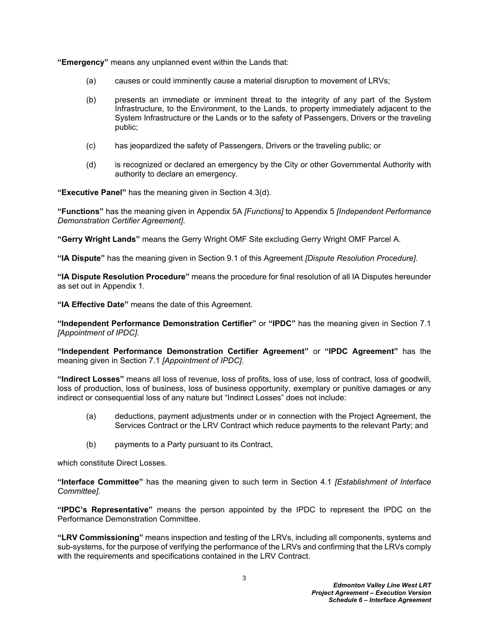**"Emergency"** means any unplanned event within the Lands that:

- (a) causes or could imminently cause a material disruption to movement of LRVs;
- (b) presents an immediate or imminent threat to the integrity of any part of the System Infrastructure, to the Environment, to the Lands, to property immediately adjacent to the System Infrastructure or the Lands or to the safety of Passengers, Drivers or the traveling public;
- (c) has jeopardized the safety of Passengers, Drivers or the traveling public; or
- (d) is recognized or declared an emergency by the City or other Governmental Authority with authority to declare an emergency*.*

**"Executive Panel"** has the meaning given in Section [4.3\(d\)](#page-26-1)*.*

**"Functions"** has the meaning given in Appendix 5A *[Functions]* to Appendix 5 *[Independent Performance Demonstration Certifier Agreement]*.

**"Gerry Wright Lands"** means the Gerry Wright OMF Site excluding Gerry Wright OMF Parcel A.

**"IA Dispute"** has the meaning given in Section [9.1](#page-37-1) of this Agreement *[Dispute Resolution Procedure].*

**"IA Dispute Resolution Procedure"** means the procedure for final resolution of all IA Disputes hereunder as set out in Appendix 1*.*

**"IA Effective Date"** means the date of this Agreement.

**"Independent Performance Demonstration Certifier"** or **"IPDC"** has the meaning given in Section [7.1](#page-32-1)  *[Appointment of IPDC]*.

**"Independent Performance Demonstration Certifier Agreement"** or **"IPDC Agreement"** has the meaning given in Section [7.1](#page-32-1) *[Appointment of IPDC]*.

**"Indirect Losses"** means all loss of revenue, loss of profits, loss of use, loss of contract, loss of goodwill, loss of production, loss of business, loss of business opportunity, exemplary or punitive damages or any indirect or consequential loss of any nature but "Indirect Losses" does not include:

- (a) deductions, payment adjustments under or in connection with the Project Agreement, the Services Contract or the LRV Contract which reduce payments to the relevant Party; and
- (b) payments to a Party pursuant to its Contract,

which constitute Direct Losses.

**"Interface Committee"** has the meaning given to such term in Section [4.1](#page-25-4) *[Establishment of Interface Committee].*

**"IPDC's Representative"** means the person appointed by the IPDC to represent the IPDC on the Performance Demonstration Committee.

**"LRV Commissioning"** means inspection and testing of the LRVs, including all components, systems and sub-systems, for the purpose of verifying the performance of the LRVs and confirming that the LRVs comply with the requirements and specifications contained in the LRV Contract.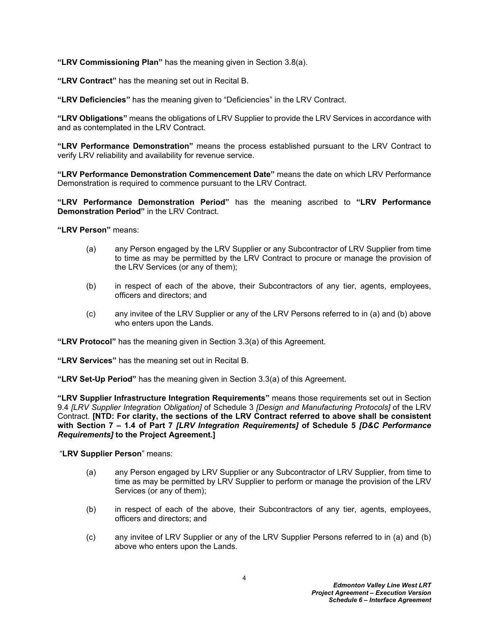**"LRV Commissioning Plan"** has the meaning given in Section [3.8\(a\).](#page-21-1)

**"LRV Contract"** has the meaning set out in Recital [B](#page-4-2)*.*

**"LRV Deficiencies"** has the meaning given to "Deficiencies" in the LRV Contract.

**"LRV Obligations"** means the obligations of LRV Supplier to provide the LRV Services in accordance with and as contemplated in the LRV Contract*.*

**"LRV Performance Demonstration"** means the process established pursuant to the LRV Contract to verify LRV reliability and availability for revenue service.

**"LRV Performance Demonstration Commencement Date"** means the date on which LRV Performance Demonstration is required to commence pursuant to the LRV Contract.

**"LRV Performance Demonstration Period"** has the meaning ascribed to **"LRV Performance Demonstration Period"** in the LRV Contract.

**"LRV Person"** means:

- (a) any Person engaged by the LRV Supplier or any Subcontractor of LRV Supplier from time to time as may be permitted by the LRV Contract to procure or manage the provision of the LRV Services (or any of them);
- (b) in respect of each of the above, their Subcontractors of any tier, agents, employees, officers and directors; and
- (c) any invitee of the LRV Supplier or any of the LRV Persons referred to in (a) and (b) above who enters upon the Lands.

**"LRV Protocol"** has the meaning given in Section [3.3\(a\)](#page-17-1) of this Agreement.

**"LRV Services"** has the meaning set out in Recital [B](#page-4-2)*.*

**"LRV Set-Up Period"** has the meaning given in Section [3.3\(a\)](#page-17-1) of this Agreement.

**"LRV Supplier Infrastructure Integration Requirements"** means those requirements set out in Section 9.4 *[LRV Supplier Integration Obligation]* of Schedule 3 *[Design and Manufacturing Protocols]* of the LRV Contract. **[NTD: For clarity, the sections of the LRV Contract referred to above shall be consistent with Section 7 – 1.4 of Part 7** *[LRV Integration Requirements]* **of Schedule 5** *[D&C Performance Requirements]* **to the Project Agreement.]**

"**LRV Supplier Person**" means:

- (a) any Person engaged by LRV Supplier or any Subcontractor of LRV Supplier, from time to time as may be permitted by LRV Supplier to perform or manage the provision of the LRV Services (or any of them);
- (b) in respect of each of the above, their Subcontractors of any tier, agents, employees, officers and directors; and
- (c) any invitee of LRV Supplier or any of the LRV Supplier Persons referred to in (a) and (b) above who enters upon the Lands.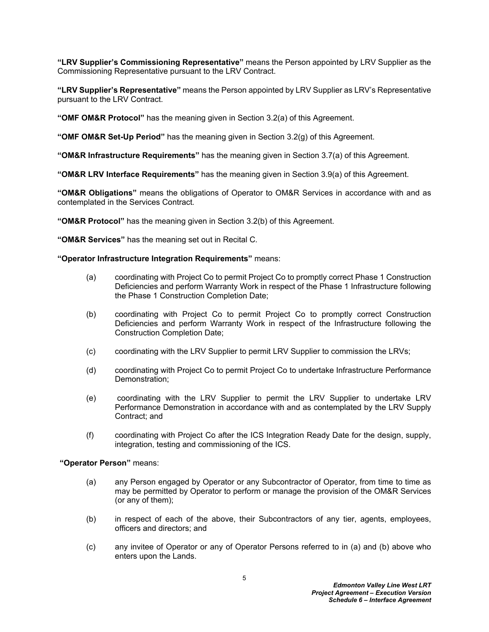**"LRV Supplier's Commissioning Representative"** means the Person appointed by LRV Supplier as the Commissioning Representative pursuant to the LRV Contract.

**"LRV Supplier's Representative"** means the Person appointed by LRV Supplier as LRV's Representative pursuant to the LRV Contract.

**"OMF OM&R Protocol"** has the meaning given in Section [3.2\(a\)](#page-16-3) of this Agreement.

**"OMF OM&R Set-Up Period"** has the meaning given in Section [3.2\(g\)](#page-17-2) of this Agreement.

**"OM&R Infrastructure Requirements"** has the meaning given in Section [3.7\(a\)](#page-20-1) of this Agreement.

**"OM&R LRV Interface Requirements"** has the meaning given in Section [3.9\(a\)](#page-22-2) of this Agreement.

**"OM&R Obligations"** means the obligations of Operator to OM&R Services in accordance with and as contemplated in the Services Contract*.*

**"OM&R Protocol"** has the meaning given in Section [3.2\(b\)](#page-16-4) of this Agreement.

**"OM&R Services"** has the meaning set out in Recital [C](#page-4-3)*.*

#### **"Operator Infrastructure Integration Requirements"** means:

- (a) coordinating with Project Co to permit Project Co to promptly correct Phase 1 Construction Deficiencies and perform Warranty Work in respect of the Phase 1 Infrastructure following the Phase 1 Construction Completion Date;
- (b) coordinating with Project Co to permit Project Co to promptly correct Construction Deficiencies and perform Warranty Work in respect of the Infrastructure following the Construction Completion Date;
- (c) coordinating with the LRV Supplier to permit LRV Supplier to commission the LRVs;
- (d) coordinating with Project Co to permit Project Co to undertake Infrastructure Performance Demonstration;
- (e) coordinating with the LRV Supplier to permit the LRV Supplier to undertake LRV Performance Demonstration in accordance with and as contemplated by the LRV Supply Contract; and
- (f) coordinating with Project Co after the ICS Integration Ready Date for the design, supply, integration, testing and commissioning of the ICS.

 **"Operator Person"** means:

- (a) any Person engaged by Operator or any Subcontractor of Operator, from time to time as may be permitted by Operator to perform or manage the provision of the OM&R Services (or any of them);
- (b) in respect of each of the above, their Subcontractors of any tier, agents, employees, officers and directors; and
- (c) any invitee of Operator or any of Operator Persons referred to in (a) and (b) above who enters upon the Lands.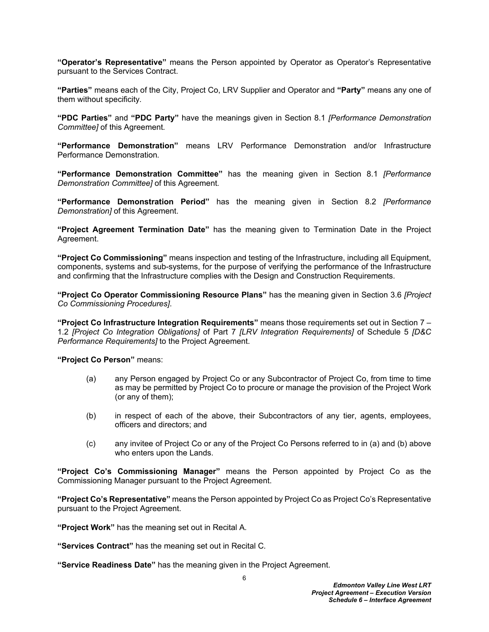**"Operator's Representative"** means the Person appointed by Operator as Operator's Representative pursuant to the Services Contract.

**"Parties"** means each of the City, Project Co, LRV Supplier and Operator and **"Party"** means any one of them without specificity*.*

**"PDC Parties"** and **"PDC Party"** have the meanings given in Section [8.1](#page-34-5) *[Performance Demonstration Committee]* of this Agreement*.*

**"Performance Demonstration"** means LRV Performance Demonstration and/or Infrastructure Performance Demonstration*.*

**"Performance Demonstration Committee"** has the meaning given in Section [8.1](#page-34-5) *[Performance Demonstration Committee]* of this Agreement*.*

**"Performance Demonstration Period"** has the meaning given in Section [8.2](#page-35-0) *[Performance Demonstration]* of this Agreement.

**"Project Agreement Termination Date"** has the meaning given to Termination Date in the Project Agreement.

**"Project Co Commissioning"** means inspection and testing of the Infrastructure, including all Equipment, components, systems and sub-systems, for the purpose of verifying the performance of the Infrastructure and confirming that the Infrastructure complies with the Design and Construction Requirements.

**"Project Co Operator Commissioning Resource Plans"** has the meaning given in Section [3.6](#page-19-1) *[Project Co Commissioning Procedures]*.

**"Project Co Infrastructure Integration Requirements"** means those requirements set out in Section 7 – 1.2 *[Project Co Integration Obligations]* of Part 7 *[LRV Integration Requirements]* of Schedule 5 *[D&C Performance Requirements]* to the Project Agreement.

**"Project Co Person"** means:

- (a) any Person engaged by Project Co or any Subcontractor of Project Co, from time to time as may be permitted by Project Co to procure or manage the provision of the Project Work (or any of them);
- (b) in respect of each of the above, their Subcontractors of any tier, agents, employees, officers and directors; and
- (c) any invitee of Project Co or any of the Project Co Persons referred to in (a) and (b) above who enters upon the Lands.

**"Project Co's Commissioning Manager"** means the Person appointed by Project Co as the Commissioning Manager pursuant to the Project Agreement.

**"Project Co's Representative"** means the Person appointed by Project Co as Project Co's Representative pursuant to the Project Agreement.

**"Project Work"** has the meaning set out in Recital [A](#page-4-4)*.*

**"Services Contract"** has the meaning set out in Recital [C](#page-4-3)*.*

**"Service Readiness Date"** has the meaning given in the Project Agreement.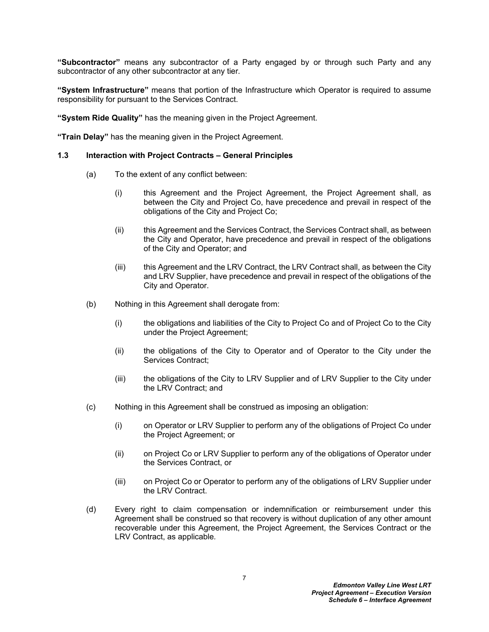**"Subcontractor"** means any subcontractor of a Party engaged by or through such Party and any subcontractor of any other subcontractor at any tier*.*

**"System Infrastructure"** means that portion of the Infrastructure which Operator is required to assume responsibility for pursuant to the Services Contract.

**"System Ride Quality"** has the meaning given in the Project Agreement.

**"Train Delay"** has the meaning given in the Project Agreement.

#### <span id="page-10-0"></span>**1.3 Interaction with Project Contracts – General Principles**

- (a) To the extent of any conflict between:
	- (i) this Agreement and the Project Agreement, the Project Agreement shall, as between the City and Project Co, have precedence and prevail in respect of the obligations of the City and Project Co;
	- (ii) this Agreement and the Services Contract, the Services Contract shall, as between the City and Operator, have precedence and prevail in respect of the obligations of the City and Operator; and
	- (iii) this Agreement and the LRV Contract, the LRV Contract shall, as between the City and LRV Supplier, have precedence and prevail in respect of the obligations of the City and Operator.
- <span id="page-10-1"></span>(b) Nothing in this Agreement shall derogate from:
	- (i) the obligations and liabilities of the City to Project Co and of Project Co to the City under the Project Agreement;
	- (ii) the obligations of the City to Operator and of Operator to the City under the Services Contract;
	- (iii) the obligations of the City to LRV Supplier and of LRV Supplier to the City under the LRV Contract; and
- (c) Nothing in this Agreement shall be construed as imposing an obligation:
	- (i) on Operator or LRV Supplier to perform any of the obligations of Project Co under the Project Agreement; or
	- (ii) on Project Co or LRV Supplier to perform any of the obligations of Operator under the Services Contract, or
	- (iii) on Project Co or Operator to perform any of the obligations of LRV Supplier under the LRV Contract.
- (d) Every right to claim compensation or indemnification or reimbursement under this Agreement shall be construed so that recovery is without duplication of any other amount recoverable under this Agreement, the Project Agreement, the Services Contract or the LRV Contract, as applicable*.*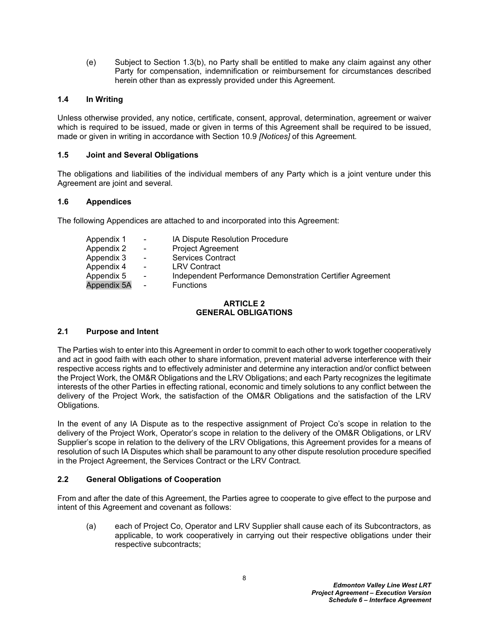(e) Subject to Section [1.3\(b\)](#page-10-1), no Party shall be entitled to make any claim against any other Party for compensation, indemnification or reimbursement for circumstances described herein other than as expressly provided under this Agreement*.*

#### <span id="page-11-0"></span>**1.4 In Writing**

Unless otherwise provided, any notice, certificate, consent, approval, determination, agreement or waiver which is required to be issued, made or given in terms of this Agreement shall be required to be issued, made or given in writing in accordance with Section [10.9](#page-39-1) *[Notices]* of this Agreement*.*

#### <span id="page-11-1"></span>**1.5 Joint and Several Obligations**

The obligations and liabilities of the individual members of any Party which is a joint venture under this Agreement are joint and several*.*

#### <span id="page-11-2"></span>**1.6 Appendices**

The following Appendices are attached to and incorporated into this Agreement:

| Appendix 1  | $\blacksquare$ | <b>IA Dispute Resolution Procedure</b>                    |
|-------------|----------------|-----------------------------------------------------------|
| Appendix 2  | $\blacksquare$ | <b>Project Agreement</b>                                  |
| Appendix 3  | $\blacksquare$ | <b>Services Contract</b>                                  |
| Appendix 4  | $\sim$         | <b>LRV Contract</b>                                       |
| Appendix 5  | $\blacksquare$ | Independent Performance Demonstration Certifier Agreement |
| Appendix 5A | $\blacksquare$ | <b>Functions</b>                                          |

#### <span id="page-11-3"></span>**ARTICLE 2 GENERAL OBLIGATIONS**

#### <span id="page-11-4"></span>**2.1 Purpose and Intent**

The Parties wish to enter into this Agreement in order to commit to each other to work together cooperatively and act in good faith with each other to share information, prevent material adverse interference with their respective access rights and to effectively administer and determine any interaction and/or conflict between the Project Work, the OM&R Obligations and the LRV Obligations; and each Party recognizes the legitimate interests of the other Parties in effecting rational, economic and timely solutions to any conflict between the delivery of the Project Work, the satisfaction of the OM&R Obligations and the satisfaction of the LRV Obligations*.*

In the event of any IA Dispute as to the respective assignment of Project Co's scope in relation to the delivery of the Project Work, Operator's scope in relation to the delivery of the OM&R Obligations, or LRV Supplier's scope in relation to the delivery of the LRV Obligations, this Agreement provides for a means of resolution of such IA Disputes which shall be paramount to any other dispute resolution procedure specified in the Project Agreement, the Services Contract or the LRV Contract*.*

### <span id="page-11-5"></span>**2.2 General Obligations of Cooperation**

From and after the date of this Agreement, the Parties agree to cooperate to give effect to the purpose and intent of this Agreement and covenant as follows:

(a) each of Project Co, Operator and LRV Supplier shall cause each of its Subcontractors, as applicable, to work cooperatively in carrying out their respective obligations under their respective subcontracts;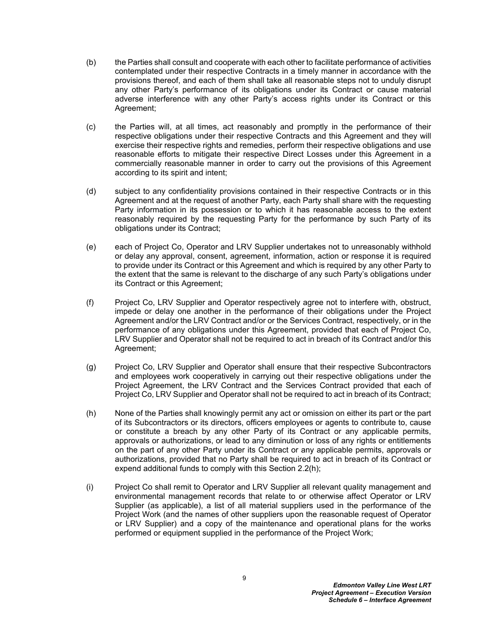- (b) the Parties shall consult and cooperate with each other to facilitate performance of activities contemplated under their respective Contracts in a timely manner in accordance with the provisions thereof, and each of them shall take all reasonable steps not to unduly disrupt any other Party's performance of its obligations under its Contract or cause material adverse interference with any other Party's access rights under its Contract or this Agreement;
- (c) the Parties will, at all times, act reasonably and promptly in the performance of their respective obligations under their respective Contracts and this Agreement and they will exercise their respective rights and remedies, perform their respective obligations and use reasonable efforts to mitigate their respective Direct Losses under this Agreement in a commercially reasonable manner in order to carry out the provisions of this Agreement according to its spirit and intent;
- (d) subject to any confidentiality provisions contained in their respective Contracts or in this Agreement and at the request of another Party, each Party shall share with the requesting Party information in its possession or to which it has reasonable access to the extent reasonably required by the requesting Party for the performance by such Party of its obligations under its Contract;
- (e) each of Project Co, Operator and LRV Supplier undertakes not to unreasonably withhold or delay any approval, consent, agreement, information, action or response it is required to provide under its Contract or this Agreement and which is required by any other Party to the extent that the same is relevant to the discharge of any such Party's obligations under its Contract or this Agreement;
- (f) Project Co, LRV Supplier and Operator respectively agree not to interfere with, obstruct, impede or delay one another in the performance of their obligations under the Project Agreement and/or the LRV Contract and/or or the Services Contract, respectively, or in the performance of any obligations under this Agreement, provided that each of Project Co, LRV Supplier and Operator shall not be required to act in breach of its Contract and/or this Agreement;
- (g) Project Co, LRV Supplier and Operator shall ensure that their respective Subcontractors and employees work cooperatively in carrying out their respective obligations under the Project Agreement, the LRV Contract and the Services Contract provided that each of Project Co, LRV Supplier and Operator shall not be required to act in breach of its Contract;
- <span id="page-12-0"></span>(h) None of the Parties shall knowingly permit any act or omission on either its part or the part of its Subcontractors or its directors, officers employees or agents to contribute to, cause or constitute a breach by any other Party of its Contract or any applicable permits, approvals or authorizations, or lead to any diminution or loss of any rights or entitlements on the part of any other Party under its Contract or any applicable permits, approvals or authorizations, provided that no Party shall be required to act in breach of its Contract or expend additional funds to comply with this Section [2.2\(h\)](#page-12-0);
- (i) Project Co shall remit to Operator and LRV Supplier all relevant quality management and environmental management records that relate to or otherwise affect Operator or LRV Supplier (as applicable), a list of all material suppliers used in the performance of the Project Work (and the names of other suppliers upon the reasonable request of Operator or LRV Supplier) and a copy of the maintenance and operational plans for the works performed or equipment supplied in the performance of the Project Work;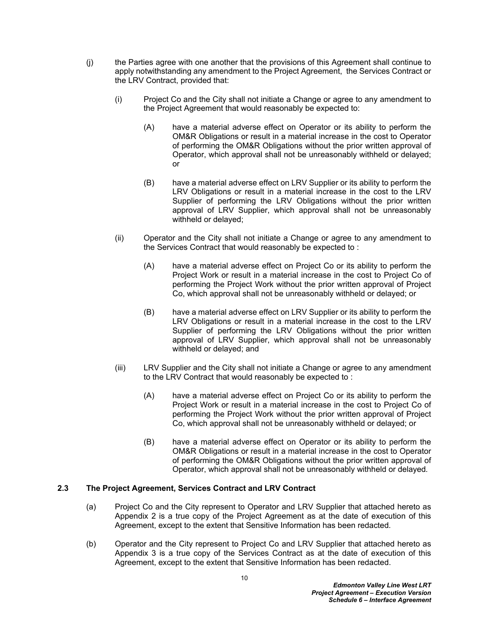- (j) the Parties agree with one another that the provisions of this Agreement shall continue to apply notwithstanding any amendment to the Project Agreement, the Services Contract or the LRV Contract, provided that:
	- (i) Project Co and the City shall not initiate a Change or agree to any amendment to the Project Agreement that would reasonably be expected to:
		- (A) have a material adverse effect on Operator or its ability to perform the OM&R Obligations or result in a material increase in the cost to Operator of performing the OM&R Obligations without the prior written approval of Operator, which approval shall not be unreasonably withheld or delayed; or
		- (B) have a material adverse effect on LRV Supplier or its ability to perform the LRV Obligations or result in a material increase in the cost to the LRV Supplier of performing the LRV Obligations without the prior written approval of LRV Supplier, which approval shall not be unreasonably withheld or delayed;
	- (ii) Operator and the City shall not initiate a Change or agree to any amendment to the Services Contract that would reasonably be expected to :
		- (A) have a material adverse effect on Project Co or its ability to perform the Project Work or result in a material increase in the cost to Project Co of performing the Project Work without the prior written approval of Project Co, which approval shall not be unreasonably withheld or delayed; or
		- (B) have a material adverse effect on LRV Supplier or its ability to perform the LRV Obligations or result in a material increase in the cost to the LRV Supplier of performing the LRV Obligations without the prior written approval of LRV Supplier, which approval shall not be unreasonably withheld or delayed; and
	- (iii) LRV Supplier and the City shall not initiate a Change or agree to any amendment to the LRV Contract that would reasonably be expected to :
		- (A) have a material adverse effect on Project Co or its ability to perform the Project Work or result in a material increase in the cost to Project Co of performing the Project Work without the prior written approval of Project Co, which approval shall not be unreasonably withheld or delayed; or
		- (B) have a material adverse effect on Operator or its ability to perform the OM&R Obligations or result in a material increase in the cost to Operator of performing the OM&R Obligations without the prior written approval of Operator, which approval shall not be unreasonably withheld or delayed*.*

### <span id="page-13-0"></span>**2.3 The Project Agreement, Services Contract and LRV Contract**

- (a) Project Co and the City represent to Operator and LRV Supplier that attached hereto as [Appendix 2](#page-48-1) is a true copy of the Project Agreement as at the date of execution of this Agreement, except to the extent that Sensitive Information has been redacted*.*
- (b) Operator and the City represent to Project Co and LRV Supplier that attached hereto as [Appendix 3](#page-49-1) is a true copy of the Services Contract as at the date of execution of this Agreement, except to the extent that Sensitive Information has been redacted.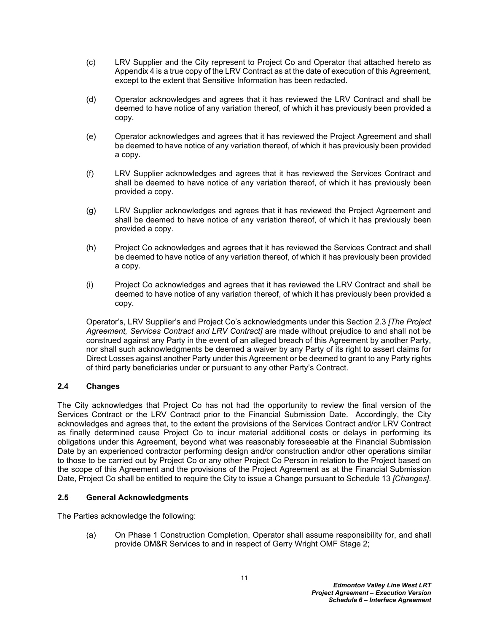- (c) LRV Supplier and the City represent to Project Co and Operator that attached hereto as [Appendix 4](#page-50-1) is a true copy of the LRV Contract as at the date of execution of this Agreement, except to the extent that Sensitive Information has been redacted.
- (d) Operator acknowledges and agrees that it has reviewed the LRV Contract and shall be deemed to have notice of any variation thereof, of which it has previously been provided a copy.
- (e) Operator acknowledges and agrees that it has reviewed the Project Agreement and shall be deemed to have notice of any variation thereof, of which it has previously been provided a copy.
- (f) LRV Supplier acknowledges and agrees that it has reviewed the Services Contract and shall be deemed to have notice of any variation thereof, of which it has previously been provided a copy.
- (g) LRV Supplier acknowledges and agrees that it has reviewed the Project Agreement and shall be deemed to have notice of any variation thereof, of which it has previously been provided a copy.
- (h) Project Co acknowledges and agrees that it has reviewed the Services Contract and shall be deemed to have notice of any variation thereof, of which it has previously been provided a copy.
- (i) Project Co acknowledges and agrees that it has reviewed the LRV Contract and shall be deemed to have notice of any variation thereof, of which it has previously been provided a copy.

Operator's, LRV Supplier's and Project Co's acknowledgments under this Section [2.3](#page-13-0) *[The Project Agreement, Services Contract and LRV Contract]* are made without prejudice to and shall not be construed against any Party in the event of an alleged breach of this Agreement by another Party, nor shall such acknowledgments be deemed a waiver by any Party of its right to assert claims for Direct Losses against another Party under this Agreement or be deemed to grant to any Party rights of third party beneficiaries under or pursuant to any other Party's Contract.

## <span id="page-14-0"></span>**2.4 Changes**

The City acknowledges that Project Co has not had the opportunity to review the final version of the Services Contract or the LRV Contract prior to the Financial Submission Date. Accordingly, the City acknowledges and agrees that, to the extent the provisions of the Services Contract and/or LRV Contract as finally determined cause Project Co to incur material additional costs or delays in performing its obligations under this Agreement, beyond what was reasonably foreseeable at the Financial Submission Date by an experienced contractor performing design and/or construction and/or other operations similar to those to be carried out by Project Co or any other Project Co Person in relation to the Project based on the scope of this Agreement and the provisions of the Project Agreement as at the Financial Submission Date, Project Co shall be entitled to require the City to issue a Change pursuant to Schedule 13 *[Changes]*.

### <span id="page-14-1"></span>**2.5 General Acknowledgments**

The Parties acknowledge the following:

(a) On Phase 1 Construction Completion, Operator shall assume responsibility for, and shall provide OM&R Services to and in respect of Gerry Wright OMF Stage 2;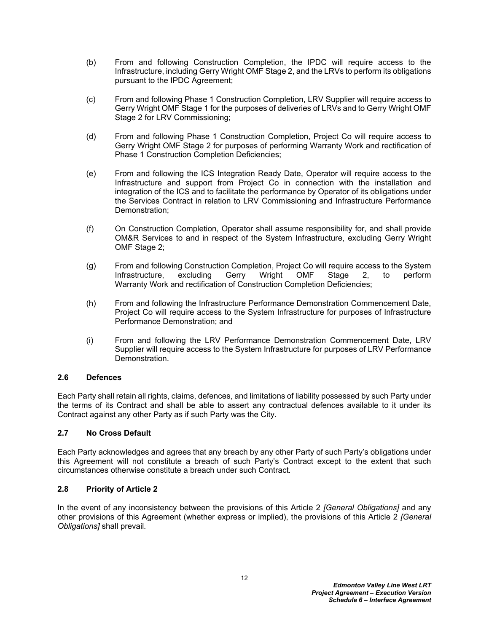- (b) From and following Construction Completion, the IPDC will require access to the Infrastructure, including Gerry Wright OMF Stage 2, and the LRVs to perform its obligations pursuant to the IPDC Agreement;
- (c) From and following Phase 1 Construction Completion, LRV Supplier will require access to Gerry Wright OMF Stage 1 for the purposes of deliveries of LRVs and to Gerry Wright OMF Stage 2 for LRV Commissioning;
- (d) From and following Phase 1 Construction Completion, Project Co will require access to Gerry Wright OMF Stage 2 for purposes of performing Warranty Work and rectification of Phase 1 Construction Completion Deficiencies;
- (e) From and following the ICS Integration Ready Date, Operator will require access to the Infrastructure and support from Project Co in connection with the installation and integration of the ICS and to facilitate the performance by Operator of its obligations under the Services Contract in relation to LRV Commissioning and Infrastructure Performance Demonstration;
- (f) On Construction Completion, Operator shall assume responsibility for, and shall provide OM&R Services to and in respect of the System Infrastructure, excluding Gerry Wright OMF Stage 2;
- (g) From and following Construction Completion, Project Co will require access to the System Infrastructure, excluding Gerry Wright OMF Stage 2, to perform Warranty Work and rectification of Construction Completion Deficiencies;
- (h) From and following the Infrastructure Performance Demonstration Commencement Date, Project Co will require access to the System Infrastructure for purposes of Infrastructure Performance Demonstration; and
- (i) From and following the LRV Performance Demonstration Commencement Date, LRV Supplier will require access to the System Infrastructure for purposes of LRV Performance Demonstration.

### <span id="page-15-0"></span>**2.6 Defences**

Each Party shall retain all rights, claims, defences, and limitations of liability possessed by such Party under the terms of its Contract and shall be able to assert any contractual defences available to it under its Contract against any other Party as if such Party was the City.

### <span id="page-15-1"></span>**2.7 No Cross Default**

Each Party acknowledges and agrees that any breach by any other Party of such Party's obligations under this Agreement will not constitute a breach of such Party's Contract except to the extent that such circumstances otherwise constitute a breach under such Contract*.*

### <span id="page-15-2"></span>**2.8 Priority of Article 2**

In the event of any inconsistency between the provisions of this [Article 2](#page-11-3) *[General Obligations]* and any other provisions of this Agreement (whether express or implied), the provisions of this [Article 2](#page-11-3) *[General Obligations]* shall prevail*.*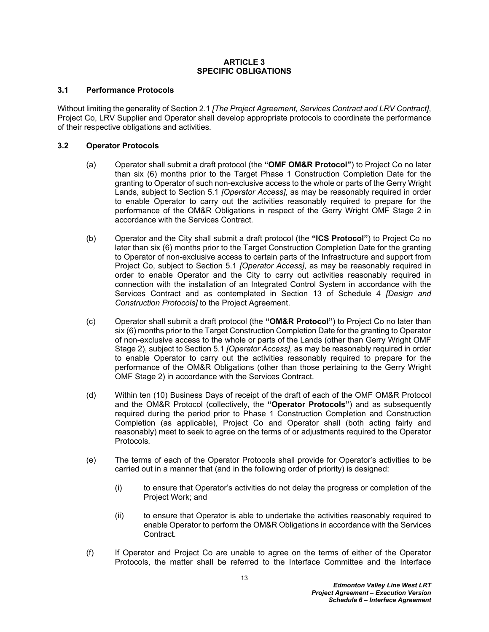#### <span id="page-16-0"></span>**ARTICLE 3 SPECIFIC OBLIGATIONS**

#### <span id="page-16-1"></span>**3.1 Performance Protocols**

Without limiting the generality of Section [2.1](#page-11-4) *[The Project Agreement, Services Contract and LRV Contract]*, Project Co, LRV Supplier and Operator shall develop appropriate protocols to coordinate the performance of their respective obligations and activities*.*

#### <span id="page-16-2"></span>**3.2 Operator Protocols**

- <span id="page-16-3"></span>(a) Operator shall submit a draft protocol (the **"OMF OM&R Protocol"**) to Project Co no later than six (6) months prior to the Target Phase 1 Construction Completion Date for the granting to Operator of such non-exclusive access to the whole or parts of the Gerry Wright Lands, subject to Section [5.1](#page-27-1) *[Operator Access]*, as may be reasonably required in order to enable Operator to carry out the activities reasonably required to prepare for the performance of the OM&R Obligations in respect of the Gerry Wright OMF Stage 2 in accordance with the Services Contract*.*
- <span id="page-16-4"></span>(b) Operator and the City shall submit a draft protocol (the **"ICS Protocol"**) to Project Co no later than six (6) months prior to the Target Construction Completion Date for the granting to Operator of non-exclusive access to certain parts of the Infrastructure and support from Project Co, subject to Section [5.1](#page-27-1) *[Operator Access]*, as may be reasonably required in order to enable Operator and the City to carry out activities reasonably required in connection with the installation of an Integrated Control System in accordance with the Services Contract and as contemplated in Section 13 of Schedule 4 *[Design and Construction Protocols]* to the Project Agreement.
- (c) Operator shall submit a draft protocol (the **"OM&R Protocol"**) to Project Co no later than six (6) months prior to the Target Construction Completion Date for the granting to Operator of non-exclusive access to the whole or parts of the Lands (other than Gerry Wright OMF Stage 2), subject to Section [5.1](#page-27-1) *[Operator Access]*, as may be reasonably required in order to enable Operator to carry out the activities reasonably required to prepare for the performance of the OM&R Obligations (other than those pertaining to the Gerry Wright OMF Stage 2) in accordance with the Services Contract*.*
- <span id="page-16-5"></span>(d) Within ten (10) Business Days of receipt of the draft of each of the OMF OM&R Protocol and the OM&R Protocol (collectively, the **"Operator Protocols"**) and as subsequently required during the period prior to Phase 1 Construction Completion and Construction Completion (as applicable), Project Co and Operator shall (both acting fairly and reasonably) meet to seek to agree on the terms of or adjustments required to the Operator Protocols*.*
- (e) The terms of each of the Operator Protocols shall provide for Operator's activities to be carried out in a manner that (and in the following order of priority) is designed:
	- (i) to ensure that Operator's activities do not delay the progress or completion of the Project Work; and
	- (ii) to ensure that Operator is able to undertake the activities reasonably required to enable Operator to perform the OM&R Obligations in accordance with the Services Contract*.*
- (f) If Operator and Project Co are unable to agree on the terms of either of the Operator Protocols, the matter shall be referred to the Interface Committee and the Interface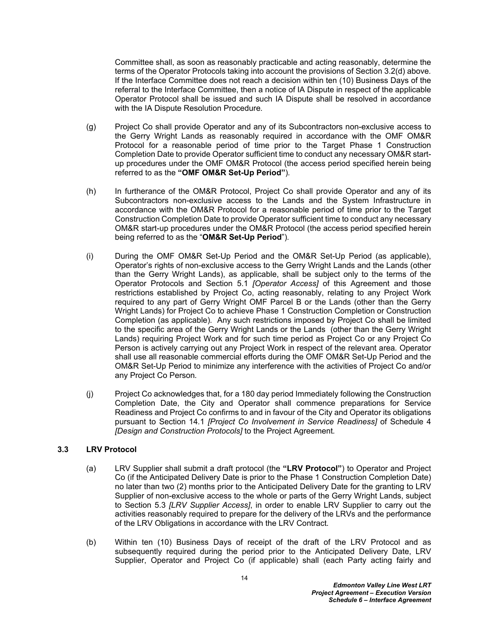Committee shall, as soon as reasonably practicable and acting reasonably, determine the terms of the Operator Protocols taking into account the provisions of Section [3.2\(d\)](#page-16-5) above*.* If the Interface Committee does not reach a decision within ten (10) Business Days of the referral to the Interface Committee, then a notice of IA Dispute in respect of the applicable Operator Protocol shall be issued and such IA Dispute shall be resolved in accordance with the IA Dispute Resolution Procedure*.*

- <span id="page-17-2"></span>(g) Project Co shall provide Operator and any of its Subcontractors non-exclusive access to the Gerry Wright Lands as reasonably required in accordance with the OMF OM&R Protocol for a reasonable period of time prior to the Target Phase 1 Construction Completion Date to provide Operator sufficient time to conduct any necessary OM&R startup procedures under the OMF OM&R Protocol (the access period specified herein being referred to as the **"OMF OM&R Set-Up Period"**)*.*
- (h) In furtherance of the OM&R Protocol, Project Co shall provide Operator and any of its Subcontractors non-exclusive access to the Lands and the System Infrastructure in accordance with the OM&R Protocol for a reasonable period of time prior to the Target Construction Completion Date to provide Operator sufficient time to conduct any necessary OM&R start-up procedures under the OM&R Protocol (the access period specified herein being referred to as the "**OM&R Set-Up Period**")*.*
- (i) During the OMF OM&R Set-Up Period and the OM&R Set-Up Period (as applicable), Operator's rights of non-exclusive access to the Gerry Wright Lands and the Lands (other than the Gerry Wright Lands), as applicable, shall be subject only to the terms of the Operator Protocols and Section [5.1](#page-27-1) *[Operator Access]* of this Agreement and those restrictions established by Project Co, acting reasonably, relating to any Project Work required to any part of Gerry Wright OMF Parcel B or the Lands (other than the Gerry Wright Lands) for Project Co to achieve Phase 1 Construction Completion or Construction Completion (as applicable)*.* Any such restrictions imposed by Project Co shall be limited to the specific area of the Gerry Wright Lands or the Lands (other than the Gerry Wright Lands) requiring Project Work and for such time period as Project Co or any Project Co Person is actively carrying out any Project Work in respect of the relevant area*.* Operator shall use all reasonable commercial efforts during the OMF OM&R Set-Up Period and the OM&R Set-Up Period to minimize any interference with the activities of Project Co and/or any Project Co Person*.*
- (j) Project Co acknowledges that, for a 180 day period Immediately following the Construction Completion Date, the City and Operator shall commence preparations for Service Readiness and Project Co confirms to and in favour of the City and Operator its obligations pursuant to Section 14*.*1 *[Project Co Involvement in Service Readiness]* of Schedule 4 *[Design and Construction Protocols]* to the Project Agreement*.*

### <span id="page-17-0"></span>**3.3 LRV Protocol**

- <span id="page-17-1"></span>(a) LRV Supplier shall submit a draft protocol (the **"LRV Protocol"**) to Operator and Project Co (if the Anticipated Delivery Date is prior to the Phase 1 Construction Completion Date) no later than two (2) months prior to the Anticipated Delivery Date for the granting to LRV Supplier of non-exclusive access to the whole or parts of the Gerry Wright Lands, subject to Section [5.3](#page-29-0) *[LRV Supplier Access]*, in order to enable LRV Supplier to carry out the activities reasonably required to prepare for the delivery of the LRVs and the performance of the LRV Obligations in accordance with the LRV Contract*.*
- (b) Within ten (10) Business Days of receipt of the draft of the LRV Protocol and as subsequently required during the period prior to the Anticipated Delivery Date, LRV Supplier, Operator and Project Co (if applicable) shall (each Party acting fairly and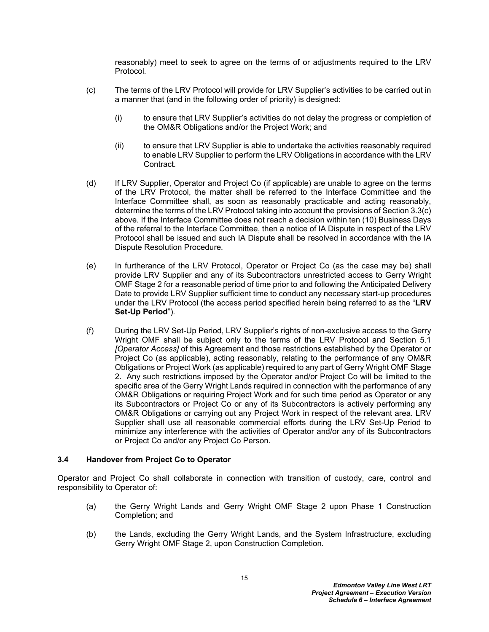reasonably) meet to seek to agree on the terms of or adjustments required to the LRV Protocol*.*

- <span id="page-18-1"></span>(c) The terms of the LRV Protocol will provide for LRV Supplier's activities to be carried out in a manner that (and in the following order of priority) is designed:
	- (i) to ensure that LRV Supplier's activities do not delay the progress or completion of the OM&R Obligations and/or the Project Work; and
	- (ii) to ensure that LRV Supplier is able to undertake the activities reasonably required to enable LRV Supplier to perform the LRV Obligations in accordance with the LRV Contract*.*
- (d) If LRV Supplier, Operator and Project Co (if applicable) are unable to agree on the terms of the LRV Protocol, the matter shall be referred to the Interface Committee and the Interface Committee shall, as soon as reasonably practicable and acting reasonably, determine the terms of the LRV Protocol taking into account the provisions of Section [3.3\(c\)](#page-18-1) above*.* If the Interface Committee does not reach a decision within ten (10) Business Days of the referral to the Interface Committee, then a notice of IA Dispute in respect of the LRV Protocol shall be issued and such IA Dispute shall be resolved in accordance with the IA Dispute Resolution Procedure*.*
- (e) In furtherance of the LRV Protocol, Operator or Project Co (as the case may be) shall provide LRV Supplier and any of its Subcontractors unrestricted access to Gerry Wright OMF Stage 2 for a reasonable period of time prior to and following the Anticipated Delivery Date to provide LRV Supplier sufficient time to conduct any necessary start-up procedures under the LRV Protocol (the access period specified herein being referred to as the "**LRV Set-Up Period**")*.*
- (f) During the LRV Set-Up Period, LRV Supplier's rights of non-exclusive access to the Gerry Wright OMF shall be subject only to the terms of the LRV Protocol and Section [5.1](#page-27-1)  *[Operator Access]* of this Agreement and those restrictions established by the Operator or Project Co (as applicable), acting reasonably, relating to the performance of any OM&R Obligations or Project Work (as applicable) required to any part of Gerry Wright OMF Stage 2. Any such restrictions imposed by the Operator and/or Project Co will be limited to the specific area of the Gerry Wright Lands required in connection with the performance of any OM&R Obligations or requiring Project Work and for such time period as Operator or any its Subcontractors or Project Co or any of its Subcontractors is actively performing any OM&R Obligations or carrying out any Project Work in respect of the relevant area*.* LRV Supplier shall use all reasonable commercial efforts during the LRV Set-Up Period to minimize any interference with the activities of Operator and/or any of its Subcontractors or Project Co and/or any Project Co Person*.*

### <span id="page-18-0"></span>**3.4 Handover from Project Co to Operator**

Operator and Project Co shall collaborate in connection with transition of custody, care, control and responsibility to Operator of:

- (a) the Gerry Wright Lands and Gerry Wright OMF Stage 2 upon Phase 1 Construction Completion; and
- (b) the Lands, excluding the Gerry Wright Lands, and the System Infrastructure, excluding Gerry Wright OMF Stage 2, upon Construction Completion*.*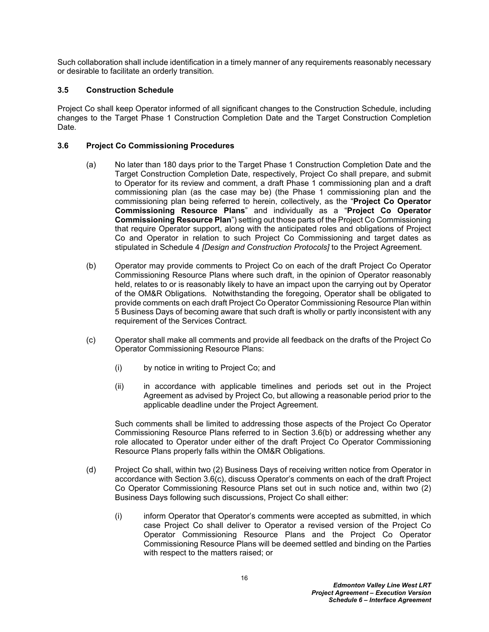Such collaboration shall include identification in a timely manner of any requirements reasonably necessary or desirable to facilitate an orderly transition*.*

## <span id="page-19-0"></span>**3.5 Construction Schedule**

Project Co shall keep Operator informed of all significant changes to the Construction Schedule, including changes to the Target Phase 1 Construction Completion Date and the Target Construction Completion Date*.*

### <span id="page-19-1"></span>**3.6 Project Co Commissioning Procedures**

- (a) No later than 180 days prior to the Target Phase 1 Construction Completion Date and the Target Construction Completion Date, respectively, Project Co shall prepare, and submit to Operator for its review and comment, a draft Phase 1 commissioning plan and a draft commissioning plan (as the case may be) (the Phase 1 commissioning plan and the commissioning plan being referred to herein, collectively, as the "**Project Co Operator Commissioning Resource Plans**" and individually as a "**Project Co Operator Commissioning Resource Plan**") setting out those parts of the Project Co Commissioning that require Operator support, along with the anticipated roles and obligations of Project Co and Operator in relation to such Project Co Commissioning and target dates as stipulated in Schedule 4 *[Design and Construction Protocols]* to the Project Agreement.
- <span id="page-19-2"></span>(b) Operator may provide comments to Project Co on each of the draft Project Co Operator Commissioning Resource Plans where such draft, in the opinion of Operator reasonably held, relates to or is reasonably likely to have an impact upon the carrying out by Operator of the OM&R Obligations*.* Notwithstanding the foregoing, Operator shall be obligated to provide comments on each draft Project Co Operator Commissioning Resource Plan within 5 Business Days of becoming aware that such draft is wholly or partly inconsistent with any requirement of the Services Contract*.*
- <span id="page-19-3"></span>(c) Operator shall make all comments and provide all feedback on the drafts of the Project Co Operator Commissioning Resource Plans:
	- (i) by notice in writing to Project Co; and
	- (ii) in accordance with applicable timelines and periods set out in the Project Agreement as advised by Project Co, but allowing a reasonable period prior to the applicable deadline under the Project Agreement*.*

Such comments shall be limited to addressing those aspects of the Project Co Operator Commissioning Resource Plans referred to in Section [3.6\(b\)](#page-19-2) or addressing whether any role allocated to Operator under either of the draft Project Co Operator Commissioning Resource Plans properly falls within the OM&R Obligations*.*

- (d) Project Co shall, within two (2) Business Days of receiving written notice from Operator in accordance with Section [3.6\(c\),](#page-19-3) discuss Operator's comments on each of the draft Project Co Operator Commissioning Resource Plans set out in such notice and, within two (2) Business Days following such discussions, Project Co shall either:
	- (i) inform Operator that Operator's comments were accepted as submitted, in which case Project Co shall deliver to Operator a revised version of the Project Co Operator Commissioning Resource Plans and the Project Co Operator Commissioning Resource Plans will be deemed settled and binding on the Parties with respect to the matters raised; or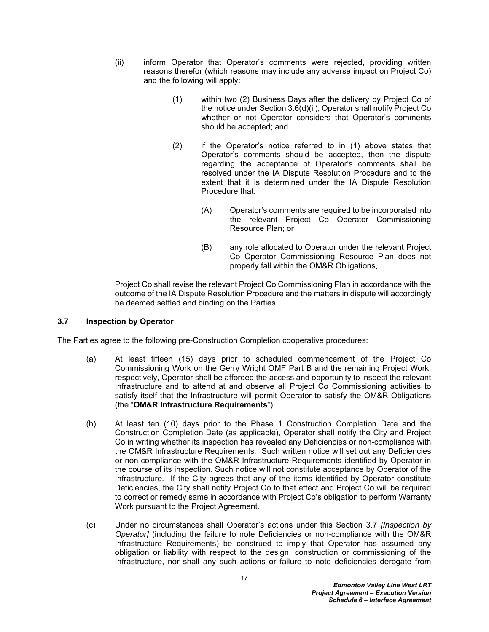- <span id="page-20-3"></span><span id="page-20-2"></span>(ii) inform Operator that Operator's comments were rejected, providing written reasons therefor (which reasons may include any adverse impact on Project Co) and the following will apply:
	- (1) within two (2) Business Days after the delivery by Project Co of the notice under Section [3.6\(d\)\(ii\),](#page-20-2) Operator shall notify Project Co whether or not Operator considers that Operator's comments should be accepted; and
	- (2) if the Operator's notice referred to in [\(1\)](#page-20-3) above states that Operator's comments should be accepted, then the dispute regarding the acceptance of Operator's comments shall be resolved under the IA Dispute Resolution Procedure and to the extent that it is determined under the IA Dispute Resolution Procedure that:
		- (A) Operator's comments are required to be incorporated into the relevant Project Co Operator Commissioning Resource Plan; or
		- (B) any role allocated to Operator under the relevant Project Co Operator Commissioning Resource Plan does not properly fall within the OM&R Obligations,

Project Co shall revise the relevant Project Co Commissioning Plan in accordance with the outcome of the IA Dispute Resolution Procedure and the matters in dispute will accordingly be deemed settled and binding on the Parties*.*

#### <span id="page-20-0"></span>**3.7 Inspection by Operator**

The Parties agree to the following pre-Construction Completion cooperative procedures:

- <span id="page-20-1"></span>(a) At least fifteen (15) days prior to scheduled commencement of the Project Co Commissioning Work on the Gerry Wright OMF Part B and the remaining Project Work, respectively, Operator shall be afforded the access and opportunity to inspect the relevant Infrastructure and to attend at and observe all Project Co Commissioning activities to satisfy itself that the Infrastructure will permit Operator to satisfy the OM&R Obligations (the "**OM&R Infrastructure Requirements**").
- (b) At least ten (10) days prior to the Phase 1 Construction Completion Date and the Construction Completion Date (as applicable), Operator shall notify the City and Project Co in writing whether its inspection has revealed any Deficiencies or non-compliance with the OM&R Infrastructure Requirements*.* Such written notice will set out any Deficiencies or non-compliance with the OM&R Infrastructure Requirements identified by Operator in the course of its inspection*.* Such notice will not constitute acceptance by Operator of the Infrastructure*.* If the City agrees that any of the items identified by Operator constitute Deficiencies, the City shall notify Project Co to that effect and Project Co will be required to correct or remedy same in accordance with Project Co's obligation to perform Warranty Work pursuant to the Project Agreement*.*
- (c) Under no circumstances shall Operator's actions under this Section [3.7](#page-20-0) *[Inspection by Operator]* (including the failure to note Deficiencies or non-compliance with the OM&R Infrastructure Requirements) be construed to imply that Operator has assumed any obligation or liability with respect to the design, construction or commissioning of the Infrastructure, nor shall any such actions or failure to note deficiencies derogate from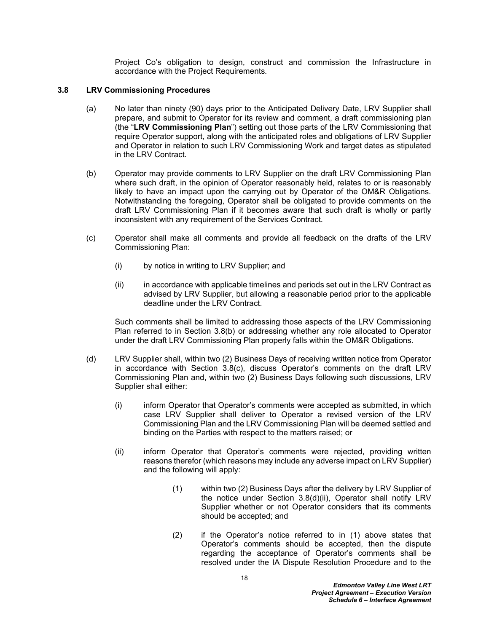Project Co's obligation to design, construct and commission the Infrastructure in accordance with the Project Requirements*.*

#### <span id="page-21-0"></span>**3.8 LRV Commissioning Procedures**

- <span id="page-21-1"></span>(a) No later than ninety (90) days prior to the Anticipated Delivery Date, LRV Supplier shall prepare, and submit to Operator for its review and comment, a draft commissioning plan (the "**LRV Commissioning Plan**") setting out those parts of the LRV Commissioning that require Operator support, along with the anticipated roles and obligations of LRV Supplier and Operator in relation to such LRV Commissioning Work and target dates as stipulated in the LRV Contract*.*
- <span id="page-21-2"></span>(b) Operator may provide comments to LRV Supplier on the draft LRV Commissioning Plan where such draft, in the opinion of Operator reasonably held, relates to or is reasonably likely to have an impact upon the carrying out by Operator of the OM&R Obligations*.* Notwithstanding the foregoing, Operator shall be obligated to provide comments on the draft LRV Commissioning Plan if it becomes aware that such draft is wholly or partly inconsistent with any requirement of the Services Contract*.*
- <span id="page-21-3"></span>(c) Operator shall make all comments and provide all feedback on the drafts of the LRV Commissioning Plan:
	- (i) by notice in writing to LRV Supplier; and
	- (ii) in accordance with applicable timelines and periods set out in the LRV Contract as advised by LRV Supplier, but allowing a reasonable period prior to the applicable deadline under the LRV Contract*.*

Such comments shall be limited to addressing those aspects of the LRV Commissioning Plan referred to in Section [3.8\(b\)](#page-21-2) or addressing whether any role allocated to Operator under the draft LRV Commissioning Plan properly falls within the OM&R Obligations*.*

- <span id="page-21-5"></span><span id="page-21-4"></span>(d) LRV Supplier shall, within two (2) Business Days of receiving written notice from Operator in accordance with Section [3.8\(c\)](#page-21-3), discuss Operator's comments on the draft LRV Commissioning Plan and, within two (2) Business Days following such discussions, LRV Supplier shall either:
	- (i) inform Operator that Operator's comments were accepted as submitted, in which case LRV Supplier shall deliver to Operator a revised version of the LRV Commissioning Plan and the LRV Commissioning Plan will be deemed settled and binding on the Parties with respect to the matters raised; or
	- (ii) inform Operator that Operator's comments were rejected, providing written reasons therefor (which reasons may include any adverse impact on LRV Supplier) and the following will apply:
		- (1) within two (2) Business Days after the delivery by LRV Supplier of the notice under Section [3.8\(d\)\(ii\)](#page-21-4), Operator shall notify LRV Supplier whether or not Operator considers that its comments should be accepted; and
		- (2) if the Operator's notice referred to in [\(1\)](#page-21-5) above states that Operator's comments should be accepted, then the dispute regarding the acceptance of Operator's comments shall be resolved under the IA Dispute Resolution Procedure and to the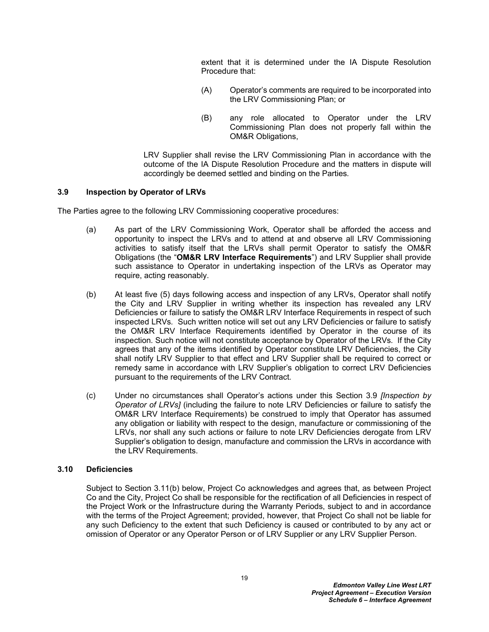extent that it is determined under the IA Dispute Resolution Procedure that:

- (A) Operator's comments are required to be incorporated into the LRV Commissioning Plan; or
- (B) any role allocated to Operator under the LRV Commissioning Plan does not properly fall within the OM&R Obligations,

LRV Supplier shall revise the LRV Commissioning Plan in accordance with the outcome of the IA Dispute Resolution Procedure and the matters in dispute will accordingly be deemed settled and binding on the Parties*.*

#### <span id="page-22-0"></span>**3.9 Inspection by Operator of LRVs**

The Parties agree to the following LRV Commissioning cooperative procedures:

- <span id="page-22-2"></span>(a) As part of the LRV Commissioning Work, Operator shall be afforded the access and opportunity to inspect the LRVs and to attend at and observe all LRV Commissioning activities to satisfy itself that the LRVs shall permit Operator to satisfy the OM&R Obligations (the "**OM&R LRV Interface Requirements**") and LRV Supplier shall provide such assistance to Operator in undertaking inspection of the LRVs as Operator may require, acting reasonably.
- (b) At least five (5) days following access and inspection of any LRVs, Operator shall notify the City and LRV Supplier in writing whether its inspection has revealed any LRV Deficiencies or failure to satisfy the OM&R LRV Interface Requirements in respect of such inspected LRVs*.* Such written notice will set out any LRV Deficiencies or failure to satisfy the OM&R LRV Interface Requirements identified by Operator in the course of its inspection*.* Such notice will not constitute acceptance by Operator of the LRVs*.* If the City agrees that any of the items identified by Operator constitute LRV Deficiencies, the City shall notify LRV Supplier to that effect and LRV Supplier shall be required to correct or remedy same in accordance with LRV Supplier's obligation to correct LRV Deficiencies pursuant to the requirements of the LRV Contract*.*
- (c) Under no circumstances shall Operator's actions under this Section [3.9](#page-22-0) *[Inspection by Operator of LRVs]* (including the failure to note LRV Deficiencies or failure to satisfy the OM&R LRV Interface Requirements) be construed to imply that Operator has assumed any obligation or liability with respect to the design, manufacture or commissioning of the LRVs, nor shall any such actions or failure to note LRV Deficiencies derogate from LRV Supplier's obligation to design, manufacture and commission the LRVs in accordance with the LRV Requirements.

### <span id="page-22-1"></span>**3.10 Deficiencies**

Subject to Section [3.11\(b\)](#page-23-1) below, Project Co acknowledges and agrees that, as between Project Co and the City, Project Co shall be responsible for the rectification of all Deficiencies in respect of the Project Work or the Infrastructure during the Warranty Periods, subject to and in accordance with the terms of the Project Agreement; provided, however, that Project Co shall not be liable for any such Deficiency to the extent that such Deficiency is caused or contributed to by any act or omission of Operator or any Operator Person or of LRV Supplier or any LRV Supplier Person.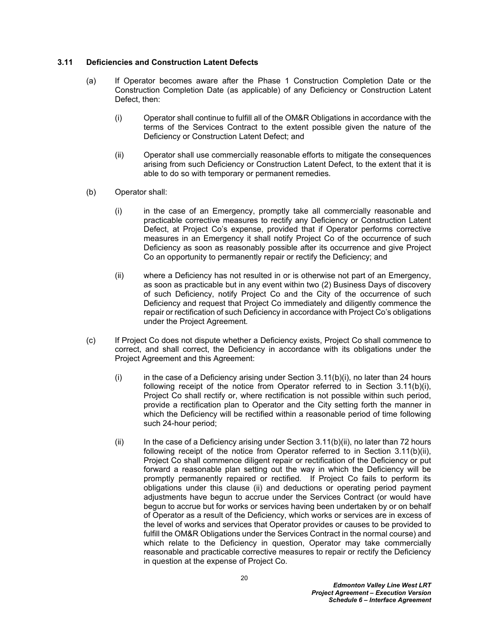#### <span id="page-23-0"></span>**3.11 Deficiencies and Construction Latent Defects**

- (a) If Operator becomes aware after the Phase 1 Construction Completion Date or the Construction Completion Date (as applicable) of any Deficiency or Construction Latent Defect, then:
	- (i) Operator shall continue to fulfill all of the OM&R Obligations in accordance with the terms of the Services Contract to the extent possible given the nature of the Deficiency or Construction Latent Defect; and
	- (ii) Operator shall use commercially reasonable efforts to mitigate the consequences arising from such Deficiency or Construction Latent Defect, to the extent that it is able to do so with temporary or permanent remedies*.*
- <span id="page-23-2"></span><span id="page-23-1"></span>(b) Operator shall:
	- (i) in the case of an Emergency, promptly take all commercially reasonable and practicable corrective measures to rectify any Deficiency or Construction Latent Defect, at Project Co's expense, provided that if Operator performs corrective measures in an Emergency it shall notify Project Co of the occurrence of such Deficiency as soon as reasonably possible after its occurrence and give Project Co an opportunity to permanently repair or rectify the Deficiency; and
	- (ii) where a Deficiency has not resulted in or is otherwise not part of an Emergency, as soon as practicable but in any event within two (2) Business Days of discovery of such Deficiency, notify Project Co and the City of the occurrence of such Deficiency and request that Project Co immediately and diligently commence the repair or rectification of such Deficiency in accordance with Project Co's obligations under the Project Agreement*.*
- <span id="page-23-3"></span>(c) If Project Co does not dispute whether a Deficiency exists, Project Co shall commence to correct, and shall correct, the Deficiency in accordance with its obligations under the Project Agreement and this Agreement:
	- (i) in the case of a Deficiency arising under Section  $3.11(b)(i)$ , no later than 24 hours following receipt of the notice from Operator referred to in Section [3.11\(b\)\(i\)](#page-23-2), Project Co shall rectify or, where rectification is not possible within such period, provide a rectification plan to Operator and the City setting forth the manner in which the Deficiency will be rectified within a reasonable period of time following such 24-hour period;
	- $(ii)$  In the case of a Deficiency arising under Section [3.11\(b\)\(ii\)](#page-23-3), no later than 72 hours following receipt of the notice from Operator referred to in Section [3.11\(b\)\(ii\)](#page-23-3), Project Co shall commence diligent repair or rectification of the Deficiency or put forward a reasonable plan setting out the way in which the Deficiency will be promptly permanently repaired or rectified*.* If Project Co fails to perform its obligations under this clause (ii) and deductions or operating period payment adjustments have begun to accrue under the Services Contract (or would have begun to accrue but for works or services having been undertaken by or on behalf of Operator as a result of the Deficiency, which works or services are in excess of the level of works and services that Operator provides or causes to be provided to fulfill the OM&R Obligations under the Services Contract in the normal course) and which relate to the Deficiency in question, Operator may take commercially reasonable and practicable corrective measures to repair or rectify the Deficiency in question at the expense of Project Co*.*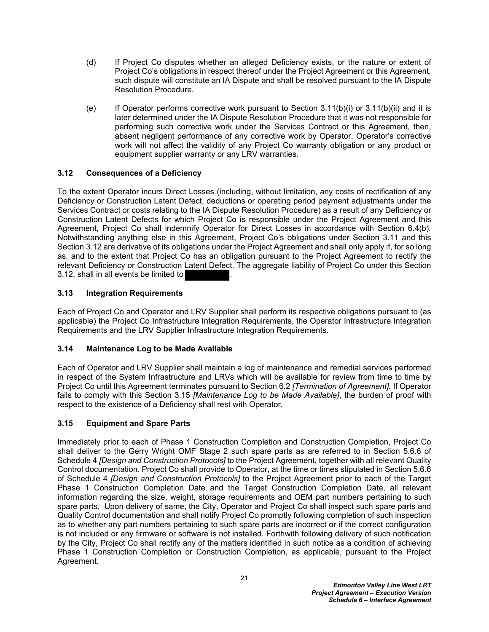- (d) If Project Co disputes whether an alleged Deficiency exists, or the nature or extent of Project Co's obligations in respect thereof under the Project Agreement or this Agreement, such dispute will constitute an IA Dispute and shall be resolved pursuant to the IA Dispute Resolution Procedure*.*
- (e) If Operator performs corrective work pursuant to Section  $3.11(b)(i)$  or  $3.11(b)(ii)$  and it is later determined under the IA Dispute Resolution Procedure that it was not responsible for performing such corrective work under the Services Contract or this Agreement, then, absent negligent performance of any corrective work by Operator, Operator's corrective work will not affect the validity of any Project Co warranty obligation or any product or equipment supplier warranty or any LRV warranties*.*

### <span id="page-24-0"></span>**3.12 Consequences of a Deficiency**

To the extent Operator incurs Direct Losses (including, without limitation, any costs of rectification of any Deficiency or Construction Latent Defect, deductions or operating period payment adjustments under the Services Contract or costs relating to the IA Dispute Resolution Procedure) as a result of any Deficiency or Construction Latent Defects for which Project Co is responsible under the Project Agreement and this Agreement, Project Co shall indemnify Operator for Direct Losses in accordance with Section [6.4\(b\)](#page-31-5)*.* Notwithstanding anything else in this Agreement, Project Co's obligations under Section [3.11](#page-23-0) and this Section [3.12](#page-24-0) are derivative of its obligations under the Project Agreement and shall only apply if, for so long as, and to the extent that Project Co has an obligation pursuant to the Project Agreement to rectify the relevant Deficiency or Construction Latent Defect. The aggregate liability of Project Co under this Section [3.12](#page-24-0), shall in all events be limited to *.* 

### <span id="page-24-1"></span>**3.13 Integration Requirements**

Each of Project Co and Operator and LRV Supplier shall perform its respective obligations pursuant to (as applicable) the Project Co Infrastructure Integration Requirements, the Operator Infrastructure Integration Requirements and the LRV Supplier Infrastructure Integration Requirements.

### <span id="page-24-2"></span>**3.14 Maintenance Log to be Made Available**

Each of Operator and LRV Supplier shall maintain a log of maintenance and remedial services performed in respect of the System Infrastructure and LRVs which will be available for review from time to time by Project Co until this Agreement terminates pursuant to Section [6.2](#page-31-2) *[Termination of Agreement].* If Operator fails to comply with this Section [3.15](#page-24-3) *[Maintenance Log to be Made Available]*, the burden of proof with respect to the existence of a Deficiency shall rest with Operator*.*

### <span id="page-24-3"></span>**3.15 Equipment and Spare Parts**

Immediately prior to each of Phase 1 Construction Completion and Construction Completion, Project Co shall deliver to the Gerry Wright OMF Stage 2 such spare parts as are referred to in Section 5.6.6 of Schedule 4 *[Design and Construction Protocols]* to the Project Agreement, together with all relevant Quality Control documentation. Project Co shall provide to Operator, at the time or times stipulated in Section 5.6.6 of Schedule 4 *[Design and Construction Protocols]* to the Project Agreement prior to each of the Target Phase 1 Construction Completion Date and the Target Construction Completion Date, all relevant information regarding the size, weight, storage requirements and OEM part numbers pertaining to such spare parts*.* Upon delivery of same, the City, Operator and Project Co shall inspect such spare parts and Quality Control documentation and shall notify Project Co promptly following completion of such inspection as to whether any part numbers pertaining to such spare parts are incorrect or if the correct configuration is not included or any firmware or software is not installed. Forthwith following delivery of such notification by the City, Project Co shall rectify any of the matters identified in such notice as a condition of achieving Phase 1 Construction Completion or Construction Completion, as applicable, pursuant to the Project Agreement.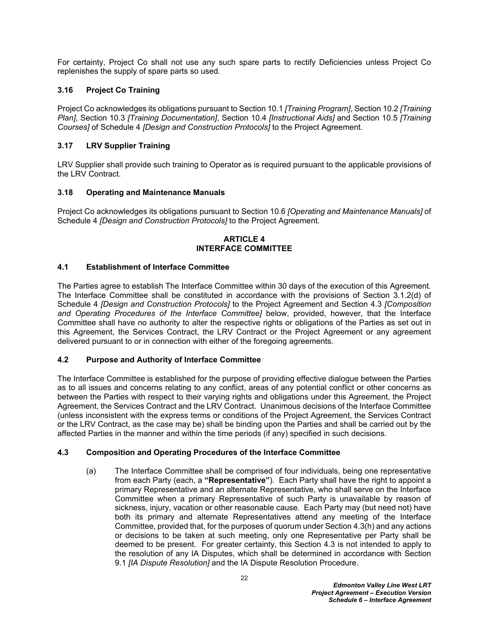For certainty, Project Co shall not use any such spare parts to rectify Deficiencies unless Project Co replenishes the supply of spare parts so used*.*

## <span id="page-25-0"></span>**3.16 Project Co Training**

Project Co acknowledges its obligations pursuant to Section 10.1 *[Training Program]*, Section 10.2 *[Training Plan]*, Section 10.3 *[Training Documentation]*, Section 10.4 *[Instructional Aids]* and Section 10.5 *[Training Courses]* of Schedule 4 *[Design and Construction Protocols]* to the Project Agreement*.*

## <span id="page-25-1"></span>**3.17 LRV Supplier Training**

LRV Supplier shall provide such training to Operator as is required pursuant to the applicable provisions of the LRV Contract.

### <span id="page-25-2"></span>**3.18 Operating and Maintenance Manuals**

Project Co acknowledges its obligations pursuant to Section 10.6 *[Operating and Maintenance Manuals]* of Schedule 4 *[Design and Construction Protocols]* to the Project Agreement*.*

#### <span id="page-25-3"></span>**ARTICLE 4 INTERFACE COMMITTEE**

### <span id="page-25-4"></span>**4.1 Establishment of Interface Committee**

The Parties agree to establish The Interface Committee within 30 days of the execution of this Agreement*.* The Interface Committee shall be constituted in accordance with the provisions of Section 3*.*1.2(d) of Schedule 4 *[Design and Construction Protocols]* to the Project Agreement and Section [4.3](#page-25-6) *[Composition and Operating Procedures of the Interface Committee]* below, provided, however, that the Interface Committee shall have no authority to alter the respective rights or obligations of the Parties as set out in this Agreement, the Services Contract, the LRV Contract or the Project Agreement or any agreement delivered pursuant to or in connection with either of the foregoing agreements*.*

### <span id="page-25-5"></span>**4.2 Purpose and Authority of Interface Committee**

The Interface Committee is established for the purpose of providing effective dialogue between the Parties as to all issues and concerns relating to any conflict, areas of any potential conflict or other concerns as between the Parties with respect to their varying rights and obligations under this Agreement, the Project Agreement, the Services Contract and the LRV Contract*.* Unanimous decisions of the Interface Committee (unless inconsistent with the express terms or conditions of the Project Agreement, the Services Contract or the LRV Contract, as the case may be) shall be binding upon the Parties and shall be carried out by the affected Parties in the manner and within the time periods (if any) specified in such decisions*.*

### <span id="page-25-6"></span>**4.3 Composition and Operating Procedures of the Interface Committee**

(a) The Interface Committee shall be comprised of four individuals, being one representative from each Party (each, a **"Representative"**)*.* Each Party shall have the right to appoint a primary Representative and an alternate Representative, who shall serve on the Interface Committee when a primary Representative of such Party is unavailable by reason of sickness, injury, vacation or other reasonable cause*.* Each Party may (but need not) have both its primary and alternate Representatives attend any meeting of the Interface Committee, provided that, for the purposes of quorum under Section [4.3\(h\)](#page-26-2) and any actions or decisions to be taken at such meeting, only one Representative per Party shall be deemed to be present*.* For greater certainty, this Section [4.3](#page-25-6) is not intended to apply to the resolution of any IA Disputes, which shall be determined in accordance with Section [9.1](#page-37-1) *[IA Dispute Resolution]* and the IA Dispute Resolution Procedure.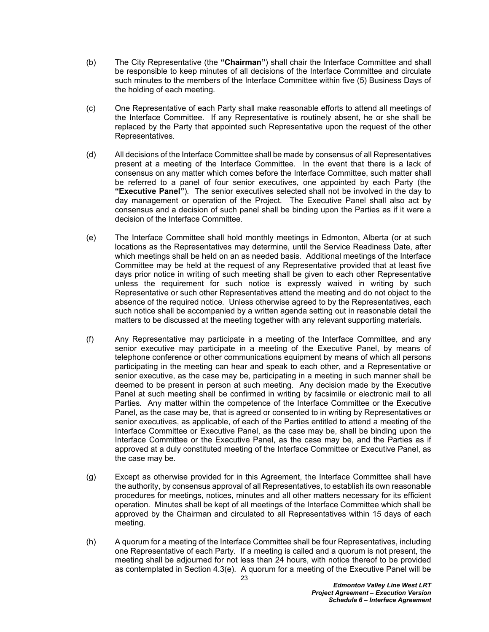- <span id="page-26-0"></span>(b) The City Representative (the **"Chairman"**) shall chair the Interface Committee and shall be responsible to keep minutes of all decisions of the Interface Committee and circulate such minutes to the members of the Interface Committee within five (5) Business Days of the holding of each meeting*.*
- (c) One Representative of each Party shall make reasonable efforts to attend all meetings of the Interface Committee*.* If any Representative is routinely absent, he or she shall be replaced by the Party that appointed such Representative upon the request of the other Representatives*.*
- <span id="page-26-1"></span>(d) All decisions of the Interface Committee shall be made by consensus of all Representatives present at a meeting of the Interface Committee*.* In the event that there is a lack of consensus on any matter which comes before the Interface Committee, such matter shall be referred to a panel of four senior executives, one appointed by each Party (the **"Executive Panel"**)*.* The senior executives selected shall not be involved in the day to day management or operation of the Project*.* The Executive Panel shall also act by consensus and a decision of such panel shall be binding upon the Parties as if it were a decision of the Interface Committee*.*
- <span id="page-26-3"></span>(e) The Interface Committee shall hold monthly meetings in Edmonton, Alberta (or at such locations as the Representatives may determine, until the Service Readiness Date, after which meetings shall be held on an as needed basis*.* Additional meetings of the Interface Committee may be held at the request of any Representative provided that at least five days prior notice in writing of such meeting shall be given to each other Representative unless the requirement for such notice is expressly waived in writing by such Representative or such other Representatives attend the meeting and do not object to the absence of the required notice*.* Unless otherwise agreed to by the Representatives, each such notice shall be accompanied by a written agenda setting out in reasonable detail the matters to be discussed at the meeting together with any relevant supporting materials*.*
- (f) Any Representative may participate in a meeting of the Interface Committee, and any senior executive may participate in a meeting of the Executive Panel, by means of telephone conference or other communications equipment by means of which all persons participating in the meeting can hear and speak to each other, and a Representative or senior executive, as the case may be, participating in a meeting in such manner shall be deemed to be present in person at such meeting*.* Any decision made by the Executive Panel at such meeting shall be confirmed in writing by facsimile or electronic mail to all Parties*.* Any matter within the competence of the Interface Committee or the Executive Panel, as the case may be, that is agreed or consented to in writing by Representatives or senior executives, as applicable, of each of the Parties entitled to attend a meeting of the Interface Committee or Executive Panel, as the case may be, shall be binding upon the Interface Committee or the Executive Panel, as the case may be, and the Parties as if approved at a duly constituted meeting of the Interface Committee or Executive Panel, as the case may be*.*
- (g) Except as otherwise provided for in this Agreement, the Interface Committee shall have the authority, by consensus approval of all Representatives, to establish its own reasonable procedures for meetings, notices, minutes and all other matters necessary for its efficient operation*.* Minutes shall be kept of all meetings of the Interface Committee which shall be approved by the Chairman and circulated to all Representatives within 15 days of each meeting*.*
- <span id="page-26-2"></span>(h) A quorum for a meeting of the Interface Committee shall be four Representatives, including one Representative of each Party*.* If a meeting is called and a quorum is not present, the meeting shall be adjourned for not less than 24 hours, with notice thereof to be provided as contemplated in Section [4.3\(e\)](#page-26-3)*.* A quorum for a meeting of the Executive Panel will be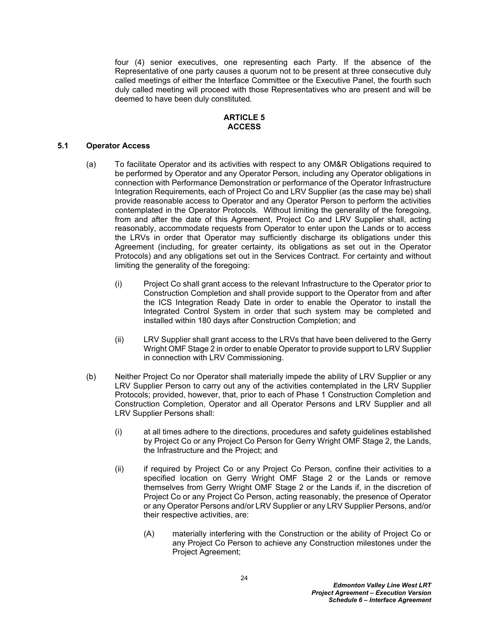four (4) senior executives, one representing each Party*.* If the absence of the Representative of one party causes a quorum not to be present at three consecutive duly called meetings of either the Interface Committee or the Executive Panel, the fourth such duly called meeting will proceed with those Representatives who are present and will be deemed to have been duly constituted*.*

#### <span id="page-27-0"></span>**ARTICLE 5 ACCESS**

#### <span id="page-27-1"></span>**5.1 Operator Access**

- (a) To facilitate Operator and its activities with respect to any OM&R Obligations required to be performed by Operator and any Operator Person, including any Operator obligations in connection with Performance Demonstration or performance of the Operator Infrastructure Integration Requirements, each of Project Co and LRV Supplier (as the case may be) shall provide reasonable access to Operator and any Operator Person to perform the activities contemplated in the Operator Protocols*.* Without limiting the generality of the foregoing, from and after the date of this Agreement, Project Co and LRV Supplier shall, acting reasonably, accommodate requests from Operator to enter upon the Lands or to access the LRVs in order that Operator may sufficiently discharge its obligations under this Agreement (including, for greater certainty, its obligations as set out in the Operator Protocols) and any obligations set out in the Services Contract*.* For certainty and without limiting the generality of the foregoing:
	- (i) Project Co shall grant access to the relevant Infrastructure to the Operator prior to Construction Completion and shall provide support to the Operator from and after the ICS Integration Ready Date in order to enable the Operator to install the Integrated Control System in order that such system may be completed and installed within 180 days after Construction Completion; and
	- (ii) LRV Supplier shall grant access to the LRVs that have been delivered to the Gerry Wright OMF Stage 2 in order to enable Operator to provide support to LRV Supplier in connection with LRV Commissioning.
- <span id="page-27-3"></span><span id="page-27-2"></span>(b) Neither Project Co nor Operator shall materially impede the ability of LRV Supplier or any LRV Supplier Person to carry out any of the activities contemplated in the LRV Supplier Protocols; provided, however, that, prior to each of Phase 1 Construction Completion and Construction Completion, Operator and all Operator Persons and LRV Supplier and all LRV Supplier Persons shall:
	- (i) at all times adhere to the directions, procedures and safety guidelines established by Project Co or any Project Co Person for Gerry Wright OMF Stage 2, the Lands, the Infrastructure and the Project; and
	- (ii) if required by Project Co or any Project Co Person, confine their activities to a specified location on Gerry Wright OMF Stage 2 or the Lands or remove themselves from Gerry Wright OMF Stage 2 or the Lands if, in the discretion of Project Co or any Project Co Person, acting reasonably, the presence of Operator or any Operator Persons and/or LRV Supplier or any LRV Supplier Persons, and/or their respective activities, are:
		- (A) materially interfering with the Construction or the ability of Project Co or any Project Co Person to achieve any Construction milestones under the Project Agreement;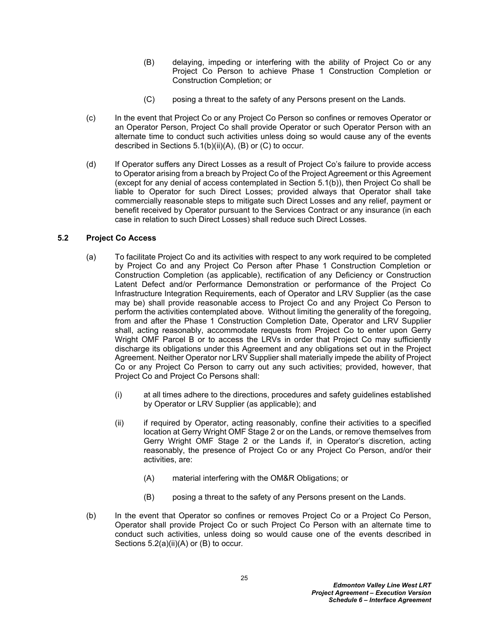- <span id="page-28-1"></span>(B) delaying, impeding or interfering with the ability of Project Co or any Project Co Person to achieve Phase 1 Construction Completion or Construction Completion; or
- <span id="page-28-2"></span>(C) posing a threat to the safety of any Persons present on the Lands*.*
- (c) In the event that Project Co or any Project Co Person so confines or removes Operator or an Operator Person, Project Co shall provide Operator or such Operator Person with an alternate time to conduct such activities unless doing so would cause any of the events described in Sections [5.1\(b\)\(ii\)\(A\)](#page-27-2), [\(B\)](#page-28-1) or [\(C\)](#page-28-2) to occur*.*
- (d) If Operator suffers any Direct Losses as a result of Project Co's failure to provide access to Operator arising from a breach by Project Co of the Project Agreement or this Agreement (except for any denial of access contemplated in Section [5.1\(b\)](#page-27-3)), then Project Co shall be liable to Operator for such Direct Losses; provided always that Operator shall take commercially reasonable steps to mitigate such Direct Losses and any relief, payment or benefit received by Operator pursuant to the Services Contract or any insurance (in each case in relation to such Direct Losses) shall reduce such Direct Losses*.*

#### <span id="page-28-0"></span>**5.2 Project Co Access**

- (a) To facilitate Project Co and its activities with respect to any work required to be completed by Project Co and any Project Co Person after Phase 1 Construction Completion or Construction Completion (as applicable), rectification of any Deficiency or Construction Latent Defect and/or Performance Demonstration or performance of the Project Co Infrastructure Integration Requirements, each of Operator and LRV Supplier (as the case may be) shall provide reasonable access to Project Co and any Project Co Person to perform the activities contemplated above*.* Without limiting the generality of the foregoing, from and after the Phase 1 Construction Completion Date, Operator and LRV Supplier shall, acting reasonably, accommodate requests from Project Co to enter upon Gerry Wright OMF Parcel B or to access the LRVs in order that Project Co may sufficiently discharge its obligations under this Agreement and any obligations set out in the Project Agreement. Neither Operator nor LRV Supplier shall materially impede the ability of Project Co or any Project Co Person to carry out any such activities; provided, however, that Project Co and Project Co Persons shall:
	- (i) at all times adhere to the directions, procedures and safety guidelines established by Operator or LRV Supplier (as applicable); and
	- (ii) if required by Operator, acting reasonably, confine their activities to a specified location at Gerry Wright OMF Stage 2 or on the Lands, or remove themselves from Gerry Wright OMF Stage 2 or the Lands if, in Operator's discretion, acting reasonably, the presence of Project Co or any Project Co Person, and/or their activities, are:
		- (A) material interfering with the OM&R Obligations; or
		- (B) posing a threat to the safety of any Persons present on the Lands.
- <span id="page-28-5"></span><span id="page-28-4"></span><span id="page-28-3"></span>(b) In the event that Operator so confines or removes Project Co or a Project Co Person, Operator shall provide Project Co or such Project Co Person with an alternate time to conduct such activities, unless doing so would cause one of the events described in Sections [5.2\(a\)\(ii\)\(A\)](#page-28-3) or [\(B\)](#page-28-4) to occur*.*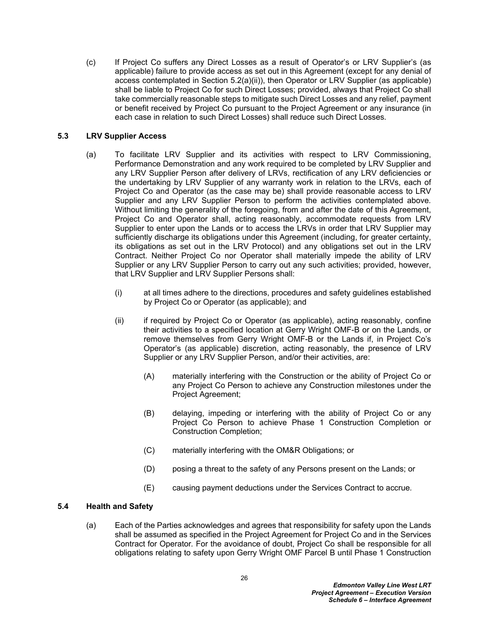(c) If Project Co suffers any Direct Losses as a result of Operator's or LRV Supplier's (as applicable) failure to provide access as set out in this Agreement (except for any denial of access contemplated in Section [5.2\(a\)\(ii\)\)](#page-28-5), then Operator or LRV Supplier (as applicable) shall be liable to Project Co for such Direct Losses; provided, always that Project Co shall take commercially reasonable steps to mitigate such Direct Losses and any relief, payment or benefit received by Project Co pursuant to the Project Agreement or any insurance (in each case in relation to such Direct Losses) shall reduce such Direct Losses*.*

## <span id="page-29-0"></span>**5.3 LRV Supplier Access**

- (a) To facilitate LRV Supplier and its activities with respect to LRV Commissioning, Performance Demonstration and any work required to be completed by LRV Supplier and any LRV Supplier Person after delivery of LRVs, rectification of any LRV deficiencies or the undertaking by LRV Supplier of any warranty work in relation to the LRVs, each of Project Co and Operator (as the case may be) shall provide reasonable access to LRV Supplier and any LRV Supplier Person to perform the activities contemplated above*.* Without limiting the generality of the foregoing, from and after the date of this Agreement, Project Co and Operator shall, acting reasonably, accommodate requests from LRV Supplier to enter upon the Lands or to access the LRVs in order that LRV Supplier may sufficiently discharge its obligations under this Agreement (including, for greater certainty, its obligations as set out in the LRV Protocol) and any obligations set out in the LRV Contract. Neither Project Co nor Operator shall materially impede the ability of LRV Supplier or any LRV Supplier Person to carry out any such activities; provided, however, that LRV Supplier and LRV Supplier Persons shall:
	- (i) at all times adhere to the directions, procedures and safety guidelines established by Project Co or Operator (as applicable); and
	- (ii) if required by Project Co or Operator (as applicable), acting reasonably, confine their activities to a specified location at Gerry Wright OMF-B or on the Lands, or remove themselves from Gerry Wright OMF-B or the Lands if, in Project Co's Operator's (as applicable) discretion, acting reasonably, the presence of LRV Supplier or any LRV Supplier Person, and/or their activities, are:
		- (A) materially interfering with the Construction or the ability of Project Co or any Project Co Person to achieve any Construction milestones under the Project Agreement;
		- (B) delaying, impeding or interfering with the ability of Project Co or any Project Co Person to achieve Phase 1 Construction Completion or Construction Completion;
		- (C) materially interfering with the OM&R Obligations; or
		- (D) posing a threat to the safety of any Persons present on the Lands; or
		- (E) causing payment deductions under the Services Contract to accrue*.*

### <span id="page-29-1"></span>**5.4 Health and Safety**

(a) Each of the Parties acknowledges and agrees that responsibility for safety upon the Lands shall be assumed as specified in the Project Agreement for Project Co and in the Services Contract for Operator*.* For the avoidance of doubt, Project Co shall be responsible for all obligations relating to safety upon Gerry Wright OMF Parcel B until Phase 1 Construction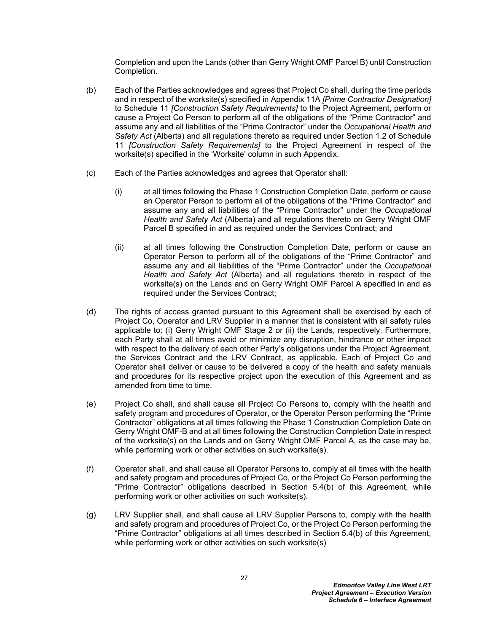Completion and upon the Lands (other than Gerry Wright OMF Parcel B) until Construction Completion.

- <span id="page-30-0"></span>(b) Each of the Parties acknowledges and agrees that Project Co shall, during the time periods and in respect of the worksite(s) specified in Appendix 11A *[Prime Contractor Designation]*  to Schedule 11 *[Construction Safety Requirements]* to the Project Agreement, perform or cause a Project Co Person to perform all of the obligations of the "Prime Contractor" and assume any and all liabilities of the "Prime Contractor" under the *Occupational Health and Safety Act* (Alberta) and all regulations thereto as required under Section 1.2 of Schedule 11 *[Construction Safety Requirements]* to the Project Agreement in respect of the worksite(s) specified in the 'Worksite' column in such Appendix.
- (c) Each of the Parties acknowledges and agrees that Operator shall:
	- (i) at all times following the Phase 1 Construction Completion Date, perform or cause an Operator Person to perform all of the obligations of the "Prime Contractor" and assume any and all liabilities of the "Prime Contractor" under the *Occupational Health and Safety Act* (Alberta) and all regulations thereto on Gerry Wright OMF Parcel B specified in and as required under the Services Contract; and
	- (ii) at all times following the Construction Completion Date, perform or cause an Operator Person to perform all of the obligations of the "Prime Contractor" and assume any and all liabilities of the "Prime Contractor" under the *Occupational Health and Safety Act* (Alberta) and all regulations thereto in respect of the worksite(s) on the Lands and on Gerry Wright OMF Parcel A specified in and as required under the Services Contract;
- (d) The rights of access granted pursuant to this Agreement shall be exercised by each of Project Co, Operator and LRV Supplier in a manner that is consistent with all safety rules applicable to: (i) Gerry Wright OMF Stage 2 or (ii) the Lands, respectively. Furthermore, each Party shall at all times avoid or minimize any disruption, hindrance or other impact with respect to the delivery of each other Party's obligations under the Project Agreement, the Services Contract and the LRV Contract, as applicable. Each of Project Co and Operator shall deliver or cause to be delivered a copy of the health and safety manuals and procedures for its respective project upon the execution of this Agreement and as amended from time to time.
- (e) Project Co shall, and shall cause all Project Co Persons to, comply with the health and safety program and procedures of Operator, or the Operator Person performing the "Prime Contractor" obligations at all times following the Phase 1 Construction Completion Date on Gerry Wright OMF-B and at all times following the Construction Completion Date in respect of the worksite(s) on the Lands and on Gerry Wright OMF Parcel A, as the case may be, while performing work or other activities on such worksite(s).
- (f) Operator shall, and shall cause all Operator Persons to, comply at all times with the health and safety program and procedures of Project Co, or the Project Co Person performing the "Prime Contractor" obligations described in Section [5.4\(b\)](#page-30-0) of this Agreement, while performing work or other activities on such worksite(s).
- (g) LRV Supplier shall, and shall cause all LRV Supplier Persons to, comply with the health and safety program and procedures of Project Co, or the Project Co Person performing the "Prime Contractor" obligations at all times described in Section [5.4\(b\)](#page-30-0) of this Agreement, while performing work or other activities on such worksite(s)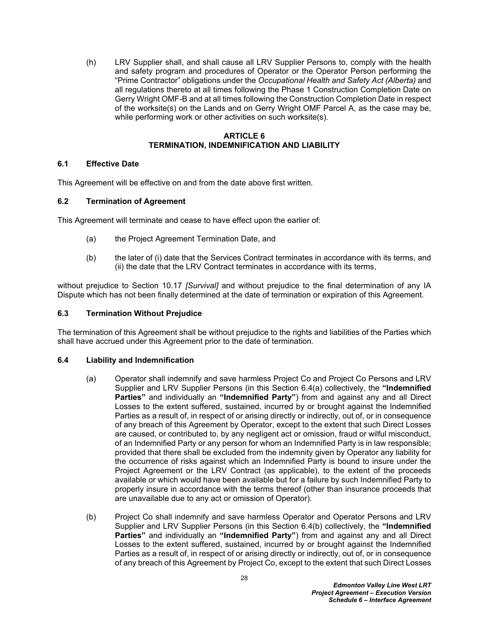(h) LRV Supplier shall, and shall cause all LRV Supplier Persons to, comply with the health and safety program and procedures of Operator or the Operator Person performing the "Prime Contractor" obligations under the *Occupational Health and Safety Act (Alberta)* and all regulations thereto at all times following the Phase 1 Construction Completion Date on Gerry Wright OMF-B and at all times following the Construction Completion Date in respect of the worksite(s) on the Lands and on Gerry Wright OMF Parcel A, as the case may be, while performing work or other activities on such worksite(s).

#### <span id="page-31-0"></span>**ARTICLE 6 TERMINATION, INDEMNIFICATION AND LIABILITY**

#### <span id="page-31-1"></span>**6.1 Effective Date**

This Agreement will be effective on and from the date above first written*.*

#### <span id="page-31-2"></span>**6.2 Termination of Agreement**

This Agreement will terminate and cease to have effect upon the earlier of:

- (a) the Project Agreement Termination Date, and
- (b) the later of (i) date that the Services Contract terminates in accordance with its terms, and (ii) the date that the LRV Contract terminates in accordance with its terms,

without prejudice to Section [10.17](#page-42-1) *[Survival]* and without prejudice to the final determination of any IA Dispute which has not been finally determined at the date of termination or expiration of this Agreement*.*

#### <span id="page-31-3"></span>**6.3 Termination Without Prejudice**

The termination of this Agreement shall be without prejudice to the rights and liabilities of the Parties which shall have accrued under this Agreement prior to the date of termination*.*

### <span id="page-31-4"></span>**6.4 Liability and Indemnification**

- <span id="page-31-6"></span>(a) Operator shall indemnify and save harmless Project Co and Project Co Persons and LRV Supplier and LRV Supplier Persons (in this Section [6.4\(a\)](#page-31-6) collectively, the **"Indemnified Parties"** and individually an **"Indemnified Party"**) from and against any and all Direct Losses to the extent suffered, sustained, incurred by or brought against the Indemnified Parties as a result of, in respect of or arising directly or indirectly, out of, or in consequence of any breach of this Agreement by Operator, except to the extent that such Direct Losses are caused, or contributed to, by any negligent act or omission, fraud or wilful misconduct, of an Indemnified Party or any person for whom an Indemnified Party is in law responsible; provided that there shall be excluded from the indemnity given by Operator any liability for the occurrence of risks against which an Indemnified Party is bound to insure under the Project Agreement or the LRV Contract (as applicable), to the extent of the proceeds available or which would have been available but for a failure by such Indemnified Party to properly insure in accordance with the terms thereof (other than insurance proceeds that are unavailable due to any act or omission of Operator)*.*
- <span id="page-31-5"></span>(b) Project Co shall indemnify and save harmless Operator and Operator Persons and LRV Supplier and LRV Supplier Persons (in this Section [6.4\(b\)](#page-31-5) collectively, the **"Indemnified Parties"** and individually an **"Indemnified Party"**) from and against any and all Direct Losses to the extent suffered, sustained, incurred by or brought against the Indemnified Parties as a result of, in respect of or arising directly or indirectly, out of, or in consequence of any breach of this Agreement by Project Co, except to the extent that such Direct Losses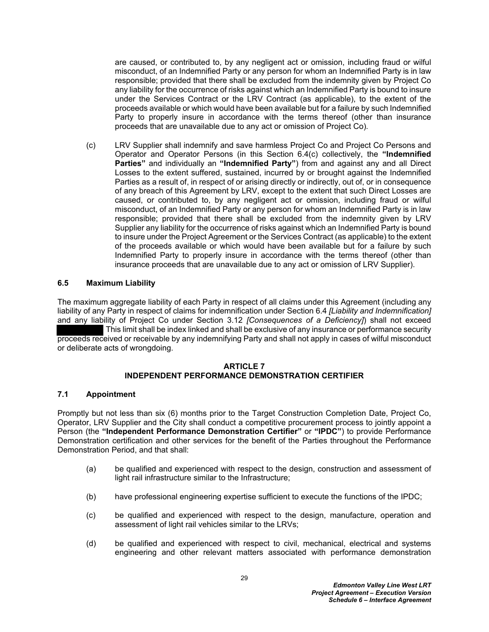are caused, or contributed to, by any negligent act or omission, including fraud or wilful misconduct, of an Indemnified Party or any person for whom an Indemnified Party is in law responsible; provided that there shall be excluded from the indemnity given by Project Co any liability for the occurrence of risks against which an Indemnified Party is bound to insure under the Services Contract or the LRV Contract (as applicable), to the extent of the proceeds available or which would have been available but for a failure by such Indemnified Party to properly insure in accordance with the terms thereof (other than insurance proceeds that are unavailable due to any act or omission of Project Co)*.*

<span id="page-32-2"></span>(c) LRV Supplier shall indemnify and save harmless Project Co and Project Co Persons and Operator and Operator Persons (in this Section [6.4\(c\)](#page-32-2) collectively, the **"Indemnified Parties"** and individually an **"Indemnified Party"**) from and against any and all Direct Losses to the extent suffered, sustained, incurred by or brought against the Indemnified Parties as a result of, in respect of or arising directly or indirectly, out of, or in consequence of any breach of this Agreement by LRV, except to the extent that such Direct Losses are caused, or contributed to, by any negligent act or omission, including fraud or wilful misconduct, of an Indemnified Party or any person for whom an Indemnified Party is in law responsible; provided that there shall be excluded from the indemnity given by LRV Supplier any liability for the occurrence of risks against which an Indemnified Party is bound to insure under the Project Agreement or the Services Contract (as applicable) to the extent of the proceeds available or which would have been available but for a failure by such Indemnified Party to properly insure in accordance with the terms thereof (other than insurance proceeds that are unavailable due to any act or omission of LRV Supplier).

#### **6.5 Maximum Liability**

The maximum aggregate liability of each Party in respect of all claims under this Agreement (including any liability of any Party in respect of claims for indemnification under Section [6.4](#page-31-4) *[Liability and Indemnification]*  and any liability of Project Co under Section [3.12](#page-24-0) *[Consequences of a Deficiency]*) shall not exceed This limit shall be index linked and shall be exclusive of any insurance or performance security proceeds received or receivable by any indemnifying Party and shall not apply in cases of wilful misconduct or deliberate acts of wrongdoing.

#### <span id="page-32-0"></span>**ARTICLE 7 INDEPENDENT PERFORMANCE DEMONSTRATION CERTIFIER**

#### <span id="page-32-1"></span>**7.1 Appointment**

Promptly but not less than six (6) months prior to the Target Construction Completion Date, Project Co, Operator, LRV Supplier and the City shall conduct a competitive procurement process to jointly appoint a Person (the **"Independent Performance Demonstration Certifier"** or **"IPDC"**) to provide Performance Demonstration certification and other services for the benefit of the Parties throughout the Performance Demonstration Period, and that shall:

- <span id="page-32-3"></span>(a) be qualified and experienced with respect to the design, construction and assessment of light rail infrastructure similar to the Infrastructure;
- (b) have professional engineering expertise sufficient to execute the functions of the IPDC;
- (c) be qualified and experienced with respect to the design, manufacture, operation and assessment of light rail vehicles similar to the LRVs;
- (d) be qualified and experienced with respect to civil, mechanical, electrical and systems engineering and other relevant matters associated with performance demonstration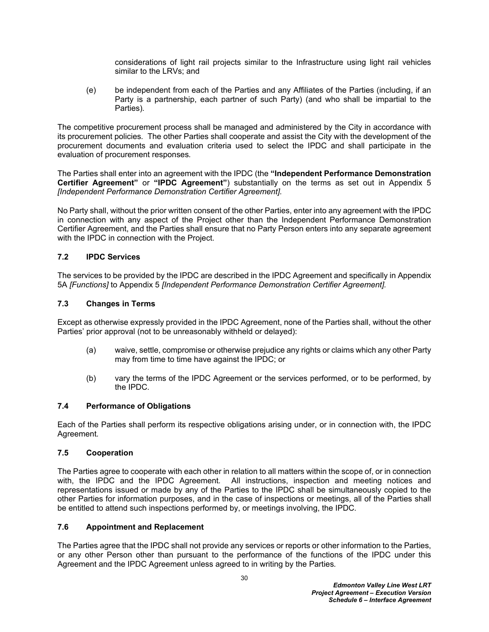considerations of light rail projects similar to the Infrastructure using light rail vehicles similar to the LRVs; and

<span id="page-33-5"></span>(e) be independent from each of the Parties and any Affiliates of the Parties (including, if an Party is a partnership, each partner of such Party) (and who shall be impartial to the Parties)*.*

The competitive procurement process shall be managed and administered by the City in accordance with its procurement policies*.* The other Parties shall cooperate and assist the City with the development of the procurement documents and evaluation criteria used to select the IPDC and shall participate in the evaluation of procurement responses*.*

The Parties shall enter into an agreement with the IPDC (the **"Independent Performance Demonstration Certifier Agreement"** or **"IPDC Agreement"**) substantially on the terms as set out in [Appendix 5](#page-51-0)  *[Independent Performance Demonstration Certifier Agreement].*

No Party shall, without the prior written consent of the other Parties, enter into any agreement with the IPDC in connection with any aspect of the Project other than the Independent Performance Demonstration Certifier Agreement, and the Parties shall ensure that no Party Person enters into any separate agreement with the IPDC in connection with the Project*.*

### <span id="page-33-0"></span>**7.2 IPDC Services**

The services to be provided by the IPDC are described in the IPDC Agreement and specifically in [Appendix](#page-51-0)  [5](#page-51-0)[A](#page-4-4) *[Functions]* to [Appendix 5](#page-51-0) *[Independent Performance Demonstration Certifier Agreement].*

### <span id="page-33-1"></span>**7.3 Changes in Terms**

Except as otherwise expressly provided in the IPDC Agreement, none of the Parties shall, without the other Parties' prior approval (not to be unreasonably withheld or delayed):

- (a) waive, settle, compromise or otherwise prejudice any rights or claims which any other Party may from time to time have against the IPDC; or
- (b) vary the terms of the IPDC Agreement or the services performed, or to be performed, by the IPDC*.*

### <span id="page-33-2"></span>**7.4 Performance of Obligations**

Each of the Parties shall perform its respective obligations arising under, or in connection with, the IPDC Agreement*.*

### <span id="page-33-3"></span>**7.5 Cooperation**

The Parties agree to cooperate with each other in relation to all matters within the scope of, or in connection with, the IPDC and the IPDC Agreement*.* All instructions, inspection and meeting notices and representations issued or made by any of the Parties to the IPDC shall be simultaneously copied to the other Parties for information purposes, and in the case of inspections or meetings, all of the Parties shall be entitled to attend such inspections performed by, or meetings involving, the IPDC*.*

### <span id="page-33-4"></span>**7.6 Appointment and Replacement**

The Parties agree that the IPDC shall not provide any services or reports or other information to the Parties, or any other Person other than pursuant to the performance of the functions of the IPDC under this Agreement and the IPDC Agreement unless agreed to in writing by the Parties*.*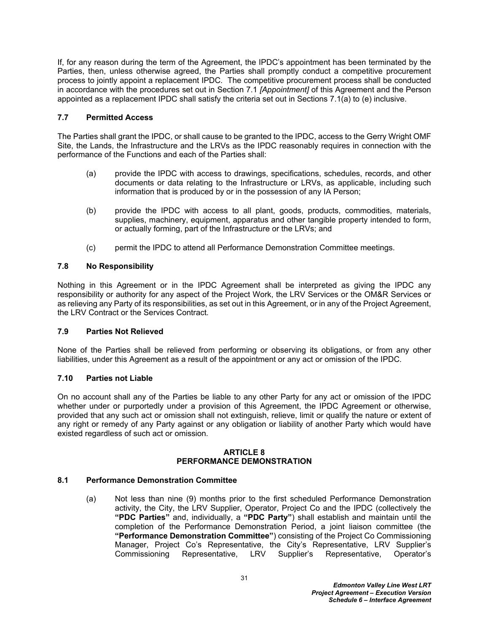If, for any reason during the term of the Agreement, the IPDC's appointment has been terminated by the Parties, then, unless otherwise agreed, the Parties shall promptly conduct a competitive procurement process to jointly appoint a replacement IPDC*.* The competitive procurement process shall be conducted in accordance with the procedures set out in Section [7.1](#page-32-1) *[Appointment]* of this Agreement and the Person appointed as a replacement IPDC shall satisfy the criteria set out in Sections [7.1\(a\)](#page-32-3) to [\(e\)](#page-33-5) inclusive.

#### <span id="page-34-0"></span>**7.7 Permitted Access**

The Parties shall grant the IPDC, or shall cause to be granted to the IPDC, access to the Gerry Wright OMF Site, the Lands, the Infrastructure and the LRVs as the IPDC reasonably requires in connection with the performance of the Functions and each of the Parties shall:

- (a) provide the IPDC with access to drawings, specifications, schedules, records, and other documents or data relating to the Infrastructure or LRVs, as applicable, including such information that is produced by or in the possession of any IA Person;
- (b) provide the IPDC with access to all plant, goods, products, commodities, materials, supplies, machinery, equipment, apparatus and other tangible property intended to form, or actually forming, part of the Infrastructure or the LRVs; and
- (c) permit the IPDC to attend all Performance Demonstration Committee meetings.

#### <span id="page-34-1"></span>**7.8 No Responsibility**

Nothing in this Agreement or in the IPDC Agreement shall be interpreted as giving the IPDC any responsibility or authority for any aspect of the Project Work, the LRV Services or the OM&R Services or as relieving any Party of its responsibilities, as set out in this Agreement, or in any of the Project Agreement, the LRV Contract or the Services Contract*.*

### <span id="page-34-2"></span>**7.9 Parties Not Relieved**

None of the Parties shall be relieved from performing or observing its obligations, or from any other liabilities, under this Agreement as a result of the appointment or any act or omission of the IPDC*.*

#### <span id="page-34-3"></span>**7.10 Parties not Liable**

On no account shall any of the Parties be liable to any other Party for any act or omission of the IPDC whether under or purportedly under a provision of this Agreement, the IPDC Agreement or otherwise, provided that any such act or omission shall not extinguish, relieve, limit or qualify the nature or extent of any right or remedy of any Party against or any obligation or liability of another Party which would have existed regardless of such act or omission*.*

#### <span id="page-34-4"></span>**ARTICLE 8 PERFORMANCE DEMONSTRATION**

#### <span id="page-34-5"></span>**8.1 Performance Demonstration Committee**

(a) Not less than nine (9) months prior to the first scheduled Performance Demonstration activity, the City, the LRV Supplier, Operator, Project Co and the IPDC (collectively the **"PDC Parties"** and, individually, a **"PDC Party"**) shall establish and maintain until the completion of the Performance Demonstration Period, a joint liaison committee (the **"Performance Demonstration Committee"**) consisting of the Project Co Commissioning Manager, Project Co's Representative, the City's Representative, LRV Supplier's Commissioning Representative, LRV Supplier's Representative, Operator's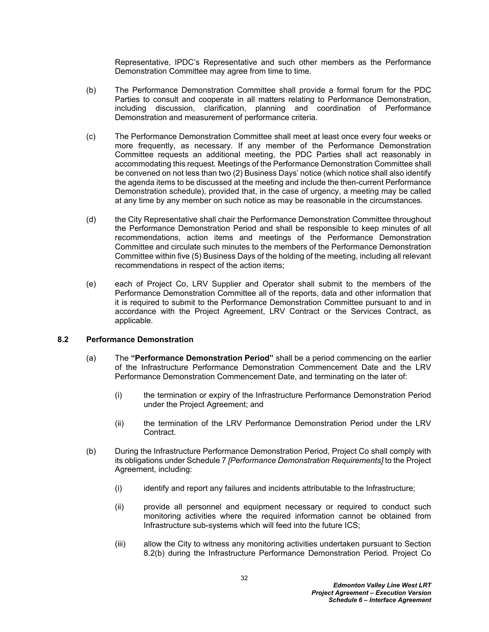Representative, IPDC's Representative and such other members as the Performance Demonstration Committee may agree from time to time*.*

- (b) The Performance Demonstration Committee shall provide a formal forum for the PDC Parties to consult and cooperate in all matters relating to Performance Demonstration, including discussion, clarification, planning and coordination of Performance Demonstration and measurement of performance criteria*.*
- (c) The Performance Demonstration Committee shall meet at least once every four weeks or more frequently, as necessary*.* If any member of the Performance Demonstration Committee requests an additional meeting, the PDC Parties shall act reasonably in accommodating this request*.* Meetings of the Performance Demonstration Committee shall be convened on not less than two (2) Business Days' notice (which notice shall also identify the agenda items to be discussed at the meeting and include the then-current Performance Demonstration schedule), provided that, in the case of urgency, a meeting may be called at any time by any member on such notice as may be reasonable in the circumstances*.*
- (d) the City Representative shall chair the Performance Demonstration Committee throughout the Performance Demonstration Period and shall be responsible to keep minutes of all recommendations, action items and meetings of the Performance Demonstration Committee and circulate such minutes to the members of the Performance Demonstration Committee within five (5) Business Days of the holding of the meeting, including all relevant recommendations in respect of the action items;
- (e) each of Project Co, LRV Supplier and Operator shall submit to the members of the Performance Demonstration Committee all of the reports, data and other information that it is required to submit to the Performance Demonstration Committee pursuant to and in accordance with the Project Agreement, LRV Contract or the Services Contract, as applicable*.*

#### <span id="page-35-0"></span>**8.2 Performance Demonstration**

- (a) The **"Performance Demonstration Period"** shall be a period commencing on the earlier of the Infrastructure Performance Demonstration Commencement Date and the LRV Performance Demonstration Commencement Date, and terminating on the later of:
	- (i) the termination or expiry of the Infrastructure Performance Demonstration Period under the Project Agreement; and
	- (ii) the termination of the LRV Performance Demonstration Period under the LRV Contract.
- <span id="page-35-1"></span>(b) During the Infrastructure Performance Demonstration Period, Project Co shall comply with its obligations under Schedule 7 *[Performance Demonstration Requirements]* to the Project Agreement, including:
	- $(i)$  identify and report any failures and incidents attributable to the Infrastructure;
	- (ii) provide all personnel and equipment necessary or required to conduct such monitoring activities where the required information cannot be obtained from Infrastructure sub-systems which will feed into the future ICS;
	- (iii) allow the City to witness any monitoring activities undertaken pursuant to Section [8.2\(b\)](#page-35-1) during the Infrastructure Performance Demonstration Period*.* Project Co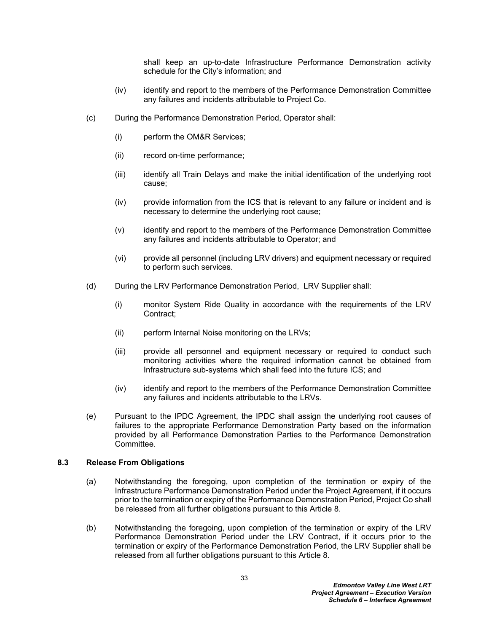shall keep an up-to-date Infrastructure Performance Demonstration activity schedule for the City's information; and

- (iv) identify and report to the members of the Performance Demonstration Committee any failures and incidents attributable to Project Co.
- (c) During the Performance Demonstration Period, Operator shall:
	- (i) perform the OM&R Services;
	- (ii) record on-time performance;
	- (iii) identify all Train Delays and make the initial identification of the underlying root cause;
	- (iv) provide information from the ICS that is relevant to any failure or incident and is necessary to determine the underlying root cause;
	- (v) identify and report to the members of the Performance Demonstration Committee any failures and incidents attributable to Operator; and
	- (vi) provide all personnel (including LRV drivers) and equipment necessary or required to perform such services.
- (d) During the LRV Performance Demonstration Period, LRV Supplier shall:
	- (i) monitor System Ride Quality in accordance with the requirements of the LRV Contract;
	- (ii) perform Internal Noise monitoring on the LRVs;
	- (iii) provide all personnel and equipment necessary or required to conduct such monitoring activities where the required information cannot be obtained from Infrastructure sub-systems which shall feed into the future ICS; and
	- (iv) identify and report to the members of the Performance Demonstration Committee any failures and incidents attributable to the LRVs.
- (e) Pursuant to the IPDC Agreement, the IPDC shall assign the underlying root causes of failures to the appropriate Performance Demonstration Party based on the information provided by all Performance Demonstration Parties to the Performance Demonstration Committee.

#### **8.3 Release From Obligations**

- (a) Notwithstanding the foregoing, upon completion of the termination or expiry of the Infrastructure Performance Demonstration Period under the Project Agreement, if it occurs prior to the termination or expiry of the Performance Demonstration Period, Project Co shall be released from all further obligations pursuant to this Article 8.
- (b) Notwithstanding the foregoing, upon completion of the termination or expiry of the LRV Performance Demonstration Period under the LRV Contract, if it occurs prior to the termination or expiry of the Performance Demonstration Period, the LRV Supplier shall be released from all further obligations pursuant to this Article 8*.*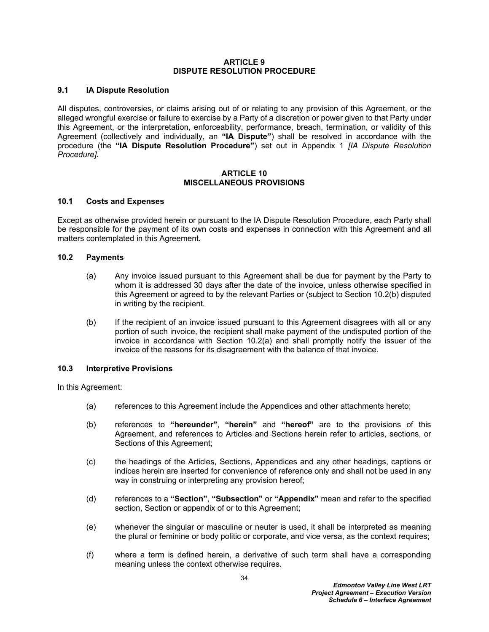#### **ARTICLE 9 DISPUTE RESOLUTION PROCEDURE**

## <span id="page-37-2"></span>**9.1 IA Dispute Resolution**

All disputes, controversies, or claims arising out of or relating to any provision of this Agreement, or the alleged wrongful exercise or failure to exercise by a Party of a discretion or power given to that Party under this Agreement, or the interpretation, enforceability, performance, breach, termination, or validity of this Agreement (collectively and individually, an **"IA Dispute"**) shall be resolved in accordance with the procedure (the **"IA Dispute Resolution Procedure"**) set out in Appendix 1 *[IA Dispute Resolution Procedure].*

#### **ARTICLE 10 MISCELLANEOUS PROVISIONS**

#### <span id="page-37-3"></span>**10.1 Costs and Expenses**

Except as otherwise provided herein or pursuant to the IA Dispute Resolution Procedure, each Party shall be responsible for the payment of its own costs and expenses in connection with this Agreement and all matters contemplated in this Agreement*.*

#### **10.2 Payments**

- <span id="page-37-1"></span>(a) Any invoice issued pursuant to this Agreement shall be due for payment by the Party to whom it is addressed 30 days after the date of the invoice, unless otherwise specified in this Agreement or agreed to by the relevant Parties or (subject to Section [10.2\(b\)](#page-37-0) disputed in writing by the recipient*.*
- <span id="page-37-0"></span>(b) If the recipient of an invoice issued pursuant to this Agreement disagrees with all or any portion of such invoice, the recipient shall make payment of the undisputed portion of the invoice in accordance with Section [10.2\(a\)](#page-37-1) and shall promptly notify the issuer of the invoice of the reasons for its disagreement with the balance of that invoice*.*

## **10.3 Interpretive Provisions**

In this Agreement:

- (a) references to this Agreement include the Appendices and other attachments hereto;
- (b) references to **"hereunder"**, **"herein"** and **"hereof"** are to the provisions of this Agreement, and references to Articles and Sections herein refer to articles, sections, or Sections of this Agreement;
- (c) the headings of the Articles, Sections, Appendices and any other headings, captions or indices herein are inserted for convenience of reference only and shall not be used in any way in construing or interpreting any provision hereof;
- (d) references to a **"Section"**, **"Subsection"** or **"Appendix"** mean and refer to the specified section, Section or appendix of or to this Agreement;
- (e) whenever the singular or masculine or neuter is used, it shall be interpreted as meaning the plural or feminine or body politic or corporate, and vice versa, as the context requires;
- (f) where a term is defined herein, a derivative of such term shall have a corresponding meaning unless the context otherwise requires*.*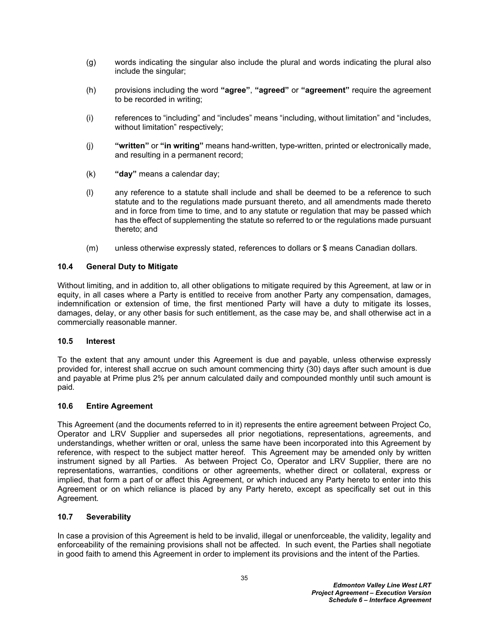- (g) words indicating the singular also include the plural and words indicating the plural also include the singular;
- (h) provisions including the word **"agree"**, **"agreed"** or **"agreement"** require the agreement to be recorded in writing;
- (i) references to "including" and "includes" means "including, without limitation" and "includes, without limitation" respectively;
- (j) **"written"** or **"in writing"** means hand-written, type-written, printed or electronically made, and resulting in a permanent record;
- (k) **"day"** means a calendar day;
- (l) any reference to a statute shall include and shall be deemed to be a reference to such statute and to the regulations made pursuant thereto, and all amendments made thereto and in force from time to time, and to any statute or regulation that may be passed which has the effect of supplementing the statute so referred to or the regulations made pursuant thereto; and
- (m) unless otherwise expressly stated, references to dollars or \$ means Canadian dollars*.*

#### **10.4 General Duty to Mitigate**

Without limiting, and in addition to, all other obligations to mitigate required by this Agreement, at law or in equity, in all cases where a Party is entitled to receive from another Party any compensation, damages, indemnification or extension of time, the first mentioned Party will have a duty to mitigate its losses, damages, delay, or any other basis for such entitlement, as the case may be, and shall otherwise act in a commercially reasonable manner*.*

#### **10.5 Interest**

To the extent that any amount under this Agreement is due and payable, unless otherwise expressly provided for, interest shall accrue on such amount commencing thirty (30) days after such amount is due and payable at Prime plus 2% per annum calculated daily and compounded monthly until such amount is paid*.*

#### **10.6 Entire Agreement**

This Agreement (and the documents referred to in it) represents the entire agreement between Project Co, Operator and LRV Supplier and supersedes all prior negotiations, representations, agreements, and understandings, whether written or oral, unless the same have been incorporated into this Agreement by reference, with respect to the subject matter hereof*.* This Agreement may be amended only by written instrument signed by all Parties*.* As between Project Co, Operator and LRV Supplier, there are no representations, warranties, conditions or other agreements, whether direct or collateral, express or implied, that form a part of or affect this Agreement, or which induced any Party hereto to enter into this Agreement or on which reliance is placed by any Party hereto, except as specifically set out in this Agreement*.*

#### **10.7 Severability**

In case a provision of this Agreement is held to be invalid, illegal or unenforceable, the validity, legality and enforceability of the remaining provisions shall not be affected*.* In such event, the Parties shall negotiate in good faith to amend this Agreement in order to implement its provisions and the intent of the Parties*.*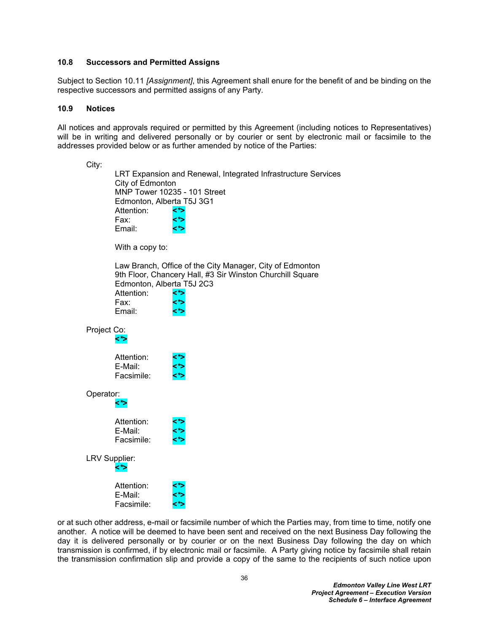### **10.8 Successors and Permitted Assigns**

Subject to Section [10.11](#page-40-0) *[Assignment]*, this Agreement shall enure for the benefit of and be binding on the respective successors and permitted assigns of any Party*.*

#### **10.9 Notices**

All notices and approvals required or permitted by this Agreement (including notices to Representatives) will be in writing and delivered personally or by courier or sent by electronic mail or facsimile to the addresses provided below or as further amended by notice of the Parties:

| City:                |                                                                               |                                                                                                                              |
|----------------------|-------------------------------------------------------------------------------|------------------------------------------------------------------------------------------------------------------------------|
|                      | City of Edmonton<br>Edmonton, Alberta T5J 3G1<br>Attention:<br>Fax:<br>Email: | LRT Expansion and Renewal, Integrated Infrastructure Services<br>MNP Tower 10235 - 101 Street<br><*>                         |
|                      | With a copy to:                                                               |                                                                                                                              |
|                      | Edmonton, Alberta T5J 2C3<br>Attention:<br>Fax:<br>Email:                     | Law Branch, Office of the City Manager, City of Edmonton<br>9th Floor, Chancery Hall, #3 Sir Winston Churchill Square<br><*> |
| Project Co:          |                                                                               |                                                                                                                              |
|                      | Attention:<br>E-Mail:<br>Facsimile:                                           |                                                                                                                              |
| Operator:<br><*>     |                                                                               |                                                                                                                              |
|                      | Attention:<br>E-Mail:<br>Facsimile:                                           |                                                                                                                              |
| LRV Supplier:<br><*> |                                                                               |                                                                                                                              |
|                      | Attention:<br>E-Mail:<br>Facsimile:                                           |                                                                                                                              |

or at such other address, e-mail or facsimile number of which the Parties may, from time to time, notify one another*.* A notice will be deemed to have been sent and received on the next Business Day following the day it is delivered personally or by courier or on the next Business Day following the day on which transmission is confirmed, if by electronic mail or facsimile*.* A Party giving notice by facsimile shall retain the transmission confirmation slip and provide a copy of the same to the recipients of such notice upon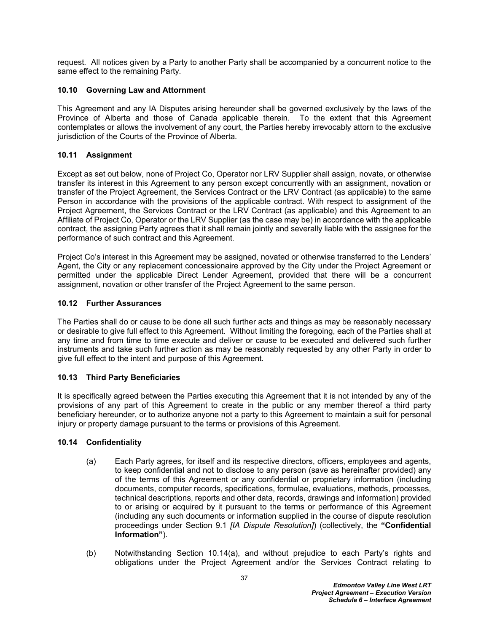request*.* All notices given by a Party to another Party shall be accompanied by a concurrent notice to the same effect to the remaining Party*.*

## **10.10 Governing Law and Attornment**

This Agreement and any IA Disputes arising hereunder shall be governed exclusively by the laws of the Province of Alberta and those of Canada applicable therein*.* To the extent that this Agreement contemplates or allows the involvement of any court, the Parties hereby irrevocably attorn to the exclusive jurisdiction of the Courts of the Province of Alberta*.*

## <span id="page-40-0"></span>**10.11 Assignment**

Except as set out below, none of Project Co, Operator nor LRV Supplier shall assign, novate, or otherwise transfer its interest in this Agreement to any person except concurrently with an assignment, novation or transfer of the Project Agreement, the Services Contract or the LRV Contract (as applicable) to the same Person in accordance with the provisions of the applicable contract*.* With respect to assignment of the Project Agreement, the Services Contract or the LRV Contract (as applicable) and this Agreement to an Affiliate of Project Co, Operator or the LRV Supplier (as the case may be) in accordance with the applicable contract, the assigning Party agrees that it shall remain jointly and severally liable with the assignee for the performance of such contract and this Agreement*.*

Project Co's interest in this Agreement may be assigned, novated or otherwise transferred to the Lenders' Agent, the City or any replacement concessionaire approved by the City under the Project Agreement or permitted under the applicable Direct Lender Agreement, provided that there will be a concurrent assignment, novation or other transfer of the Project Agreement to the same person.

## **10.12 Further Assurances**

The Parties shall do or cause to be done all such further acts and things as may be reasonably necessary or desirable to give full effect to this Agreement*.* Without limiting the foregoing, each of the Parties shall at any time and from time to time execute and deliver or cause to be executed and delivered such further instruments and take such further action as may be reasonably requested by any other Party in order to give full effect to the intent and purpose of this Agreement*.*

## **10.13 Third Party Beneficiaries**

It is specifically agreed between the Parties executing this Agreement that it is not intended by any of the provisions of any part of this Agreement to create in the public or any member thereof a third party beneficiary hereunder, or to authorize anyone not a party to this Agreement to maintain a suit for personal injury or property damage pursuant to the terms or provisions of this Agreement*.*

#### <span id="page-40-2"></span>**10.14 Confidentiality**

- <span id="page-40-1"></span>(a) Each Party agrees, for itself and its respective directors, officers, employees and agents, to keep confidential and not to disclose to any person (save as hereinafter provided) any of the terms of this Agreement or any confidential or proprietary information (including documents, computer records, specifications, formulae, evaluations, methods, processes, technical descriptions, reports and other data, records, drawings and information) provided to or arising or acquired by it pursuant to the terms or performance of this Agreement (including any such documents or information supplied in the course of dispute resolution proceedings under Section [9.1](#page-37-2) *[IA Dispute Resolution]*) (collectively, the **"Confidential Information"**)*.*
- (b) Notwithstanding Section [10.14\(a\),](#page-40-1) and without prejudice to each Party's rights and obligations under the Project Agreement and/or the Services Contract relating to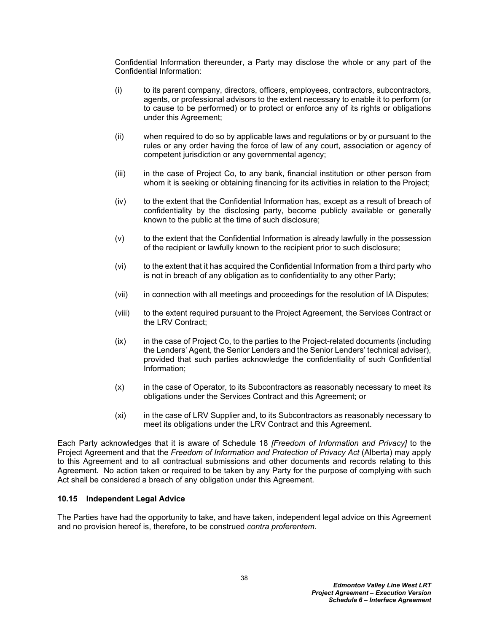Confidential Information thereunder, a Party may disclose the whole or any part of the Confidential Information:

- (i) to its parent company, directors, officers, employees, contractors, subcontractors, agents, or professional advisors to the extent necessary to enable it to perform (or to cause to be performed) or to protect or enforce any of its rights or obligations under this Agreement;
- (ii) when required to do so by applicable laws and regulations or by or pursuant to the rules or any order having the force of law of any court, association or agency of competent jurisdiction or any governmental agency;
- (iii) in the case of Project Co, to any bank, financial institution or other person from whom it is seeking or obtaining financing for its activities in relation to the Project;
- (iv) to the extent that the Confidential Information has, except as a result of breach of confidentiality by the disclosing party, become publicly available or generally known to the public at the time of such disclosure;
- (v) to the extent that the Confidential Information is already lawfully in the possession of the recipient or lawfully known to the recipient prior to such disclosure;
- (vi) to the extent that it has acquired the Confidential Information from a third party who is not in breach of any obligation as to confidentiality to any other Party;
- (vii) in connection with all meetings and proceedings for the resolution of IA Disputes;
- (viii) to the extent required pursuant to the Project Agreement, the Services Contract or the LRV Contract;
- (ix) in the case of Project Co, to the parties to the Project-related documents (including the Lenders' Agent, the Senior Lenders and the Senior Lenders' technical adviser), provided that such parties acknowledge the confidentiality of such Confidential Information;
- (x) in the case of Operator, to its Subcontractors as reasonably necessary to meet its obligations under the Services Contract and this Agreement; or
- (xi) in the case of LRV Supplier and, to its Subcontractors as reasonably necessary to meet its obligations under the LRV Contract and this Agreement.

Each Party acknowledges that it is aware of Schedule 18 *[Freedom of Information and Privacy]* to the Project Agreement and that the *Freedom of Information and Protection of Privacy Act* (Alberta) may apply to this Agreement and to all contractual submissions and other documents and records relating to this Agreement*.* No action taken or required to be taken by any Party for the purpose of complying with such Act shall be considered a breach of any obligation under this Agreement*.*

#### **10.15 Independent Legal Advice**

The Parties have had the opportunity to take, and have taken, independent legal advice on this Agreement and no provision hereof is, therefore, to be construed *contra proferentem.*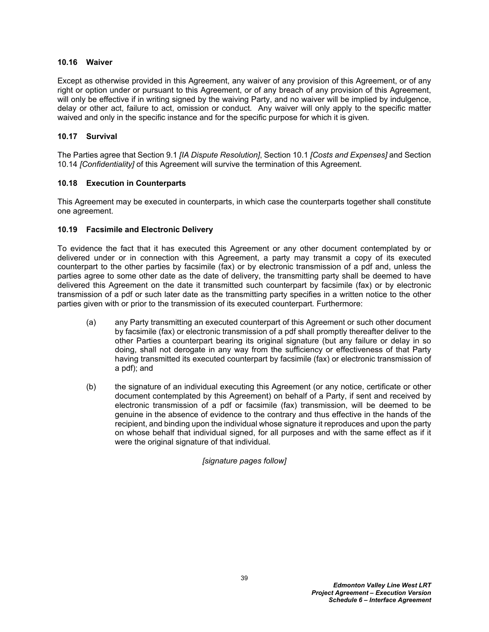### **10.16 Waiver**

Except as otherwise provided in this Agreement, any waiver of any provision of this Agreement, or of any right or option under or pursuant to this Agreement, or of any breach of any provision of this Agreement, will only be effective if in writing signed by the waiving Party, and no waiver will be implied by indulgence, delay or other act, failure to act, omission or conduct*.* Any waiver will only apply to the specific matter waived and only in the specific instance and for the specific purpose for which it is given*.*

## **10.17 Survival**

The Parties agree that Section [9.1](#page-37-2) *[IA Dispute Resolution]*, Section [10.1](#page-37-3) *[Costs and Expenses]* and Section [10.14](#page-40-2) *[Confidentiality]* of this Agreement will survive the termination of this Agreement*.*

## **10.18 Execution in Counterparts**

This Agreement may be executed in counterparts, in which case the counterparts together shall constitute one agreement.

## **10.19 Facsimile and Electronic Delivery**

To evidence the fact that it has executed this Agreement or any other document contemplated by or delivered under or in connection with this Agreement, a party may transmit a copy of its executed counterpart to the other parties by facsimile (fax) or by electronic transmission of a pdf and, unless the parties agree to some other date as the date of delivery, the transmitting party shall be deemed to have delivered this Agreement on the date it transmitted such counterpart by facsimile (fax) or by electronic transmission of a pdf or such later date as the transmitting party specifies in a written notice to the other parties given with or prior to the transmission of its executed counterpart*.* Furthermore:

- (a) any Party transmitting an executed counterpart of this Agreement or such other document by facsimile (fax) or electronic transmission of a pdf shall promptly thereafter deliver to the other Parties a counterpart bearing its original signature (but any failure or delay in so doing, shall not derogate in any way from the sufficiency or effectiveness of that Party having transmitted its executed counterpart by facsimile (fax) or electronic transmission of a pdf); and
- (b) the signature of an individual executing this Agreement (or any notice, certificate or other document contemplated by this Agreement) on behalf of a Party, if sent and received by electronic transmission of a pdf or facsimile (fax) transmission, will be deemed to be genuine in the absence of evidence to the contrary and thus effective in the hands of the recipient, and binding upon the individual whose signature it reproduces and upon the party on whose behalf that individual signed, for all purposes and with the same effect as if it were the original signature of that individual*.*

## *[signature pages follow]*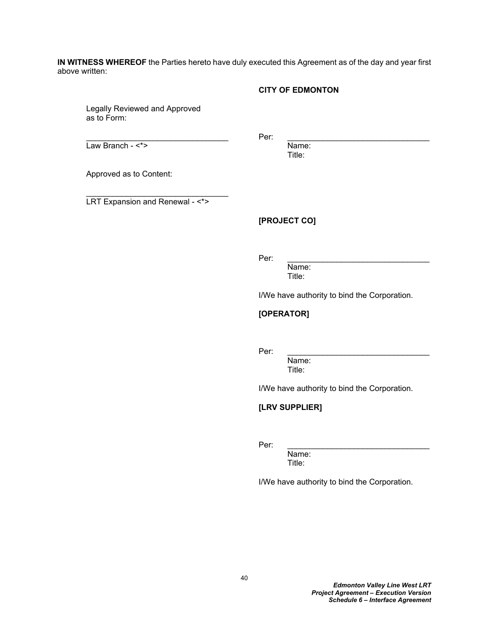**IN WITNESS WHEREOF** the Parties hereto have duly executed this Agreement as of the day and year first above written:

### **CITY OF EDMONTON**

Legally Reviewed and Approved as to Form:

Law Branch - <\*> Name:

 $\blacksquare$   $\blacksquare$   $\blacksquare$   $\blacksquare$   $\blacksquare$   $\blacksquare$   $\blacksquare$   $\blacksquare$   $\blacksquare$   $\blacksquare$   $\blacksquare$   $\blacksquare$   $\blacksquare$   $\blacksquare$   $\blacksquare$   $\blacksquare$   $\blacksquare$   $\blacksquare$   $\blacksquare$   $\blacksquare$   $\blacksquare$   $\blacksquare$   $\blacksquare$   $\blacksquare$   $\blacksquare$   $\blacksquare$   $\blacksquare$   $\blacksquare$   $\blacksquare$   $\blacksquare$   $\blacksquare$   $\blacks$ 

Title:

Approved as to Content:

LRT Expansion and Renewal - <\*>

\_\_\_\_\_\_\_\_\_\_\_\_\_\_\_\_\_\_\_\_\_\_\_\_\_\_\_\_\_\_\_\_

## **[PROJECT CO]**

Per: \_\_\_\_\_\_\_\_\_\_\_\_\_\_\_\_\_\_\_\_\_\_\_\_\_\_\_\_\_\_\_\_

Name: Title:

I/We have authority to bind the Corporation.

## **[OPERATOR]**

Per: \_\_\_\_\_\_\_\_\_\_\_\_\_\_\_\_\_\_\_\_\_\_\_\_\_\_\_\_\_\_\_\_

Name: Title:

I/We have authority to bind the Corporation.

## **[LRV SUPPLIER]**

Per: \_\_\_\_\_\_\_\_\_\_\_\_\_\_\_\_\_\_\_\_\_\_\_\_\_\_\_\_\_\_\_\_

Name: Title:

I/We have authority to bind the Corporation.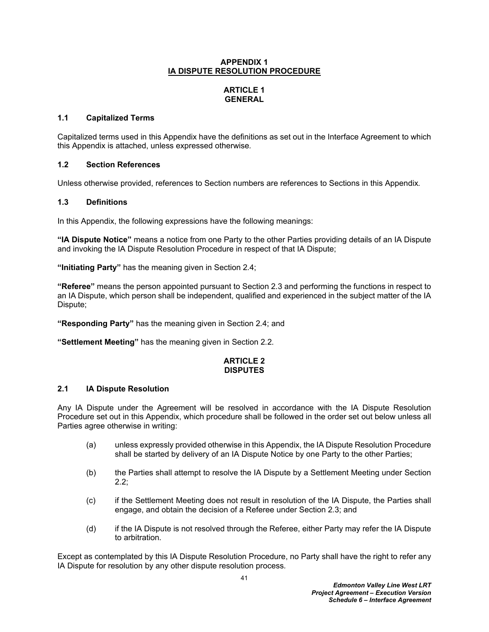#### **APPENDIX 1 IA DISPUTE RESOLUTION PROCEDURE**

# **ARTICLE 1 GENERAL**

## **1.1 Capitalized Terms**

Capitalized terms used in this Appendix have the definitions as set out in the Interface Agreement to which this Appendix is attached, unless expressed otherwise*.*

## **1.2 Section References**

Unless otherwise provided, references to Section numbers are references to Sections in this Appendix*.*

## **1.3 Definitions**

In this Appendix, the following expressions have the following meanings:

**"IA Dispute Notice"** means a notice from one Party to the other Parties providing details of an IA Dispute and invoking the IA Dispute Resolution Procedure in respect of that IA Dispute;

**"Initiating Party"** has the meaning given in Section 2*.*4;

**"Referee"** means the person appointed pursuant to Section 2*.*3 and performing the functions in respect to an IA Dispute, which person shall be independent, qualified and experienced in the subject matter of the IA Dispute;

**"Responding Party"** has the meaning given in Section 2*.*4; and

**"Settlement Meeting"** has the meaning given in Section 2*.*2*.*

## **ARTICLE 2 DISPUTES**

## **2.1 IA Dispute Resolution**

Any IA Dispute under the Agreement will be resolved in accordance with the IA Dispute Resolution Procedure set out in this Appendix, which procedure shall be followed in the order set out below unless all Parties agree otherwise in writing:

- (a) unless expressly provided otherwise in this Appendix, the IA Dispute Resolution Procedure shall be started by delivery of an IA Dispute Notice by one Party to the other Parties;
- (b) the Parties shall attempt to resolve the IA Dispute by a Settlement Meeting under Section 2*.*2;
- (c) if the Settlement Meeting does not result in resolution of the IA Dispute, the Parties shall engage, and obtain the decision of a Referee under Section 2*.*3; and
- (d) if the IA Dispute is not resolved through the Referee, either Party may refer the IA Dispute to arbitration*.*

Except as contemplated by this IA Dispute Resolution Procedure, no Party shall have the right to refer any IA Dispute for resolution by any other dispute resolution process*.*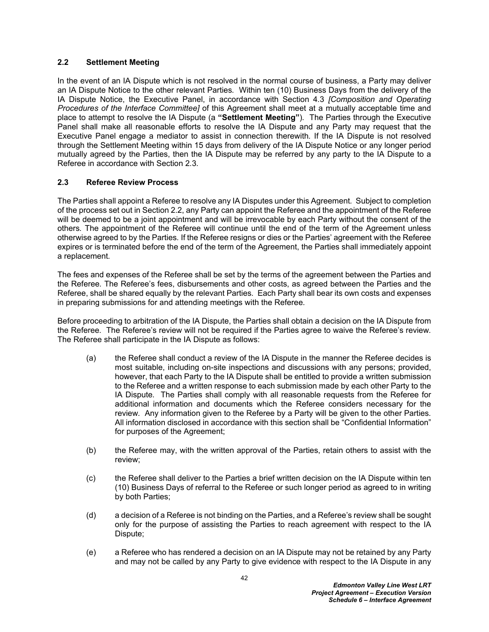## **2.2 Settlement Meeting**

In the event of an IA Dispute which is not resolved in the normal course of business, a Party may deliver an IA Dispute Notice to the other relevant Parties*.* Within ten (10) Business Days from the delivery of the IA Dispute Notice, the Executive Panel, in accordance with Section 4*.*3 *[Composition and Operating Procedures of the Interface Committee]* of this Agreement shall meet at a mutually acceptable time and place to attempt to resolve the IA Dispute (a **"Settlement Meeting"**)*.* The Parties through the Executive Panel shall make all reasonable efforts to resolve the IA Dispute and any Party may request that the Executive Panel engage a mediator to assist in connection therewith*.* If the IA Dispute is not resolved through the Settlement Meeting within 15 days from delivery of the IA Dispute Notice or any longer period mutually agreed by the Parties, then the IA Dispute may be referred by any party to the IA Dispute to a Referee in accordance with Section 2*.*3*.*

## **2.3 Referee Review Process**

The Parties shall appoint a Referee to resolve any IA Disputes under this Agreement*.* Subject to completion of the process set out in Section 2.2, any Party can appoint the Referee and the appointment of the Referee will be deemed to be a joint appointment and will be irrevocable by each Party without the consent of the others*.* The appointment of the Referee will continue until the end of the term of the Agreement unless otherwise agreed to by the Parties*.* If the Referee resigns or dies or the Parties' agreement with the Referee expires or is terminated before the end of the term of the Agreement, the Parties shall immediately appoint a replacement*.*

The fees and expenses of the Referee shall be set by the terms of the agreement between the Parties and the Referee*.* The Referee's fees, disbursements and other costs, as agreed between the Parties and the Referee, shall be shared equally by the relevant Parties*.* Each Party shall bear its own costs and expenses in preparing submissions for and attending meetings with the Referee*.*

Before proceeding to arbitration of the IA Dispute, the Parties shall obtain a decision on the IA Dispute from the Referee*.* The Referee's review will not be required if the Parties agree to waive the Referee's review*.* The Referee shall participate in the IA Dispute as follows:

- (a) the Referee shall conduct a review of the IA Dispute in the manner the Referee decides is most suitable, including on-site inspections and discussions with any persons; provided, however, that each Party to the IA Dispute shall be entitled to provide a written submission to the Referee and a written response to each submission made by each other Party to the IA Dispute*.* The Parties shall comply with all reasonable requests from the Referee for additional information and documents which the Referee considers necessary for the review*.* Any information given to the Referee by a Party will be given to the other Parties*.* All information disclosed in accordance with this section shall be "Confidential Information" for purposes of the Agreement;
- (b) the Referee may, with the written approval of the Parties, retain others to assist with the review;
- (c) the Referee shall deliver to the Parties a brief written decision on the IA Dispute within ten (10) Business Days of referral to the Referee or such longer period as agreed to in writing by both Parties;
- (d) a decision of a Referee is not binding on the Parties, and a Referee's review shall be sought only for the purpose of assisting the Parties to reach agreement with respect to the IA Dispute;
- (e) a Referee who has rendered a decision on an IA Dispute may not be retained by any Party and may not be called by any Party to give evidence with respect to the IA Dispute in any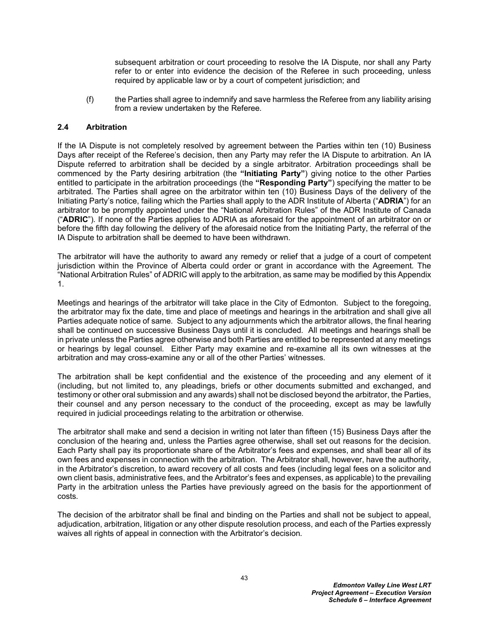subsequent arbitration or court proceeding to resolve the IA Dispute, nor shall any Party refer to or enter into evidence the decision of the Referee in such proceeding, unless required by applicable law or by a court of competent jurisdiction; and

(f) the Parties shall agree to indemnify and save harmless the Referee from any liability arising from a review undertaken by the Referee*.*

## **2.4 Arbitration**

If the IA Dispute is not completely resolved by agreement between the Parties within ten (10) Business Days after receipt of the Referee's decision, then any Party may refer the IA Dispute to arbitration*.* An IA Dispute referred to arbitration shall be decided by a single arbitrator*.* Arbitration proceedings shall be commenced by the Party desiring arbitration (the **"Initiating Party"**) giving notice to the other Parties entitled to participate in the arbitration proceedings (the **"Responding Party"**) specifying the matter to be arbitrated*.* The Parties shall agree on the arbitrator within ten (10) Business Days of the delivery of the Initiating Party's notice, failing which the Parties shall apply to the ADR Institute of Alberta ("**ADRIA**") for an arbitrator to be promptly appointed under the "National Arbitration Rules" of the ADR Institute of Canada ("**ADRIC**")*.* If none of the Parties applies to ADRIA as aforesaid for the appointment of an arbitrator on or before the fifth day following the delivery of the aforesaid notice from the Initiating Party, the referral of the IA Dispute to arbitration shall be deemed to have been withdrawn.

The arbitrator will have the authority to award any remedy or relief that a judge of a court of competent jurisdiction within the Province of Alberta could order or grant in accordance with the Agreement*.* The "National Arbitration Rules" of ADRIC will apply to the arbitration, as same may be modified by this Appendix 1.

Meetings and hearings of the arbitrator will take place in the City of Edmonton*.* Subject to the foregoing, the arbitrator may fix the date, time and place of meetings and hearings in the arbitration and shall give all Parties adequate notice of same*.* Subject to any adjournments which the arbitrator allows, the final hearing shall be continued on successive Business Days until it is concluded*.* All meetings and hearings shall be in private unless the Parties agree otherwise and both Parties are entitled to be represented at any meetings or hearings by legal counsel*.* Either Party may examine and re-examine all its own witnesses at the arbitration and may cross-examine any or all of the other Parties' witnesses*.*

The arbitration shall be kept confidential and the existence of the proceeding and any element of it (including, but not limited to, any pleadings, briefs or other documents submitted and exchanged, and testimony or other oral submission and any awards) shall not be disclosed beyond the arbitrator, the Parties, their counsel and any person necessary to the conduct of the proceeding, except as may be lawfully required in judicial proceedings relating to the arbitration or otherwise*.*

The arbitrator shall make and send a decision in writing not later than fifteen (15) Business Days after the conclusion of the hearing and, unless the Parties agree otherwise, shall set out reasons for the decision*.* Each Party shall pay its proportionate share of the Arbitrator's fees and expenses, and shall bear all of its own fees and expenses in connection with the arbitration. The Arbitrator shall, however, have the authority, in the Arbitrator's discretion, to award recovery of all costs and fees (including legal fees on a solicitor and own client basis, administrative fees, and the Arbitrator's fees and expenses, as applicable) to the prevailing Party in the arbitration unless the Parties have previously agreed on the basis for the apportionment of costs*.*

The decision of the arbitrator shall be final and binding on the Parties and shall not be subject to appeal, adjudication, arbitration, litigation or any other dispute resolution process, and each of the Parties expressly waives all rights of appeal in connection with the Arbitrator's decision*.*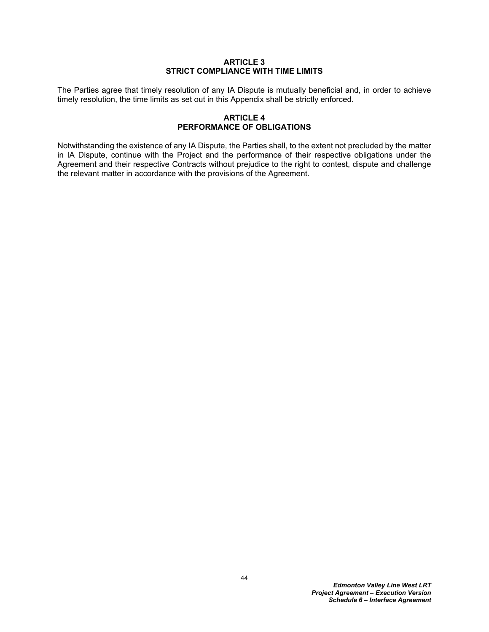#### **ARTICLE 3 STRICT COMPLIANCE WITH TIME LIMITS**

The Parties agree that timely resolution of any IA Dispute is mutually beneficial and, in order to achieve timely resolution, the time limits as set out in this Appendix shall be strictly enforced*.*

### **ARTICLE 4 PERFORMANCE OF OBLIGATIONS**

Notwithstanding the existence of any IA Dispute, the Parties shall, to the extent not precluded by the matter in IA Dispute, continue with the Project and the performance of their respective obligations under the Agreement and their respective Contracts without prejudice to the right to contest, dispute and challenge the relevant matter in accordance with the provisions of the Agreement*.*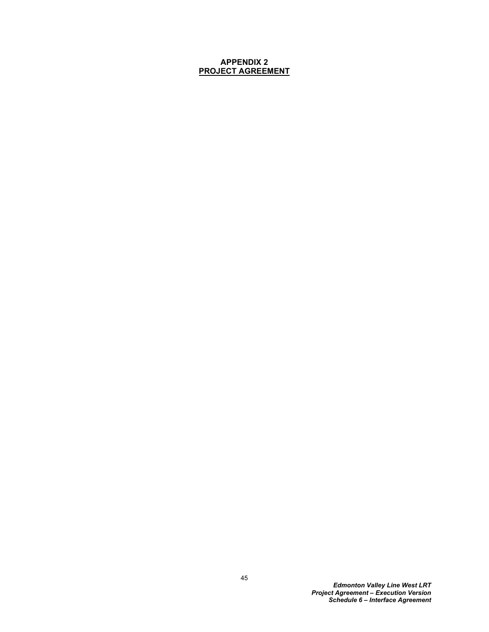## **APPENDIX 2 PROJECT AGREEMENT**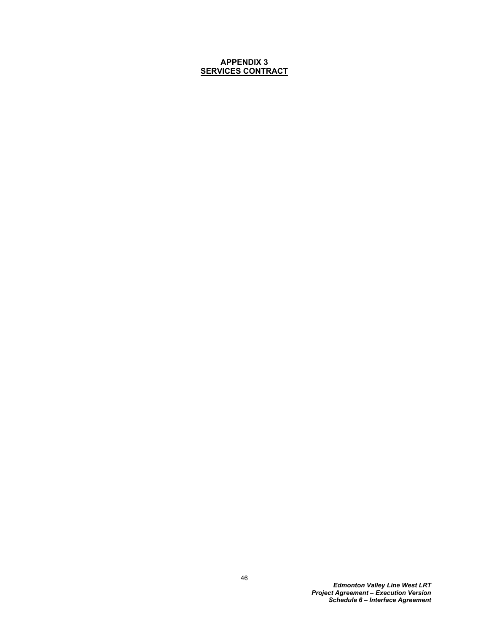## **APPENDIX 3 SERVICES CONTRACT**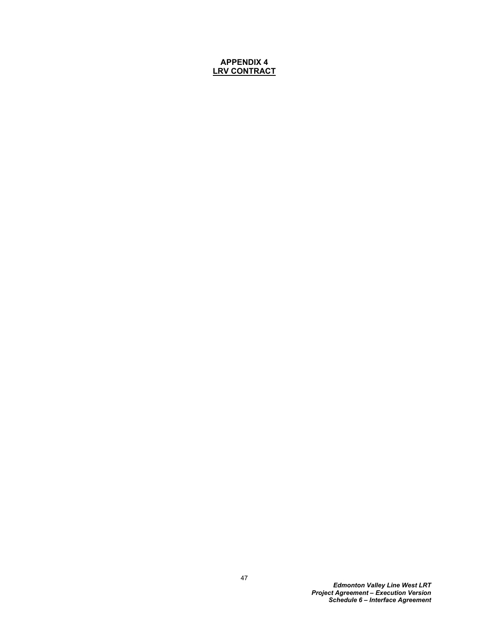# **APPENDIX 4 LRV CONTRACT**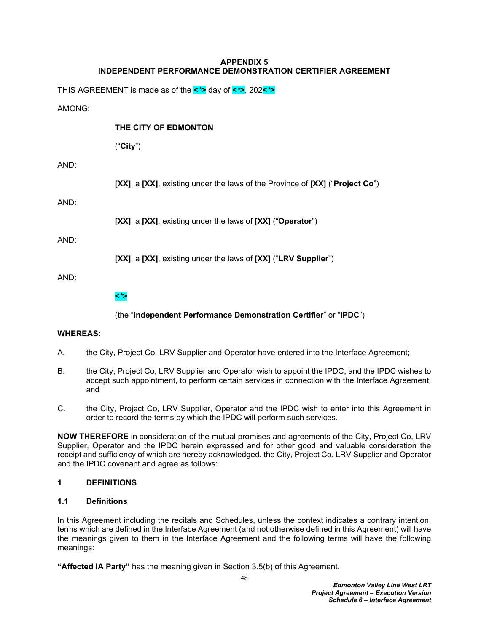## **APPENDIX 5 INDEPENDENT PERFORMANCE DEMONSTRATION CERTIFIER AGREEMENT**

THIS AGREEMENT is made as of the **<***\****>** day of **<***\****>**, 202**<***\****>**

## AMONG:

# **THE CITY OF EDMONTON**

("**City**")

# AND:

**[XX]**, a **[XX]**, existing under the laws of the Province of **[XX]** ("**Project Co**")

# AND:

**[XX]**, a **[XX]**, existing under the laws of **[XX]** ("**Operator**")

# AND:

**[XX]**, a **[XX]**, existing under the laws of **[XX]** ("**LRV Supplier**")

AND:

# **<***\****>**

(the "**Independent Performance Demonstration Certifier**" or "**IPDC**")

# **WHEREAS:**

- A. the City, Project Co, LRV Supplier and Operator have entered into the Interface Agreement;
- B. the City, Project Co, LRV Supplier and Operator wish to appoint the IPDC, and the IPDC wishes to accept such appointment, to perform certain services in connection with the Interface Agreement; and
- C. the City, Project Co, LRV Supplier, Operator and the IPDC wish to enter into this Agreement in order to record the terms by which the IPDC will perform such services*.*

**NOW THEREFORE** in consideration of the mutual promises and agreements of the City, Project Co, LRV Supplier, Operator and the IPDC herein expressed and for other good and valuable consideration the receipt and sufficiency of which are hereby acknowledged, the City, Project Co, LRV Supplier and Operator and the IPDC covenant and agree as follows:

# **1 DEFINITIONS**

# **1.1 Definitions**

In this Agreement including the recitals and Schedules, unless the context indicates a contrary intention, terms which are defined in the Interface Agreement (and not otherwise defined in this Agreement) will have the meanings given to them in the Interface Agreement and the following terms will have the following meanings:

**"Affected IA Party"** has the meaning given in Section [3.5\(b\)](#page-55-0) of this Agreement.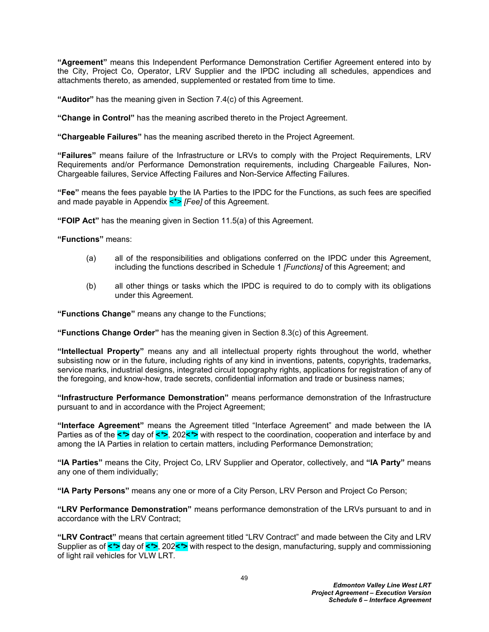**"Agreement"** means this Independent Performance Demonstration Certifier Agreement entered into by the City, Project Co, Operator, LRV Supplier and the IPDC including all schedules, appendices and attachments thereto, as amended, supplemented or restated from time to time.

**"Auditor"** has the meaning given in Section [7.4\(c\)](#page-62-0) of this Agreement.

**"Change in Control"** has the meaning ascribed thereto in the Project Agreement.

**"Chargeable Failures"** has the meaning ascribed thereto in the Project Agreement.

**"Failures"** means failure of the Infrastructure or LRVs to comply with the Project Requirements, LRV Requirements and/or Performance Demonstration requirements, including Chargeable Failures, Non-Chargeable failures, Service Affecting Failures and Non-Service Affecting Failures.

**"Fee"** means the fees payable by the IA Parties to the IPDC for the Functions, as such fees are specified and made payable in Appendix  $\lt^*$  [Fee] of this Agreement.

**"FOIP Act"** has the meaning given in Section [11.5\(a\)](#page-66-0) of this Agreement.

**"Functions"** means:

- (a) all of the responsibilities and obligations conferred on the IPDC under this Agreement, including the functions described in Schedule 1 *[Functions]* of this Agreement; and
- (b) all other things or tasks which the IPDC is required to do to comply with its obligations under this Agreement*.*

**"Functions Change"** means any change to the Functions;

**"Functions Change Order"** has the meaning given in Section [8.3\(c\)](#page-63-0) of this Agreement.

**"Intellectual Property"** means any and all intellectual property rights throughout the world, whether subsisting now or in the future, including rights of any kind in inventions, patents, copyrights, trademarks, service marks, industrial designs, integrated circuit topography rights, applications for registration of any of the foregoing, and know-how, trade secrets, confidential information and trade or business names;

**"Infrastructure Performance Demonstration"** means performance demonstration of the Infrastructure pursuant to and in accordance with the Project Agreement;

**"Interface Agreement"** means the Agreement titled "Interface Agreement" and made between the IA Parties as of the **<***\****>** day of **<***\****>**, 202**<***\****>** with respect to the coordination, cooperation and interface by and among the IA Parties in relation to certain matters, including Performance Demonstration;

**"IA Parties"** means the City, Project Co, LRV Supplier and Operator, collectively, and **"IA Party"** means any one of them individually;

**"IA Party Persons"** means any one or more of a City Person, LRV Person and Project Co Person;

**"LRV Performance Demonstration"** means performance demonstration of the LRVs pursuant to and in accordance with the LRV Contract;

**"LRV Contract"** means that certain agreement titled "LRV Contract" and made between the City and LRV Supplier as of **<***\****>** day of **<***\****>**, 202**<***\****>** with respect to the design, manufacturing, supply and commissioning of light rail vehicles for VLW LRT*.*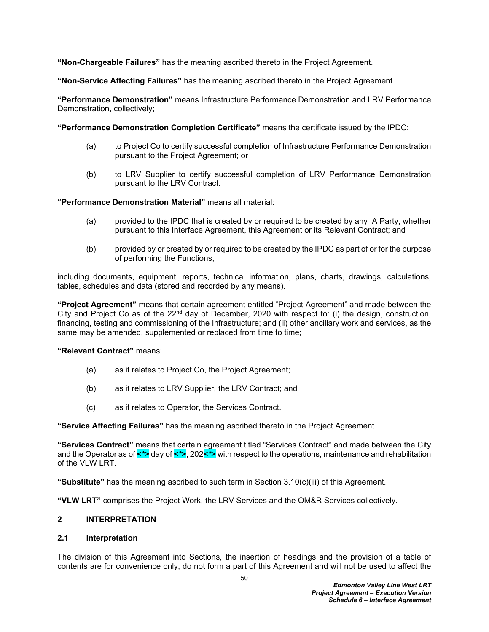**"Non-Chargeable Failures"** has the meaning ascribed thereto in the Project Agreement.

**"Non-Service Affecting Failures"** has the meaning ascribed thereto in the Project Agreement.

**"Performance Demonstration"** means Infrastructure Performance Demonstration and LRV Performance Demonstration, collectively;

**"Performance Demonstration Completion Certificate"** means the certificate issued by the IPDC:

- (a) to Project Co to certify successful completion of Infrastructure Performance Demonstration pursuant to the Project Agreement; or
- (b) to LRV Supplier to certify successful completion of LRV Performance Demonstration pursuant to the LRV Contract.

**"Performance Demonstration Material"** means all material:

- (a) provided to the IPDC that is created by or required to be created by any IA Party, whether pursuant to this Interface Agreement, this Agreement or its Relevant Contract; and
- (b) provided by or created by or required to be created by the IPDC as part of or for the purpose of performing the Functions,

including documents, equipment, reports, technical information, plans, charts, drawings, calculations, tables, schedules and data (stored and recorded by any means)*.*

**"Project Agreement"** means that certain agreement entitled "Project Agreement" and made between the City and Project Co as of the  $22<sup>nd</sup>$  day of December, 2020 with respect to: (i) the design, construction, financing, testing and commissioning of the Infrastructure; and (ii) other ancillary work and services, as the same may be amended, supplemented or replaced from time to time;

**"Relevant Contract"** means:

- (a) as it relates to Project Co, the Project Agreement;
- (b) as it relates to LRV Supplier, the LRV Contract; and
- (c) as it relates to Operator, the Services Contract.

**"Service Affecting Failures"** has the meaning ascribed thereto in the Project Agreement.

**"Services Contract"** means that certain agreement titled "Services Contract" and made between the City and the Operator as of **<***\****>** day of **<***\****>**, 202**<***\****>** with respect to the operations, maintenance and rehabilitation of the VLW LRT.

**"Substitute"** has the meaning ascribed to such term in Section [3.10\(c\)\(iii\)](#page-57-0) of this Agreement*.*

**"VLW LRT"** comprises the Project Work, the LRV Services and the OM&R Services collectively.

#### **2 INTERPRETATION**

#### **2.1 Interpretation**

The division of this Agreement into Sections, the insertion of headings and the provision of a table of contents are for convenience only, do not form a part of this Agreement and will not be used to affect the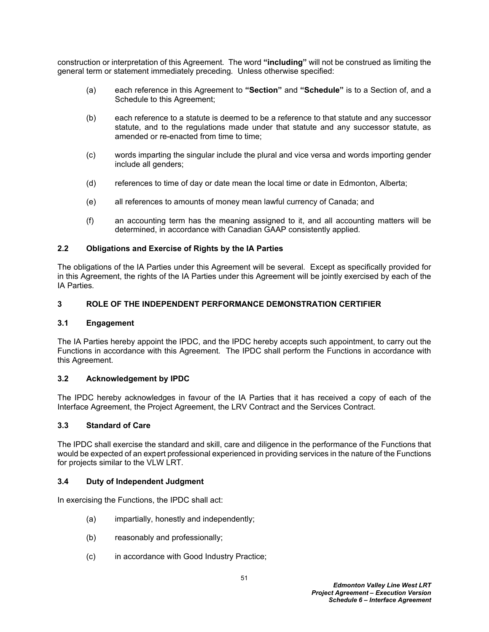construction or interpretation of this Agreement*.* The word **"including"** will not be construed as limiting the general term or statement immediately preceding*.* Unless otherwise specified:

- (a) each reference in this Agreement to **"Section"** and **"Schedule"** is to a Section of, and a Schedule to this Agreement;
- (b) each reference to a statute is deemed to be a reference to that statute and any successor statute, and to the regulations made under that statute and any successor statute, as amended or re-enacted from time to time;
- (c) words imparting the singular include the plural and vice versa and words importing gender include all genders;
- (d) references to time of day or date mean the local time or date in Edmonton, Alberta;
- (e) all references to amounts of money mean lawful currency of Canada; and
- (f) an accounting term has the meaning assigned to it, and all accounting matters will be determined, in accordance with Canadian GAAP consistently applied*.*

## **2.2 Obligations and Exercise of Rights by the IA Parties**

The obligations of the IA Parties under this Agreement will be several*.* Except as specifically provided for in this Agreement, the rights of the IA Parties under this Agreement will be jointly exercised by each of the IA Parties*.*

## **3 ROLE OF THE INDEPENDENT PERFORMANCE DEMONSTRATION CERTIFIER**

#### **3.1 Engagement**

The IA Parties hereby appoint the IPDC, and the IPDC hereby accepts such appointment, to carry out the Functions in accordance with this Agreement*.* The IPDC shall perform the Functions in accordance with this Agreement*.*

#### **3.2 Acknowledgement by IPDC**

The IPDC hereby acknowledges in favour of the IA Parties that it has received a copy of each of the Interface Agreement, the Project Agreement, the LRV Contract and the Services Contract.

#### **3.3 Standard of Care**

The IPDC shall exercise the standard and skill, care and diligence in the performance of the Functions that would be expected of an expert professional experienced in providing services in the nature of the Functions for projects similar to the VLW LRT*.*

#### <span id="page-54-0"></span>**3.4 Duty of Independent Judgment**

In exercising the Functions, the IPDC shall act:

- (a) impartially, honestly and independently;
- (b) reasonably and professionally;
- (c) in accordance with Good Industry Practice;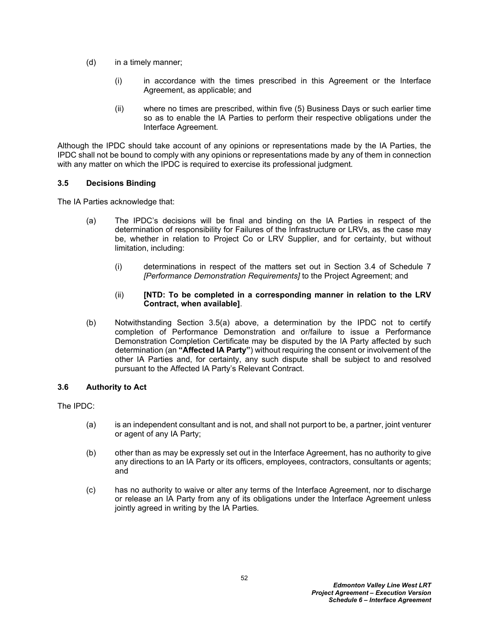- (d) in a timely manner;
	- (i) in accordance with the times prescribed in this Agreement or the Interface Agreement, as applicable; and
	- (ii) where no times are prescribed, within five (5) Business Days or such earlier time so as to enable the IA Parties to perform their respective obligations under the Interface Agreement*.*

Although the IPDC should take account of any opinions or representations made by the IA Parties, the IPDC shall not be bound to comply with any opinions or representations made by any of them in connection with any matter on which the IPDC is required to exercise its professional judgment*.*

## **3.5 Decisions Binding**

The IA Parties acknowledge that:

- <span id="page-55-1"></span>(a) The IPDC's decisions will be final and binding on the IA Parties in respect of the determination of responsibility for Failures of the Infrastructure or LRVs, as the case may be, whether in relation to Project Co or LRV Supplier, and for certainty, but without limitation, including:
	- (i) determinations in respect of the matters set out in Section 3.4 of Schedule 7 *[Performance Demonstration Requirements]* to the Project Agreement; and
	- (ii) **[NTD: To be completed in a corresponding manner in relation to the LRV Contract, when available]**.
- <span id="page-55-0"></span>(b) Notwithstanding Section [3.5\(a\)](#page-55-1) above, a determination by the IPDC not to certify completion of Performance Demonstration and or/failure to issue a Performance Demonstration Completion Certificate may be disputed by the IA Party affected by such determination (an **"Affected IA Party"**) without requiring the consent or involvement of the other IA Parties and, for certainty, any such dispute shall be subject to and resolved pursuant to the Affected IA Party's Relevant Contract.

## **3.6 Authority to Act**

The IPDC:

- (a) is an independent consultant and is not, and shall not purport to be, a partner, joint venturer or agent of any IA Party;
- (b) other than as may be expressly set out in the Interface Agreement, has no authority to give any directions to an IA Party or its officers, employees, contractors, consultants or agents; and
- (c) has no authority to waive or alter any terms of the Interface Agreement, nor to discharge or release an IA Party from any of its obligations under the Interface Agreement unless jointly agreed in writing by the IA Parties*.*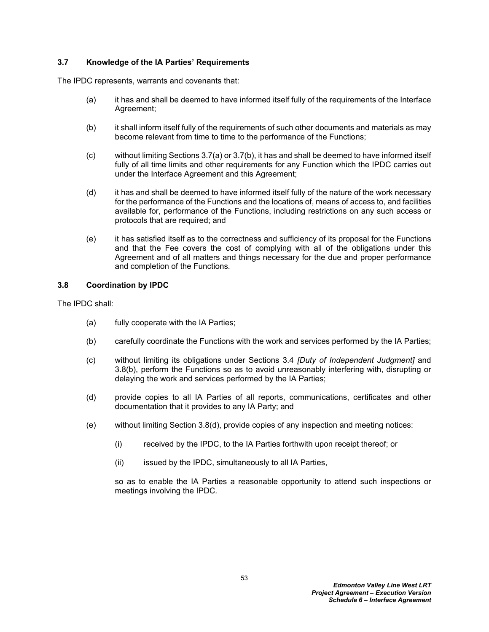## **3.7 Knowledge of the IA Parties' Requirements**

The IPDC represents, warrants and covenants that:

- <span id="page-56-0"></span>(a) it has and shall be deemed to have informed itself fully of the requirements of the Interface Agreement;
- <span id="page-56-1"></span>(b) it shall inform itself fully of the requirements of such other documents and materials as may become relevant from time to time to the performance of the Functions;
- (c) without limiting Sections [3.7\(a\)](#page-56-0) or [3.7\(b\)](#page-56-1), it has and shall be deemed to have informed itself fully of all time limits and other requirements for any Function which the IPDC carries out under the Interface Agreement and this Agreement;
- (d) it has and shall be deemed to have informed itself fully of the nature of the work necessary for the performance of the Functions and the locations of, means of access to, and facilities available for, performance of the Functions, including restrictions on any such access or protocols that are required; and
- (e) it has satisfied itself as to the correctness and sufficiency of its proposal for the Functions and that the Fee covers the cost of complying with all of the obligations under this Agreement and of all matters and things necessary for the due and proper performance and completion of the Functions*.*

### **3.8 Coordination by IPDC**

The IPDC shall:

- (a) fully cooperate with the IA Parties;
- <span id="page-56-2"></span>(b) carefully coordinate the Functions with the work and services performed by the IA Parties;
- (c) without limiting its obligations under Sections [3.4](#page-54-0) *[Duty of Independent Judgment]* and [3.8\(b\)](#page-56-2), perform the Functions so as to avoid unreasonably interfering with, disrupting or delaying the work and services performed by the IA Parties;
- <span id="page-56-3"></span>(d) provide copies to all IA Parties of all reports, communications, certificates and other documentation that it provides to any IA Party; and
- (e) without limiting Section [3.8\(d\),](#page-56-3) provide copies of any inspection and meeting notices:
	- (i) received by the IPDC, to the IA Parties forthwith upon receipt thereof; or
	- (ii) issued by the IPDC, simultaneously to all IA Parties,

so as to enable the IA Parties a reasonable opportunity to attend such inspections or meetings involving the IPDC*.*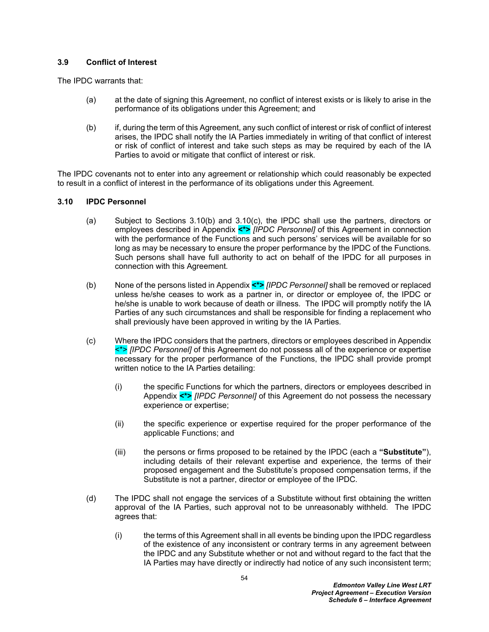## **3.9 Conflict of Interest**

The IPDC warrants that:

- (a) at the date of signing this Agreement, no conflict of interest exists or is likely to arise in the performance of its obligations under this Agreement; and
- (b) if, during the term of this Agreement, any such conflict of interest or risk of conflict of interest arises, the IPDC shall notify the IA Parties immediately in writing of that conflict of interest or risk of conflict of interest and take such steps as may be required by each of the IA Parties to avoid or mitigate that conflict of interest or risk*.*

The IPDC covenants not to enter into any agreement or relationship which could reasonably be expected to result in a conflict of interest in the performance of its obligations under this Agreement*.*

## **3.10 IPDC Personnel**

- (a) Subject to Sections [3.10\(b\)](#page-57-1) and [3.10\(c\)](#page-57-2), the IPDC shall use the partners, directors or employees described in Appendix **<\*>** *[IPDC Personnel]* of this Agreement in connection with the performance of the Functions and such persons' services will be available for so long as may be necessary to ensure the proper performance by the IPDC of the Functions*.* Such persons shall have full authority to act on behalf of the IPDC for all purposes in connection with this Agreement*.*
- <span id="page-57-1"></span>(b) None of the persons listed in Appendix **<\*>** *[IPDC Personnel]* shall be removed or replaced unless he/she ceases to work as a partner in, or director or employee of, the IPDC or he/she is unable to work because of death or illness*.* The IPDC will promptly notify the IA Parties of any such circumstances and shall be responsible for finding a replacement who shall previously have been approved in writing by the IA Parties*.*
- <span id="page-57-2"></span>(c) Where the IPDC considers that the partners, directors or employees described in Appendix <\*> *[IPDC Personnel]* of this Agreement do not possess all of the experience or expertise necessary for the proper performance of the Functions, the IPDC shall provide prompt written notice to the IA Parties detailing:
	- (i) the specific Functions for which the partners, directors or employees described in Appendix **<\*>** *[IPDC Personnel]* of this Agreement do not possess the necessary experience or expertise;
	- (ii) the specific experience or expertise required for the proper performance of the applicable Functions; and
	- (iii) the persons or firms proposed to be retained by the IPDC (each a **"Substitute"**), including details of their relevant expertise and experience, the terms of their proposed engagement and the Substitute's proposed compensation terms, if the Substitute is not a partner, director or employee of the IPDC*.*
- <span id="page-57-0"></span>(d) The IPDC shall not engage the services of a Substitute without first obtaining the written approval of the IA Parties, such approval not to be unreasonably withheld*.* The IPDC agrees that:
	- (i) the terms of this Agreement shall in all events be binding upon the IPDC regardless of the existence of any inconsistent or contrary terms in any agreement between the IPDC and any Substitute whether or not and without regard to the fact that the IA Parties may have directly or indirectly had notice of any such inconsistent term;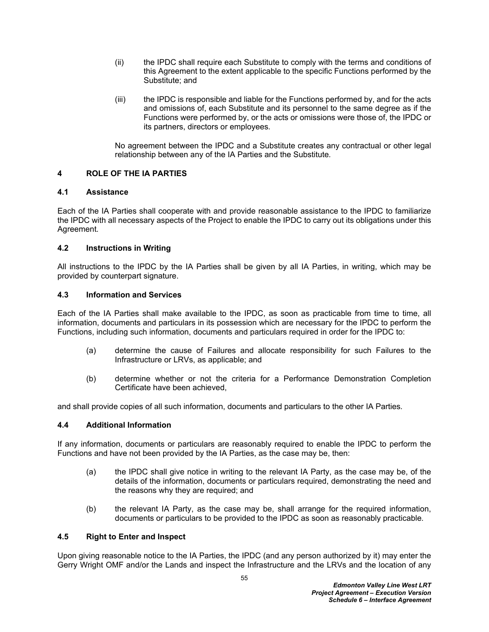- (ii) the IPDC shall require each Substitute to comply with the terms and conditions of this Agreement to the extent applicable to the specific Functions performed by the Substitute; and
- (iii) the IPDC is responsible and liable for the Functions performed by, and for the acts and omissions of, each Substitute and its personnel to the same degree as if the Functions were performed by, or the acts or omissions were those of, the IPDC or its partners, directors or employees*.*

No agreement between the IPDC and a Substitute creates any contractual or other legal relationship between any of the IA Parties and the Substitute*.*

## **4 ROLE OF THE IA PARTIES**

#### **4.1 Assistance**

Each of the IA Parties shall cooperate with and provide reasonable assistance to the IPDC to familiarize the IPDC with all necessary aspects of the Project to enable the IPDC to carry out its obligations under this Agreement*.*

## **4.2 Instructions in Writing**

All instructions to the IPDC by the IA Parties shall be given by all IA Parties, in writing, which may be provided by counterpart signature.

### **4.3 Information and Services**

Each of the IA Parties shall make available to the IPDC, as soon as practicable from time to time, all information, documents and particulars in its possession which are necessary for the IPDC to perform the Functions, including such information, documents and particulars required in order for the IPDC to:

- (a) determine the cause of Failures and allocate responsibility for such Failures to the Infrastructure or LRVs, as applicable; and
- (b) determine whether or not the criteria for a Performance Demonstration Completion Certificate have been achieved,

and shall provide copies of all such information, documents and particulars to the other IA Parties*.*

#### **4.4 Additional Information**

If any information, documents or particulars are reasonably required to enable the IPDC to perform the Functions and have not been provided by the IA Parties, as the case may be, then:

- (a) the IPDC shall give notice in writing to the relevant IA Party, as the case may be, of the details of the information, documents or particulars required, demonstrating the need and the reasons why they are required; and
- (b) the relevant IA Party, as the case may be, shall arrange for the required information, documents or particulars to be provided to the IPDC as soon as reasonably practicable*.*

#### **4.5 Right to Enter and Inspect**

Upon giving reasonable notice to the IA Parties, the IPDC (and any person authorized by it) may enter the Gerry Wright OMF and/or the Lands and inspect the Infrastructure and the LRVs and the location of any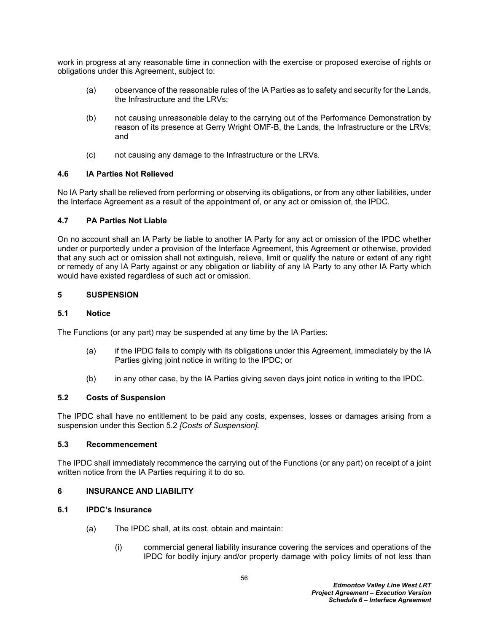work in progress at any reasonable time in connection with the exercise or proposed exercise of rights or obligations under this Agreement, subject to:

- (a) observance of the reasonable rules of the IA Parties as to safety and security for the Lands, the Infrastructure and the LRVs;
- (b) not causing unreasonable delay to the carrying out of the Performance Demonstration by reason of its presence at Gerry Wright OMF-B, the Lands, the Infrastructure or the LRVs; and
- (c) not causing any damage to the Infrastructure or the LRVs*.*

## **4.6 IA Parties Not Relieved**

No IA Party shall be relieved from performing or observing its obligations, or from any other liabilities, under the Interface Agreement as a result of the appointment of, or any act or omission of, the IPDC*.*

## **4.7 PA Parties Not Liable**

On no account shall an IA Party be liable to another IA Party for any act or omission of the IPDC whether under or purportedly under a provision of the Interface Agreement, this Agreement or otherwise, provided that any such act or omission shall not extinguish, relieve, limit or qualify the nature or extent of any right or remedy of any IA Party against or any obligation or liability of any IA Party to any other IA Party which would have existed regardless of such act or omission*.*

## **5 SUSPENSION**

### **5.1 Notice**

The Functions (or any part) may be suspended at any time by the IA Parties:

- (a) if the IPDC fails to comply with its obligations under this Agreement, immediately by the IA Parties giving joint notice in writing to the IPDC; or
- (b) in any other case, by the IA Parties giving seven days joint notice in writing to the IPDC*.*

#### <span id="page-59-0"></span>**5.2 Costs of Suspension**

The IPDC shall have no entitlement to be paid any costs, expenses, losses or damages arising from a suspension under this Section [5.2](#page-59-0) *[Costs of Suspension].*

#### **5.3 Recommencement**

The IPDC shall immediately recommence the carrying out of the Functions (or any part) on receipt of a joint written notice from the IA Parties requiring it to do so*.*

#### <span id="page-59-2"></span>**6 INSURANCE AND LIABILITY**

## **6.1 IPDC's Insurance**

- <span id="page-59-1"></span>(a) The IPDC shall, at its cost, obtain and maintain:
	- (i) commercial general liability insurance covering the services and operations of the IPDC for bodily injury and/or property damage with policy limits of not less than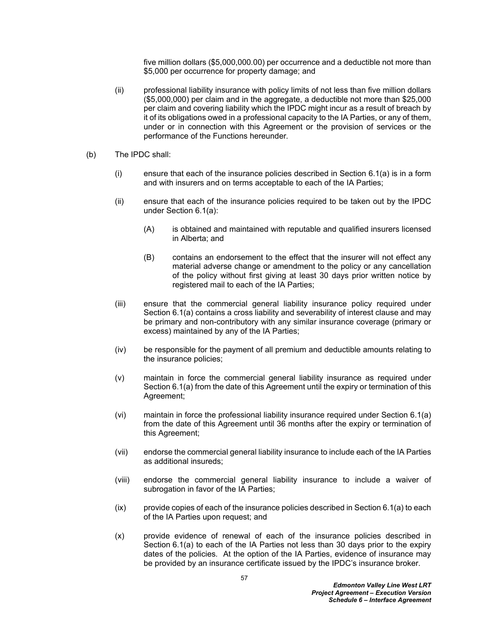five million dollars (\$5,000,000*.*00) per occurrence and a deductible not more than \$5,000 per occurrence for property damage; and

- (ii) professional liability insurance with policy limits of not less than five million dollars (\$5,000,000) per claim and in the aggregate, a deductible not more than \$25,000 per claim and covering liability which the IPDC might incur as a result of breach by it of its obligations owed in a professional capacity to the IA Parties, or any of them, under or in connection with this Agreement or the provision of services or the performance of the Functions hereunder*.*
- (b) The IPDC shall:
	- (i) ensure that each of the insurance policies described in Section [6.1\(a\)](#page-59-1) is in a form and with insurers and on terms acceptable to each of the IA Parties;
	- (ii) ensure that each of the insurance policies required to be taken out by the IPDC under Section [6.1\(a\):](#page-59-1)
		- (A) is obtained and maintained with reputable and qualified insurers licensed in Alberta; and
		- (B) contains an endorsement to the effect that the insurer will not effect any material adverse change or amendment to the policy or any cancellation of the policy without first giving at least 30 days prior written notice by registered mail to each of the IA Parties;
	- (iii) ensure that the commercial general liability insurance policy required under Section [6.1\(a\)](#page-59-1) contains a cross liability and severability of interest clause and may be primary and non-contributory with any similar insurance coverage (primary or excess) maintained by any of the IA Parties;
	- (iv) be responsible for the payment of all premium and deductible amounts relating to the insurance policies;
	- (v) maintain in force the commercial general liability insurance as required under Section [6.1\(a\)](#page-59-1) from the date of this Agreement until the expiry or termination of this Agreement;
	- (vi) maintain in force the professional liability insurance required under Section [6.1\(a\)](#page-59-1)  from the date of this Agreement until 36 months after the expiry or termination of this Agreement;
	- (vii) endorse the commercial general liability insurance to include each of the IA Parties as additional insureds;
	- (viii) endorse the commercial general liability insurance to include a waiver of subrogation in favor of the IA Parties;
	- (ix) provide copies of each of the insurance policies described in Section [6.1\(a\)](#page-59-1) to each of the IA Parties upon request; and
	- (x) provide evidence of renewal of each of the insurance policies described in Section [6.1\(a\)](#page-59-1) to each of the IA Parties not less than 30 days prior to the expiry dates of the policies*.* At the option of the IA Parties, evidence of insurance may be provided by an insurance certificate issued by the IPDC's insurance broker*.*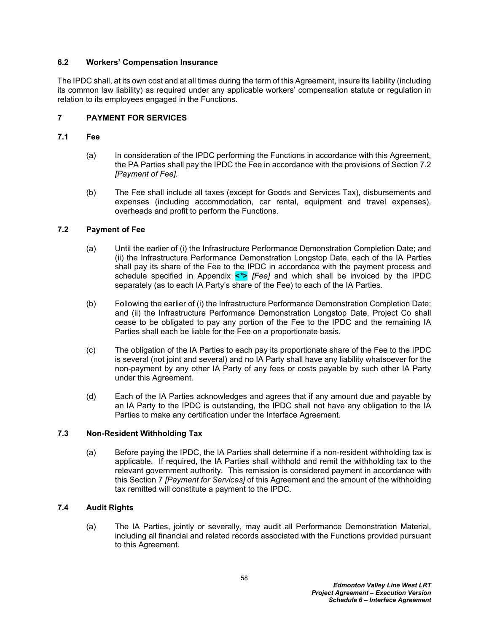## **6.2 Workers' Compensation Insurance**

The IPDC shall, at its own cost and at all times during the term of this Agreement, insure its liability (including its common law liability) as required under any applicable workers' compensation statute or regulation in relation to its employees engaged in the Functions*.*

## <span id="page-61-1"></span>**7 PAYMENT FOR SERVICES**

### **7.1 Fee**

- (a) In consideration of the IPDC performing the Functions in accordance with this Agreement, the PA Parties shall pay the IPDC the Fee in accordance with the provisions of Section [7.2](#page-61-0) *[Payment of Fee].*
- (b) The Fee shall include all taxes (except for Goods and Services Tax), disbursements and expenses (including accommodation, car rental, equipment and travel expenses), overheads and profit to perform the Functions*.*

## <span id="page-61-0"></span>**7.2 Payment of Fee**

- (a) Until the earlier of (i) the Infrastructure Performance Demonstration Completion Date; and (ii) the Infrastructure Performance Demonstration Longstop Date, each of the IA Parties shall pay its share of the Fee to the IPDC in accordance with the payment process and schedule specified in Appendix **<***\****>** *[Fee]* and which shall be invoiced by the IPDC separately (as to each IA Party's share of the Fee) to each of the IA Parties*.*
- (b) Following the earlier of (i) the Infrastructure Performance Demonstration Completion Date; and (ii) the Infrastructure Performance Demonstration Longstop Date, Project Co shall cease to be obligated to pay any portion of the Fee to the IPDC and the remaining IA Parties shall each be liable for the Fee on a proportionate basis.
- (c) The obligation of the IA Parties to each pay its proportionate share of the Fee to the IPDC is several (not joint and several) and no IA Party shall have any liability whatsoever for the non-payment by any other IA Party of any fees or costs payable by such other IA Party under this Agreement*.*
- (d) Each of the IA Parties acknowledges and agrees that if any amount due and payable by an IA Party to the IPDC is outstanding, the IPDC shall not have any obligation to the IA Parties to make any certification under the Interface Agreement*.*

## **7.3 Non-Resident Withholding Tax**

(a) Before paying the IPDC, the IA Parties shall determine if a non-resident withholding tax is applicable*.* If required, the IA Parties shall withhold and remit the withholding tax to the relevant government authority*.* This remission is considered payment in accordance with this Section [7](#page-61-1) *[Payment for Services]* of this Agreement and the amount of the withholding tax remitted will constitute a payment to the IPDC*.*

## <span id="page-61-2"></span>**7.4 Audit Rights**

(a) The IA Parties, jointly or severally, may audit all Performance Demonstration Material, including all financial and related records associated with the Functions provided pursuant to this Agreement*.*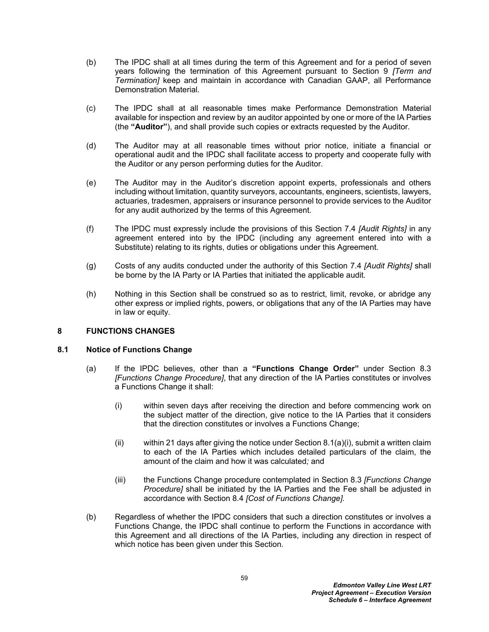- (b) The IPDC shall at all times during the term of this Agreement and for a period of seven years following the termination of this Agreement pursuant to Section [9](#page-63-1) *[Term and Termination]* keep and maintain in accordance with Canadian GAAP, all Performance Demonstration Material*.*
- <span id="page-62-0"></span>(c) The IPDC shall at all reasonable times make Performance Demonstration Material available for inspection and review by an auditor appointed by one or more of the IA Parties (the **"Auditor"**), and shall provide such copies or extracts requested by the Auditor*.*
- (d) The Auditor may at all reasonable times without prior notice, initiate a financial or operational audit and the IPDC shall facilitate access to property and cooperate fully with the Auditor or any person performing duties for the Auditor*.*
- (e) The Auditor may in the Auditor's discretion appoint experts, professionals and others including without limitation, quantity surveyors, accountants, engineers, scientists, lawyers, actuaries, tradesmen, appraisers or insurance personnel to provide services to the Auditor for any audit authorized by the terms of this Agreement*.*
- (f) The IPDC must expressly include the provisions of this Section [7.4](#page-61-2) *[Audit Rights]* in any agreement entered into by the IPDC (including any agreement entered into with a Substitute) relating to its rights, duties or obligations under this Agreement*.*
- (g) Costs of any audits conducted under the authority of this Section [7.4](#page-61-2) *[Audit Rights]* shall be borne by the IA Party or IA Parties that initiated the applicable audit*.*
- (h) Nothing in this Section shall be construed so as to restrict, limit, revoke, or abridge any other express or implied rights, powers, or obligations that any of the IA Parties may have in law or equity*.*

#### **8 FUNCTIONS CHANGES**

#### <span id="page-62-2"></span>**8.1 Notice of Functions Change**

- <span id="page-62-1"></span>(a) If the IPDC believes, other than a **"Functions Change Order"** under Section [8.3](#page-63-2)  *[Functions Change Procedure]*, that any direction of the IA Parties constitutes or involves a Functions Change it shall:
	- (i) within seven days after receiving the direction and before commencing work on the subject matter of the direction, give notice to the IA Parties that it considers that the direction constitutes or involves a Functions Change;
	- (ii) within 21 days after giving the notice under Section [8.1\(a\)\(i\),](#page-62-1) submit a written claim to each of the IA Parties which includes detailed particulars of the claim, the amount of the claim and how it was calculated*;* and
	- (iii) the Functions Change procedure contemplated in Section [8.3](#page-63-2) *[Functions Change Procedure]* shall be initiated by the IA Parties and the Fee shall be adjusted in accordance with Section [8.4](#page-63-3) *[Cost of Functions Change].*
- (b) Regardless of whether the IPDC considers that such a direction constitutes or involves a Functions Change, the IPDC shall continue to perform the Functions in accordance with this Agreement and all directions of the IA Parties, including any direction in respect of which notice has been given under this Section*.*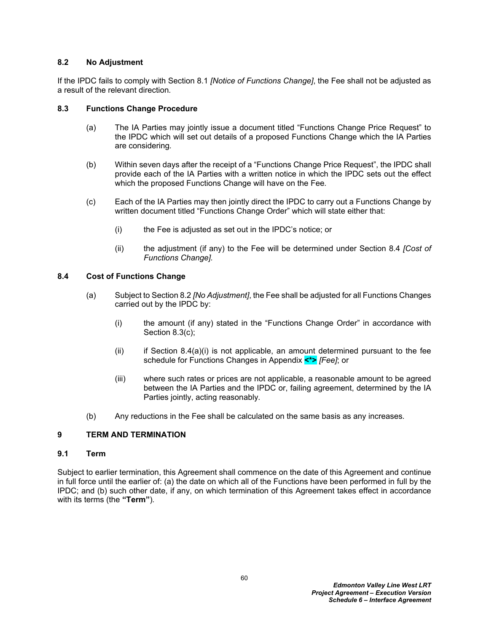### <span id="page-63-4"></span>**8.2 No Adjustment**

If the IPDC fails to comply with Section [8.1](#page-62-2) *[Notice of Functions Change]*, the Fee shall not be adjusted as a result of the relevant direction*.*

## <span id="page-63-2"></span>**8.3 Functions Change Procedure**

- (a) The IA Parties may jointly issue a document titled "Functions Change Price Request" to the IPDC which will set out details of a proposed Functions Change which the IA Parties are considering*.*
- (b) Within seven days after the receipt of a "Functions Change Price Request", the IPDC shall provide each of the IA Parties with a written notice in which the IPDC sets out the effect which the proposed Functions Change will have on the Fee*.*
- <span id="page-63-0"></span>(c) Each of the IA Parties may then jointly direct the IPDC to carry out a Functions Change by written document titled "Functions Change Order" which will state either that:
	- (i) the Fee is adjusted as set out in the IPDC's notice; or
	- (ii) the adjustment (if any) to the Fee will be determined under Section [8.4](#page-63-3) *[Cost of Functions Change].*

## <span id="page-63-3"></span>**8.4 Cost of Functions Change**

- <span id="page-63-5"></span>(a) Subject to Section [8.2](#page-63-4) *[No Adjustment]*, the Fee shall be adjusted for all Functions Changes carried out by the IPDC by:
	- (i) the amount (if any) stated in the "Functions Change Order" in accordance with Section [8.3\(c\);](#page-63-0)
	- $(ii)$  if Section [8.4\(a\)\(i\)](#page-63-5) is not applicable, an amount determined pursuant to the fee schedule for Functions Changes in Appendix **<\*>** *[Fee]*; or
	- (iii) where such rates or prices are not applicable, a reasonable amount to be agreed between the IA Parties and the IPDC or, failing agreement, determined by the IA Parties jointly, acting reasonably*.*
- (b) Any reductions in the Fee shall be calculated on the same basis as any increases*.*

## <span id="page-63-1"></span>**9 TERM AND TERMINATION**

#### **9.1 Term**

Subject to earlier termination, this Agreement shall commence on the date of this Agreement and continue in full force until the earlier of: (a) the date on which all of the Functions have been performed in full by the IPDC; and (b) such other date, if any, on which termination of this Agreement takes effect in accordance with its terms (the **"Term"**)*.*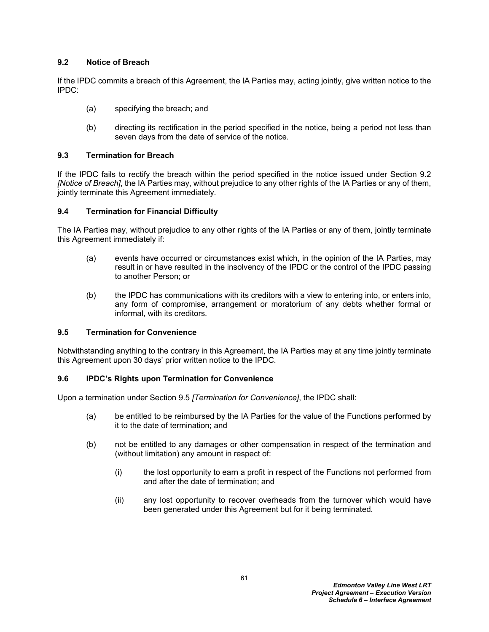## <span id="page-64-0"></span>**9.2 Notice of Breach**

If the IPDC commits a breach of this Agreement, the IA Parties may, acting jointly, give written notice to the IPDC:

- (a) specifying the breach; and
- (b) directing its rectification in the period specified in the notice, being a period not less than seven days from the date of service of the notice*.*

## <span id="page-64-2"></span>**9.3 Termination for Breach**

If the IPDC fails to rectify the breach within the period specified in the notice issued under Section [9.2](#page-64-0)  *[Notice of Breach]*, the IA Parties may, without prejudice to any other rights of the IA Parties or any of them, jointly terminate this Agreement immediately*.*

## <span id="page-64-3"></span>**9.4 Termination for Financial Difficulty**

The IA Parties may, without prejudice to any other rights of the IA Parties or any of them, jointly terminate this Agreement immediately if:

- (a) events have occurred or circumstances exist which, in the opinion of the IA Parties, may result in or have resulted in the insolvency of the IPDC or the control of the IPDC passing to another Person; or
- (b) the IPDC has communications with its creditors with a view to entering into, or enters into, any form of compromise, arrangement or moratorium of any debts whether formal or informal, with its creditors*.*

#### <span id="page-64-1"></span>**9.5 Termination for Convenience**

Notwithstanding anything to the contrary in this Agreement, the IA Parties may at any time jointly terminate this Agreement upon 30 days' prior written notice to the IPDC*.*

## <span id="page-64-4"></span>**9.6 IPDC's Rights upon Termination for Convenience**

Upon a termination under Section [9.5](#page-64-1) *[Termination for Convenience]*, the IPDC shall:

- (a) be entitled to be reimbursed by the IA Parties for the value of the Functions performed by it to the date of termination; and
- (b) not be entitled to any damages or other compensation in respect of the termination and (without limitation) any amount in respect of:
	- (i) the lost opportunity to earn a profit in respect of the Functions not performed from and after the date of termination; and
	- (ii) any lost opportunity to recover overheads from the turnover which would have been generated under this Agreement but for it being terminated*.*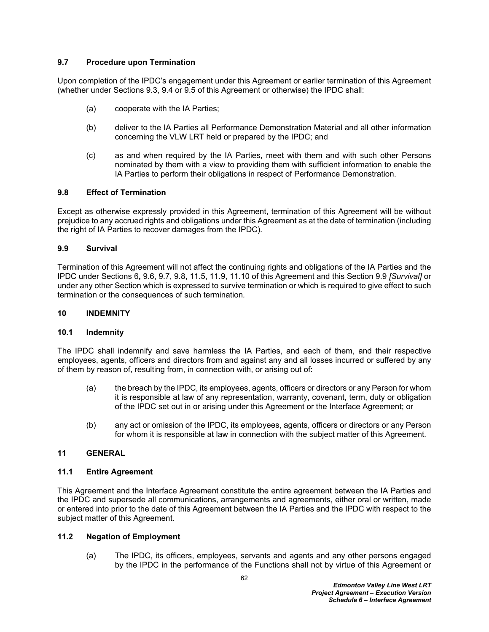## <span id="page-65-0"></span>**9.7 Procedure upon Termination**

Upon completion of the IPDC's engagement under this Agreement or earlier termination of this Agreement (whether under Sections [9.3](#page-64-2), [9.4](#page-64-3) or [9.5](#page-64-1) of this Agreement or otherwise) the IPDC shall:

- (a) cooperate with the IA Parties;
- (b) deliver to the IA Parties all Performance Demonstration Material and all other information concerning the VLW LRT held or prepared by the IPDC; and
- (c) as and when required by the IA Parties, meet with them and with such other Persons nominated by them with a view to providing them with sufficient information to enable the IA Parties to perform their obligations in respect of Performance Demonstration.

## <span id="page-65-1"></span>**9.8 Effect of Termination**

Except as otherwise expressly provided in this Agreement, termination of this Agreement will be without prejudice to any accrued rights and obligations under this Agreement as at the date of termination (including the right of IA Parties to recover damages from the IPDC)*.*

## <span id="page-65-2"></span>**9.9 Survival**

Termination of this Agreement will not affect the continuing rights and obligations of the IA Parties and the IPDC under Sections [6](#page-59-2)**,** [9.6](#page-64-4), [9.7,](#page-65-0) [9.8](#page-65-1), [11.5](#page-66-1), [11.9](#page-68-0), [11.10](#page-68-1) of this Agreement and this Section [9.9](#page-65-2) *[Survival]* or under any other Section which is expressed to survive termination or which is required to give effect to such termination or the consequences of such termination*.*

### **10 INDEMNITY**

#### **10.1 Indemnity**

The IPDC shall indemnify and save harmless the IA Parties, and each of them, and their respective employees, agents, officers and directors from and against any and all losses incurred or suffered by any of them by reason of, resulting from, in connection with, or arising out of:

- (a) the breach by the IPDC, its employees, agents, officers or directors or any Person for whom it is responsible at law of any representation, warranty, covenant, term, duty or obligation of the IPDC set out in or arising under this Agreement or the Interface Agreement; or
- (b) any act or omission of the IPDC, its employees, agents, officers or directors or any Person for whom it is responsible at law in connection with the subject matter of this Agreement*.*

#### **11 GENERAL**

#### **11.1 Entire Agreement**

This Agreement and the Interface Agreement constitute the entire agreement between the IA Parties and the IPDC and supersede all communications, arrangements and agreements, either oral or written, made or entered into prior to the date of this Agreement between the IA Parties and the IPDC with respect to the subject matter of this Agreement*.*

## **11.2 Negation of Employment**

(a) The IPDC, its officers, employees, servants and agents and any other persons engaged by the IPDC in the performance of the Functions shall not by virtue of this Agreement or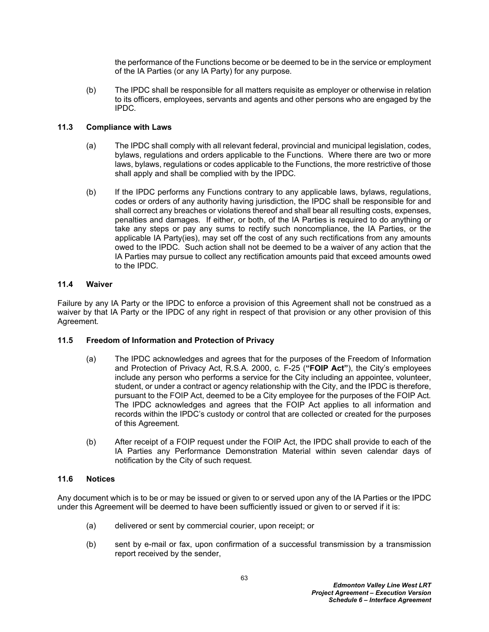the performance of the Functions become or be deemed to be in the service or employment of the IA Parties (or any IA Party) for any purpose*.*

(b) The IPDC shall be responsible for all matters requisite as employer or otherwise in relation to its officers, employees, servants and agents and other persons who are engaged by the IPDC*.*

## **11.3 Compliance with Laws**

- (a) The IPDC shall comply with all relevant federal, provincial and municipal legislation, codes, bylaws, regulations and orders applicable to the Functions*.* Where there are two or more laws, bylaws, regulations or codes applicable to the Functions, the more restrictive of those shall apply and shall be complied with by the IPDC*.*
- (b) If the IPDC performs any Functions contrary to any applicable laws, bylaws, regulations, codes or orders of any authority having jurisdiction, the IPDC shall be responsible for and shall correct any breaches or violations thereof and shall bear all resulting costs, expenses, penalties and damages*.* If either, or both, of the IA Parties is required to do anything or take any steps or pay any sums to rectify such noncompliance, the IA Parties, or the applicable IA Party(ies), may set off the cost of any such rectifications from any amounts owed to the IPDC*.* Such action shall not be deemed to be a waiver of any action that the IA Parties may pursue to collect any rectification amounts paid that exceed amounts owed to the IPDC*.*

## **11.4 Waiver**

Failure by any IA Party or the IPDC to enforce a provision of this Agreement shall not be construed as a waiver by that IA Party or the IPDC of any right in respect of that provision or any other provision of this Agreement*.*

#### <span id="page-66-1"></span>**11.5 Freedom of Information and Protection of Privacy**

- <span id="page-66-0"></span>(a) The IPDC acknowledges and agrees that for the purposes of the Freedom of Information and Protection of Privacy Act, R*.*S*.*A*.* 2000, c*.* F-25 (**"FOIP Act"**), the City's employees include any person who performs a service for the City including an appointee, volunteer, student, or under a contract or agency relationship with the City, and the IPDC is therefore, pursuant to the FOIP Act, deemed to be a City employee for the purposes of the FOIP Act*.* The IPDC acknowledges and agrees that the FOIP Act applies to all information and records within the IPDC's custody or control that are collected or created for the purposes of this Agreement*.*
- (b) After receipt of a FOIP request under the FOIP Act, the IPDC shall provide to each of the IA Parties any Performance Demonstration Material within seven calendar days of notification by the City of such request*.*

## **11.6 Notices**

Any document which is to be or may be issued or given to or served upon any of the IA Parties or the IPDC under this Agreement will be deemed to have been sufficiently issued or given to or served if it is:

- (a) delivered or sent by commercial courier, upon receipt; or
- (b) sent by e-mail or fax, upon confirmation of a successful transmission by a transmission report received by the sender,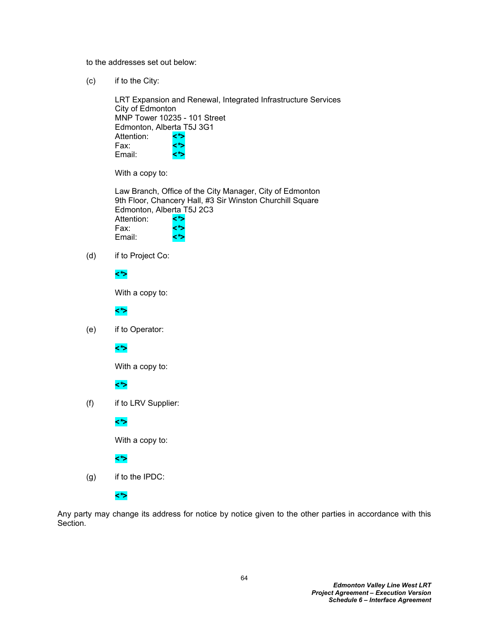to the addresses set out below:

(c) if to the City:

LRT Expansion and Renewal, Integrated Infrastructure Services City of Edmonton MNP Tower 10235 - 101 Street Edmonton, Alberta T5J 3G1 Attention: **<***\****>** Fax: **<***\****>** Email: **<***\****>**

With a copy to:

Law Branch, Office of the City Manager, City of Edmonton 9th Floor, Chancery Hall, #3 Sir Winston Churchill Square Edmonton, Alberta T5J 2C3 Attention: **<***\****>** Fax: **<***\****>** Email: **<***\****>**

(d) if to Project Co:

## **<***\****>**

With a copy to:

#### **<***\****>**

(e) if to Operator:

## **<***\****>**

With a copy to:

#### **<***\****>**

(f) if to LRV Supplier:

#### **<***\****>**

With a copy to:

## **<***\****>**

(g) if to the IPDC:

**<***\****>**

Any party may change its address for notice by notice given to the other parties in accordance with this Section*.*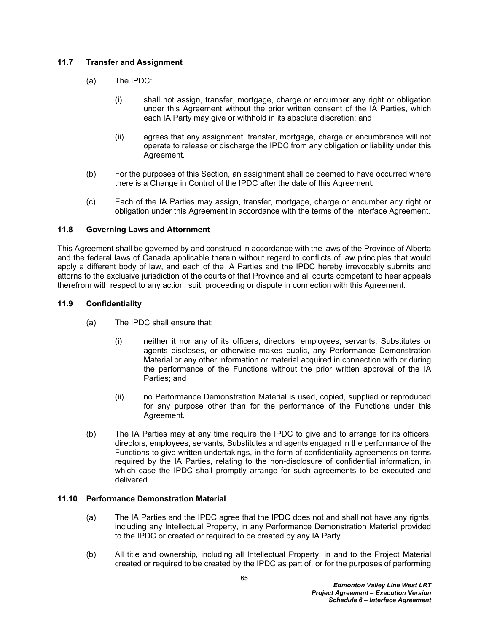## **11.7 Transfer and Assignment**

- (a) The IPDC:
	- (i) shall not assign, transfer, mortgage, charge or encumber any right or obligation under this Agreement without the prior written consent of the IA Parties, which each IA Party may give or withhold in its absolute discretion; and
	- (ii) agrees that any assignment, transfer, mortgage, charge or encumbrance will not operate to release or discharge the IPDC from any obligation or liability under this Agreement*.*
- (b) For the purposes of this Section, an assignment shall be deemed to have occurred where there is a Change in Control of the IPDC after the date of this Agreement*.*
- (c) Each of the IA Parties may assign, transfer, mortgage, charge or encumber any right or obligation under this Agreement in accordance with the terms of the Interface Agreement*.*

## **11.8 Governing Laws and Attornment**

This Agreement shall be governed by and construed in accordance with the laws of the Province of Alberta and the federal laws of Canada applicable therein without regard to conflicts of law principles that would apply a different body of law, and each of the IA Parties and the IPDC hereby irrevocably submits and attorns to the exclusive jurisdiction of the courts of that Province and all courts competent to hear appeals therefrom with respect to any action, suit, proceeding or dispute in connection with this Agreement*.*

## <span id="page-68-0"></span>**11.9 Confidentiality**

- (a) The IPDC shall ensure that:
	- (i) neither it nor any of its officers, directors, employees, servants, Substitutes or agents discloses, or otherwise makes public, any Performance Demonstration Material or any other information or material acquired in connection with or during the performance of the Functions without the prior written approval of the IA Parties; and
	- (ii) no Performance Demonstration Material is used, copied, supplied or reproduced for any purpose other than for the performance of the Functions under this Agreement*.*
- (b) The IA Parties may at any time require the IPDC to give and to arrange for its officers, directors, employees, servants, Substitutes and agents engaged in the performance of the Functions to give written undertakings, in the form of confidentiality agreements on terms required by the IA Parties, relating to the non-disclosure of confidential information, in which case the IPDC shall promptly arrange for such agreements to be executed and delivered*.*

#### <span id="page-68-1"></span>**11.10 Performance Demonstration Material**

- (a) The IA Parties and the IPDC agree that the IPDC does not and shall not have any rights, including any Intellectual Property, in any Performance Demonstration Material provided to the IPDC or created or required to be created by any IA Party*.*
- <span id="page-68-2"></span>(b) All title and ownership, including all Intellectual Property, in and to the Project Material created or required to be created by the IPDC as part of, or for the purposes of performing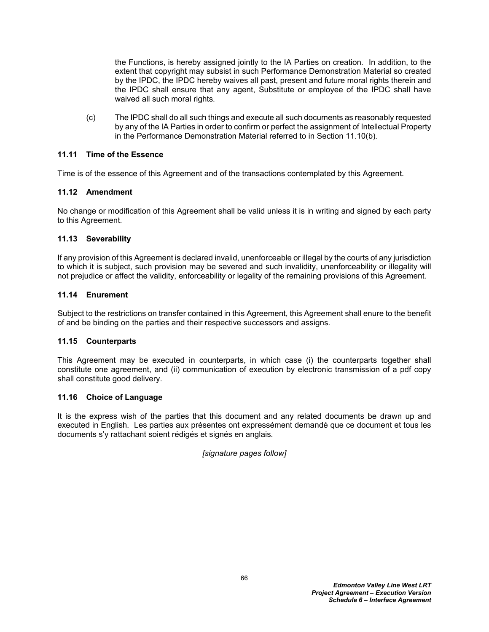the Functions, is hereby assigned jointly to the IA Parties on creation*.* In addition, to the extent that copyright may subsist in such Performance Demonstration Material so created by the IPDC, the IPDC hereby waives all past, present and future moral rights therein and the IPDC shall ensure that any agent, Substitute or employee of the IPDC shall have waived all such moral rights*.*

(c) The IPDC shall do all such things and execute all such documents as reasonably requested by any of the IA Parties in order to confirm or perfect the assignment of Intellectual Property in the Performance Demonstration Material referred to in Section [11.10\(b\)](#page-68-2)*.*

## **11.11 Time of the Essence**

Time is of the essence of this Agreement and of the transactions contemplated by this Agreement*.*

## **11.12 Amendment**

No change or modification of this Agreement shall be valid unless it is in writing and signed by each party to this Agreement*.*

## **11.13 Severability**

If any provision of this Agreement is declared invalid, unenforceable or illegal by the courts of any jurisdiction to which it is subject, such provision may be severed and such invalidity, unenforceability or illegality will not prejudice or affect the validity, enforceability or legality of the remaining provisions of this Agreement*.*

## **11.14 Enurement**

Subject to the restrictions on transfer contained in this Agreement, this Agreement shall enure to the benefit of and be binding on the parties and their respective successors and assigns*.*

#### **11.15 Counterparts**

This Agreement may be executed in counterparts, in which case (i) the counterparts together shall constitute one agreement, and (ii) communication of execution by electronic transmission of a pdf copy shall constitute good delivery.

#### **11.16 Choice of Language**

It is the express wish of the parties that this document and any related documents be drawn up and executed in English*.* Les parties aux présentes ont expressément demandé que ce document et tous les documents s'y rattachant soient rédigés et signés en anglais*.*

#### *[signature pages follow]*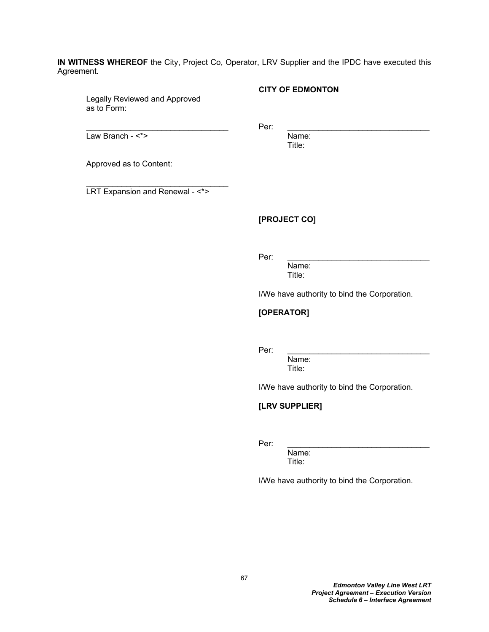**IN WITNESS WHEREOF** the City, Project Co, Operator, LRV Supplier and the IPDC have executed this Agreement*.*

Legally Reviewed and Approved as to Form:

**CITY OF EDMONTON**

Law Branch - <\*> Name:

 $\blacksquare$   $\blacksquare$   $\blacksquare$   $\blacksquare$   $\blacksquare$   $\blacksquare$   $\blacksquare$   $\blacksquare$   $\blacksquare$   $\blacksquare$   $\blacksquare$   $\blacksquare$   $\blacksquare$   $\blacksquare$   $\blacksquare$   $\blacksquare$   $\blacksquare$   $\blacksquare$   $\blacksquare$   $\blacksquare$   $\blacksquare$   $\blacksquare$   $\blacksquare$   $\blacksquare$   $\blacksquare$   $\blacksquare$   $\blacksquare$   $\blacksquare$   $\blacksquare$   $\blacksquare$   $\blacksquare$   $\blacks$ 

Title:

Approved as to Content:

LRT Expansion and Renewal - <\*>

## **[PROJECT CO]**

Per: \_\_\_\_\_\_\_\_\_\_\_\_\_\_\_\_\_\_\_\_\_\_\_\_\_\_\_\_\_\_\_\_

Name: Title:

I/We have authority to bind the Corporation.

# **[OPERATOR]**

Per: \_\_\_\_\_\_\_\_\_\_\_\_\_\_\_\_\_\_\_\_\_\_\_\_\_\_\_\_\_\_\_\_

Name: Title:

I/We have authority to bind the Corporation.

## **[LRV SUPPLIER]**

Per: \_\_\_\_\_\_\_\_\_\_\_\_\_\_\_\_\_\_\_\_\_\_\_\_\_\_\_\_\_\_\_\_

Name: Title:

I/We have authority to bind the Corporation.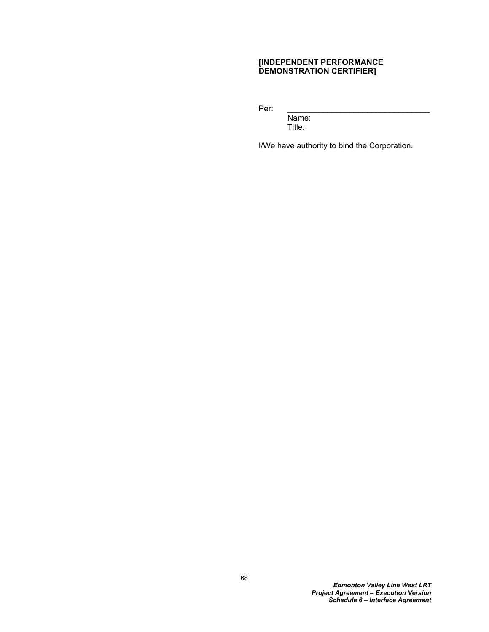## **[INDEPENDENT PERFORMANCE DEMONSTRATION CERTIFIER]**

Per: \_\_\_\_\_\_\_\_\_\_\_\_\_\_\_\_\_\_\_\_\_\_\_\_\_\_\_\_\_\_\_\_

Name: Title:

I/We have authority to bind the Corporation.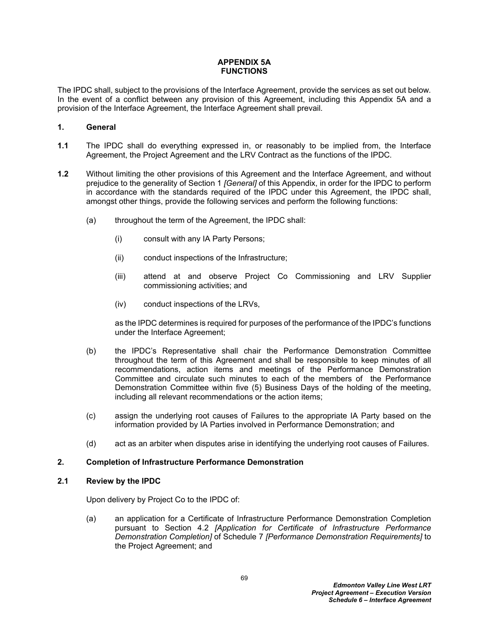## **APPENDIX 5A FUNCTIONS**

The IPDC shall, subject to the provisions of the Interface Agreement, provide the services as set out below*.* In the event of a conflict between any provision of this Agreement, including this Appendix 5A and a provision of the Interface Agreement, the Interface Agreement shall prevail*.*

# <span id="page-72-0"></span>**1. General**

- **1.1** The IPDC shall do everything expressed in, or reasonably to be implied from, the Interface Agreement, the Project Agreement and the LRV Contract as the functions of the IPDC*.*
- **1.2** Without limiting the other provisions of this Agreement and the Interface Agreement, and without prejudice to the generality of Section [1](#page-72-0) *[General]* of this Appendix, in order for the IPDC to perform in accordance with the standards required of the IPDC under this Agreement, the IPDC shall, amongst other things, provide the following services and perform the following functions:
	- (a) throughout the term of the Agreement, the IPDC shall:
		- (i) consult with any IA Party Persons;
		- (ii) conduct inspections of the Infrastructure;
		- (iii) attend at and observe Project Co Commissioning and LRV Supplier commissioning activities; and
		- (iv) conduct inspections of the LRVs,

as the IPDC determines is required for purposes of the performance of the IPDC's functions under the Interface Agreement;

- (b) the IPDC's Representative shall chair the Performance Demonstration Committee throughout the term of this Agreement and shall be responsible to keep minutes of all recommendations, action items and meetings of the Performance Demonstration Committee and circulate such minutes to each of the members of the Performance Demonstration Committee within five (5) Business Days of the holding of the meeting, including all relevant recommendations or the action items;
- (c) assign the underlying root causes of Failures to the appropriate IA Party based on the information provided by IA Parties involved in Performance Demonstration; and
- (d) act as an arbiter when disputes arise in identifying the underlying root causes of Failures.

## **2. Completion of Infrastructure Performance Demonstration**

## **2.1 Review by the IPDC**

Upon delivery by Project Co to the IPDC of:

(a) an application for a Certificate of Infrastructure Performance Demonstration Completion pursuant to Section 4.2 *[Application for Certificate of Infrastructure Performance Demonstration Completion]* of Schedule 7 *[Performance Demonstration Requirements]* to the Project Agreement; and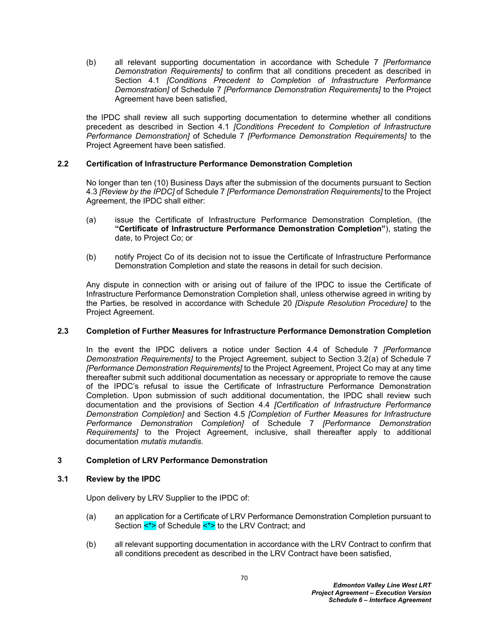(b) all relevant supporting documentation in accordance with Schedule 7 *[Performance Demonstration Requirements]* to confirm that all conditions precedent as described in Section 4.1 *[Conditions Precedent to Completion of Infrastructure Performance Demonstration]* of Schedule 7 *[Performance Demonstration Requirements]* to the Project Agreement have been satisfied,

the IPDC shall review all such supporting documentation to determine whether all conditions precedent as described in Section 4.1 *[Conditions Precedent to Completion of Infrastructure Performance Demonstration]* of Schedule 7 *[Performance Demonstration Requirements]* to the Project Agreement have been satisfied.

## **2.2 Certification of Infrastructure Performance Demonstration Completion**

No longer than ten (10) Business Days after the submission of the documents pursuant to Section 4.3 *[Review by the IPDC]* of Schedule 7 *[Performance Demonstration Requirements]* to the Project Agreement, the IPDC shall either:

- (a) issue the Certificate of Infrastructure Performance Demonstration Completion, (the **"Certificate of Infrastructure Performance Demonstration Completion"**), stating the date, to Project Co; or
- (b) notify Project Co of its decision not to issue the Certificate of Infrastructure Performance Demonstration Completion and state the reasons in detail for such decision.

Any dispute in connection with or arising out of failure of the IPDC to issue the Certificate of Infrastructure Performance Demonstration Completion shall, unless otherwise agreed in writing by the Parties, be resolved in accordance with Schedule 20 *[Dispute Resolution Procedure]* to the Project Agreement.

#### **2.3 Completion of Further Measures for Infrastructure Performance Demonstration Completion**

In the event the IPDC delivers a notice under Section 4.4 of Schedule 7 *[Performance Demonstration Requirements]* to the Project Agreement, subject to Section 3.2(a) of Schedule 7 *[Performance Demonstration Requirements]* to the Project Agreement, Project Co may at any time thereafter submit such additional documentation as necessary or appropriate to remove the cause of the IPDC's refusal to issue the Certificate of Infrastructure Performance Demonstration Completion. Upon submission of such additional documentation, the IPDC shall review such documentation and the provisions of Section 4.4 *[Certification of Infrastructure Performance Demonstration Completion]* and Section 4.5 *[Completion of Further Measures for Infrastructure Performance Demonstration Completion]* of Schedule 7 *[Performance Demonstration Requirements]* to the Project Agreement, inclusive, shall thereafter apply to additional documentation *mutatis mutandis*.

#### **3 Completion of LRV Performance Demonstration**

## **3.1 Review by the IPDC**

Upon delivery by LRV Supplier to the IPDC of:

- (a) an application for a Certificate of LRV Performance Demonstration Completion pursuant to Section <\*> of Schedule <\*> to the LRV Contract; and
- (b) all relevant supporting documentation in accordance with the LRV Contract to confirm that all conditions precedent as described in the LRV Contract have been satisfied,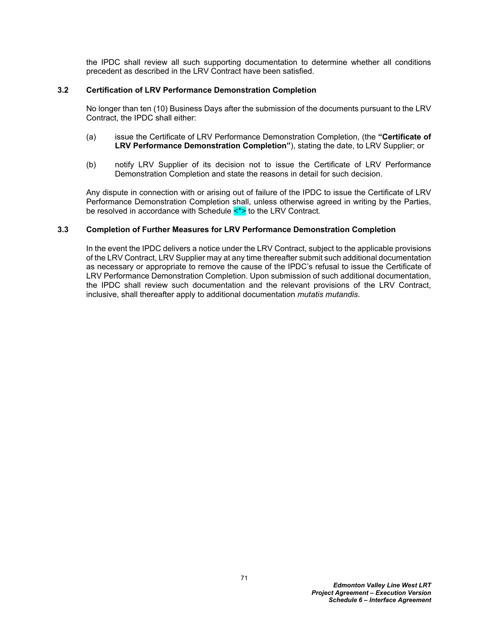the IPDC shall review all such supporting documentation to determine whether all conditions precedent as described in the LRV Contract have been satisfied.

## **3.2 Certification of LRV Performance Demonstration Completion**

No longer than ten (10) Business Days after the submission of the documents pursuant to the LRV Contract, the IPDC shall either:

- (a) issue the Certificate of LRV Performance Demonstration Completion, (the **"Certificate of LRV Performance Demonstration Completion"**), stating the date, to LRV Supplier; or
- (b) notify LRV Supplier of its decision not to issue the Certificate of LRV Performance Demonstration Completion and state the reasons in detail for such decision.

Any dispute in connection with or arising out of failure of the IPDC to issue the Certificate of LRV Performance Demonstration Completion shall, unless otherwise agreed in writing by the Parties, be resolved in accordance with Schedule <\*> to the LRV Contract*.*

#### **3.3 Completion of Further Measures for LRV Performance Demonstration Completion**

In the event the IPDC delivers a notice under the LRV Contract, subject to the applicable provisions of the LRV Contract, LRV Supplier may at any time thereafter submit such additional documentation as necessary or appropriate to remove the cause of the IPDC's refusal to issue the Certificate of LRV Performance Demonstration Completion. Upon submission of such additional documentation, the IPDC shall review such documentation and the relevant provisions of the LRV Contract, inclusive, shall thereafter apply to additional documentation *mutatis mutandis*.